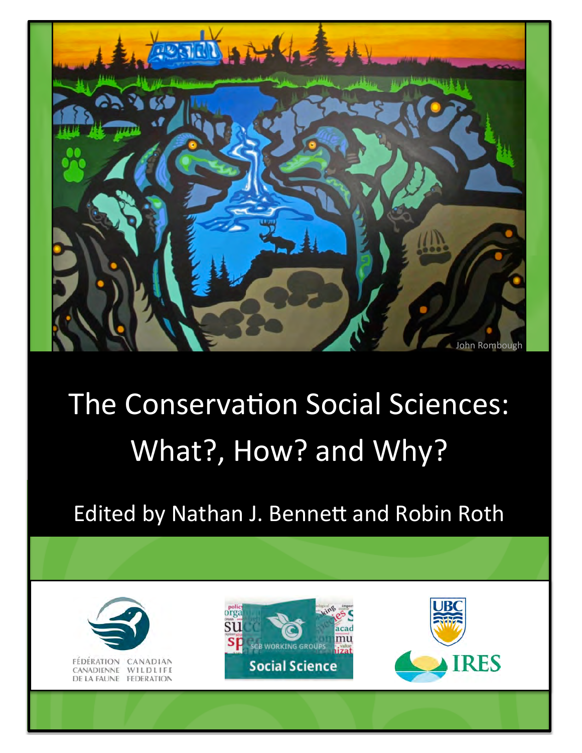

# The Conservation Social Sciences: What?, How? and Why?

Edited by Nathan J. Bennett and Robin Roth

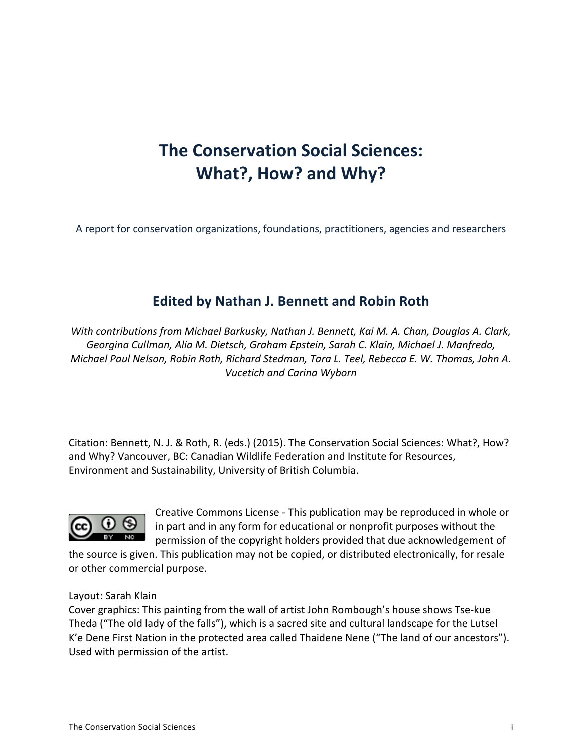# **The Conservation Social Sciences: What?, How? and Why?**

A report for conservation organizations, foundations, practitioners, agencies and researchers

### **Edited by Nathan J. Bennett and Robin Roth**

*With%contributions%from%Michael%Barkusky,%Nathan%J.%Bennett,%Kai%M.%A.%Chan,%Douglas%A.%Clark,% Georgina%Cullman,%Alia%M.%Dietsch,%Graham%Epstein,%Sarah%C.%Klain,%Michael%J.%Manfredo,% Michael%Paul Nelson,%Robin%Roth,%Richard%Stedman,%Tara%L.%Teel,%Rebecca%E.%W.%Thomas,%John%A.% Vucetich%and%Carina%Wyborn*

Citation: Bennett, N. J. & Roth, R. (eds.) (2015). The Conservation Social Sciences: What?, How? and Why? Vancouver, BC: Canadian Wildlife Federation and Institute for Resources, Environment and Sustainability, University of British Columbia.



Creative Commons License - This publication may be reproduced in whole or in part and in any form for educational or nonprofit purposes without the permission of the copyright holders provided that due acknowledgement of

the source is given. This publication may not be copied, or distributed electronically, for resale or other commercial purpose.

#### Layout: Sarah Klain

Cover graphics: This painting from the wall of artist John Rombough's house shows Tse-kue Theda ("The old lady of the falls"), which is a sacred site and cultural landscape for the Lutsel K'e Dene First Nation in the protected area called Thaidene Nene ("The land of our ancestors"). Used with permission of the artist.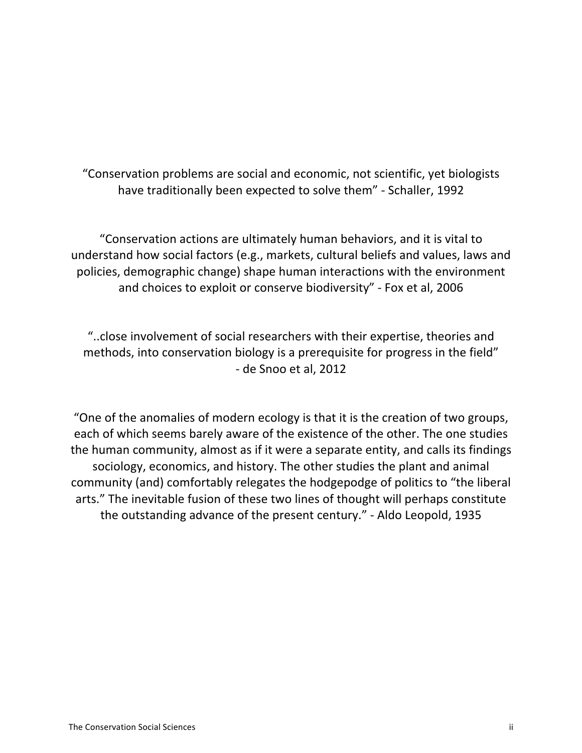"Conservation problems are social and economic, not scientific, yet biologists have traditionally been expected to solve them" - Schaller, 1992

"Conservation actions are ultimately human behaviors, and it is vital to understand how social factors (e.g., markets, cultural beliefs and values, laws and policies, demographic change) shape human interactions with the environment and choices to exploit or conserve biodiversity" - Fox et al, 2006

"..close involvement of social researchers with their expertise, theories and methods, into conservation biology is a prerequisite for progress in the field" - de Snoo et al, 2012

"One of the anomalies of modern ecology is that it is the creation of two groups, each of which seems barely aware of the existence of the other. The one studies the human community, almost as if it were a separate entity, and calls its findings sociology, economics, and history. The other studies the plant and animal community (and) comfortably relegates the hodgepodge of politics to "the liberal arts." The inevitable fusion of these two lines of thought will perhaps constitute the outstanding advance of the present century." - Aldo Leopold, 1935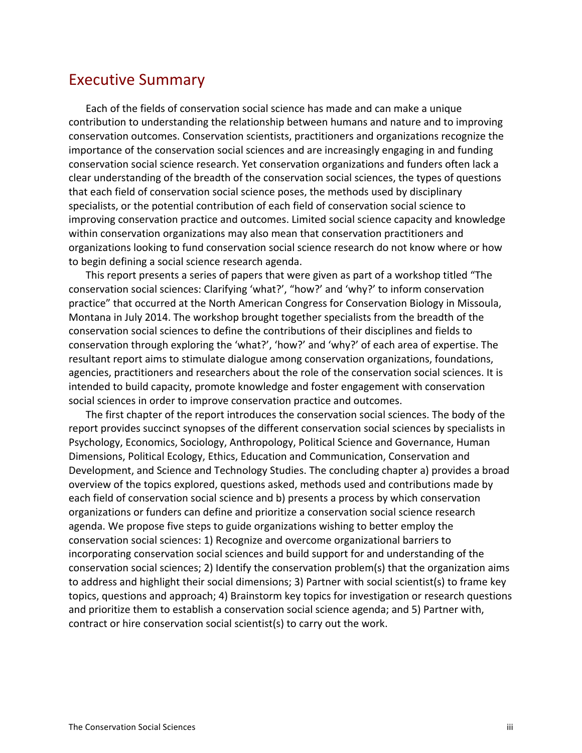### **Executive Summary**

Each of the fields of conservation social science has made and can make a unique contribution to understanding the relationship between humans and nature and to improving conservation outcomes. Conservation scientists, practitioners and organizations recognize the importance of the conservation social sciences and are increasingly engaging in and funding conservation social science research. Yet conservation organizations and funders often lack a clear understanding of the breadth of the conservation social sciences, the types of questions that each field of conservation social science poses, the methods used by disciplinary specialists, or the potential contribution of each field of conservation social science to improving conservation practice and outcomes. Limited social science capacity and knowledge within conservation organizations may also mean that conservation practitioners and organizations looking to fund conservation social science research do not know where or how to begin defining a social science research agenda.

This report presents a series of papers that were given as part of a workshop titled "The conservation social sciences: Clarifying 'what?', "how?' and 'why?' to inform conservation practice" that occurred at the North American Congress for Conservation Biology in Missoula, Montana in July 2014. The workshop brought together specialists from the breadth of the conservation social sciences to define the contributions of their disciplines and fields to conservation through exploring the 'what?', 'how?' and 'why?' of each area of expertise. The resultant report aims to stimulate dialogue among conservation organizations, foundations, agencies, practitioners and researchers about the role of the conservation social sciences. It is intended to build capacity, promote knowledge and foster engagement with conservation social sciences in order to improve conservation practice and outcomes.

The first chapter of the report introduces the conservation social sciences. The body of the report provides succinct synopses of the different conservation social sciences by specialists in Psychology, Economics, Sociology, Anthropology, Political Science and Governance, Human Dimensions, Political Ecology, Ethics, Education and Communication, Conservation and Development, and Science and Technology Studies. The concluding chapter a) provides a broad overview of the topics explored, questions asked, methods used and contributions made by each field of conservation social science and b) presents a process by which conservation organizations or funders can define and prioritize a conservation social science research agenda. We propose five steps to guide organizations wishing to better employ the conservation social sciences: 1) Recognize and overcome organizational barriers to incorporating conservation social sciences and build support for and understanding of the conservation social sciences; 2) Identify the conservation problem(s) that the organization aims to address and highlight their social dimensions; 3) Partner with social scientist(s) to frame key topics, questions and approach; 4) Brainstorm key topics for investigation or research questions and prioritize them to establish a conservation social science agenda; and 5) Partner with, contract or hire conservation social scientist(s) to carry out the work.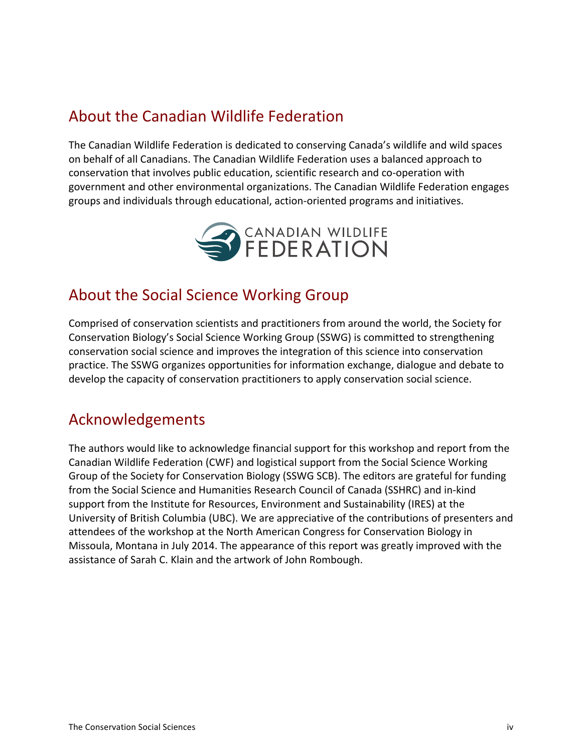### About the Canadian Wildlife Federation

The Canadian Wildlife Federation is dedicated to conserving Canada's wildlife and wild spaces on behalf of all Canadians. The Canadian Wildlife Federation uses a balanced approach to conservation that involves public education, scientific research and co-operation with government and other environmental organizations. The Canadian Wildlife Federation engages groups and individuals through educational, action-oriented programs and initiatives.



### About the Social Science Working Group

Comprised of conservation scientists and practitioners from around the world, the Society for Conservation Biology's Social Science Working Group (SSWG) is committed to strengthening conservation social science and improves the integration of this science into conservation practice. The SSWG organizes opportunities for information exchange, dialogue and debate to develop the capacity of conservation practitioners to apply conservation social science.

### Acknowledgements

The authors would like to acknowledge financial support for this workshop and report from the Canadian Wildlife Federation (CWF) and logistical support from the Social Science Working Group of the Society for Conservation Biology (SSWG SCB). The editors are grateful for funding from the Social Science and Humanities Research Council of Canada (SSHRC) and in-kind support from the Institute for Resources, Environment and Sustainability (IRES) at the University of British Columbia (UBC). We are appreciative of the contributions of presenters and attendees of the workshop at the North American Congress for Conservation Biology in Missoula, Montana in July 2014. The appearance of this report was greatly improved with the assistance of Sarah C. Klain and the artwork of John Rombough.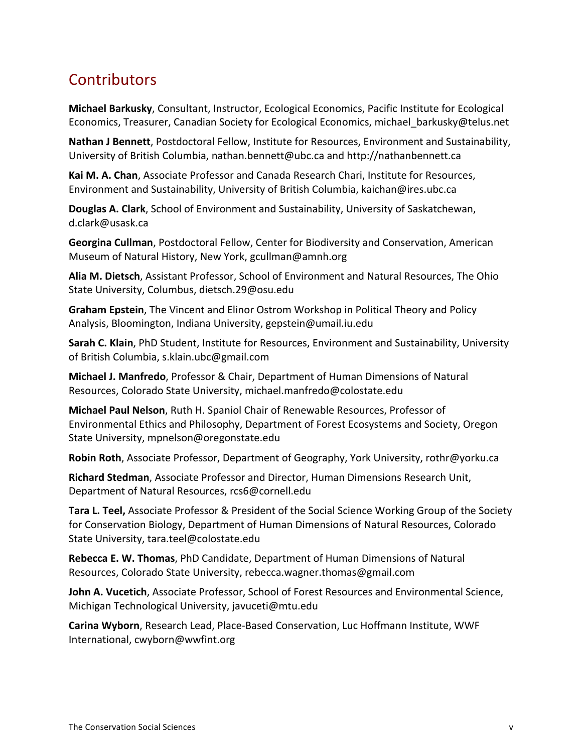# **Contributors**

**Michael Barkusky**, Consultant, Instructor, Ecological Economics, Pacific Institute for Ecological Economics, Treasurer, Canadian Society for Ecological Economics, michael\_barkusky@telus.net

**Nathan J Bennett**, Postdoctoral Fellow, Institute for Resources, Environment and Sustainability, University of British Columbia, nathan.bennett@ubc.ca and http://nathanbennett.ca

Kai M. A. Chan, Associate Professor and Canada Research Chari, Institute for Resources, Environment and Sustainability, University of British Columbia, kaichan@ires.ubc.ca

**Douglas A. Clark**, School of Environment and Sustainability, University of Saskatchewan, d.clark@usask.ca

**Georgina Cullman**, Postdoctoral Fellow, Center for Biodiversity and Conservation, American Museum of Natural History, New York, gcullman@amnh.org

Alia M. Dietsch, Assistant Professor, School of Environment and Natural Resources, The Ohio State University, Columbus, dietsch.29@osu.edu

**Graham Epstein**, The Vincent and Elinor Ostrom Workshop in Political Theory and Policy Analysis, Bloomington, Indiana University, gepstein@umail.iu.edu

**Sarah C. Klain**, PhD Student, Institute for Resources, Environment and Sustainability, University of British Columbia, s.klain.ubc@gmail.com

**Michael J. Manfredo**, Professor & Chair, Department of Human Dimensions of Natural Resources, Colorado State University, michael.manfredo@colostate.edu

**Michael Paul Nelson**, Ruth H. Spaniol Chair of Renewable Resources, Professor of Environmental Ethics and Philosophy, Department of Forest Ecosystems and Society, Oregon State University, mpnelson@oregonstate.edu

**Robin Roth**, Associate Professor, Department of Geography, York University, rothr@yorku.ca

**Richard Stedman**, Associate Professor and Director, Human Dimensions Research Unit, Department of Natural Resources, rcs6@cornell.edu

**Tara L. Teel,** Associate Professor & President of the Social Science Working Group of the Society for Conservation Biology, Department of Human Dimensions of Natural Resources, Colorado State University, tara.teel@colostate.edu

**Rebecca E. W. Thomas**, PhD Candidate, Department of Human Dimensions of Natural Resources, Colorado State University, rebecca.wagner.thomas@gmail.com

**John A. Vucetich**, Associate Professor, School of Forest Resources and Environmental Science, Michigan Technological University, javuceti@mtu.edu

**Carina Wyborn**, Research Lead, Place-Based Conservation, Luc Hoffmann Institute, WWF International, cwyborn@wwfint.org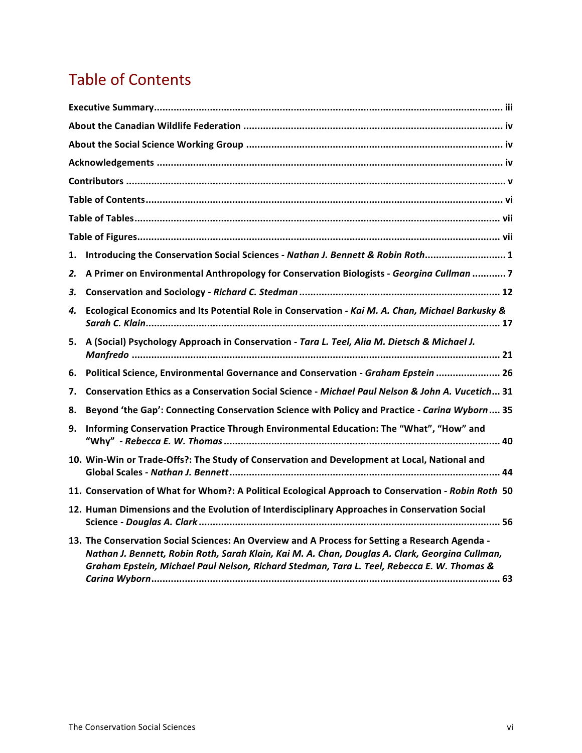# **Table of Contents**

| 1. | Introducing the Conservation Social Sciences - Nathan J. Bennett & Robin Roth 1                                                                                                                                                                                                                  |
|----|--------------------------------------------------------------------------------------------------------------------------------------------------------------------------------------------------------------------------------------------------------------------------------------------------|
| 2. | A Primer on Environmental Anthropology for Conservation Biologists - Georgina Cullman  7                                                                                                                                                                                                         |
| З. |                                                                                                                                                                                                                                                                                                  |
| 4. | Ecological Economics and Its Potential Role in Conservation - Kai M. A. Chan, Michael Barkusky &                                                                                                                                                                                                 |
| 5. | A (Social) Psychology Approach in Conservation - Tara L. Teel, Alia M. Dietsch & Michael J.                                                                                                                                                                                                      |
| 6. | Political Science, Environmental Governance and Conservation - Graham Epstein  26                                                                                                                                                                                                                |
| 7. | Conservation Ethics as a Conservation Social Science - Michael Paul Nelson & John A. Vucetich 31                                                                                                                                                                                                 |
| 8. | Beyond 'the Gap': Connecting Conservation Science with Policy and Practice - Carina Wyborn 35                                                                                                                                                                                                    |
| 9. | Informing Conservation Practice Through Environmental Education: The "What", "How" and                                                                                                                                                                                                           |
|    | 10. Win-Win or Trade-Offs?: The Study of Conservation and Development at Local, National and                                                                                                                                                                                                     |
|    | 11. Conservation of What for Whom?: A Political Ecological Approach to Conservation - Robin Roth 50                                                                                                                                                                                              |
|    | 12. Human Dimensions and the Evolution of Interdisciplinary Approaches in Conservation Social                                                                                                                                                                                                    |
|    | 13. The Conservation Social Sciences: An Overview and A Process for Setting a Research Agenda -<br>Nathan J. Bennett, Robin Roth, Sarah Klain, Kai M. A. Chan, Douglas A. Clark, Georgina Cullman,<br>Graham Epstein, Michael Paul Nelson, Richard Stedman, Tara L. Teel, Rebecca E. W. Thomas & |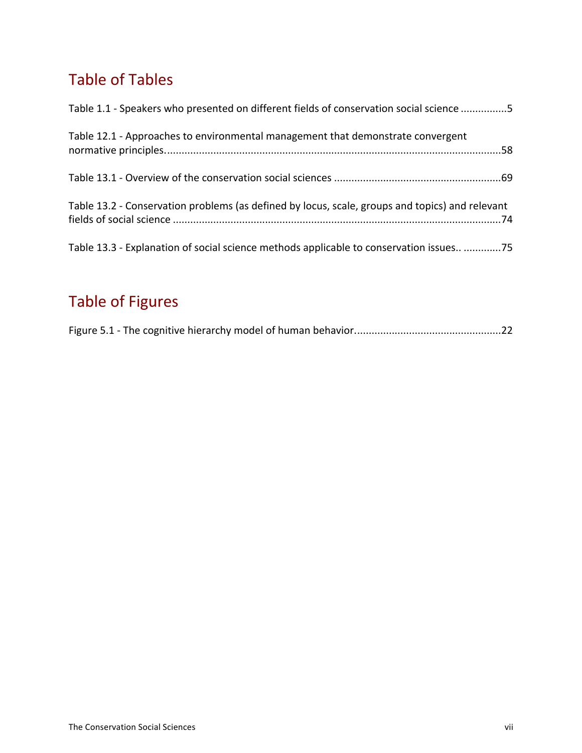# **Table of Tables**

| Table 1.1 - Speakers who presented on different fields of conservation social science 5         |
|-------------------------------------------------------------------------------------------------|
| Table 12.1 - Approaches to environmental management that demonstrate convergent                 |
|                                                                                                 |
| Table 13.2 - Conservation problems (as defined by locus, scale, groups and topics) and relevant |
| Table 13.3 - Explanation of social science methods applicable to conservation issues 75         |

# Table of Figures

|--|--|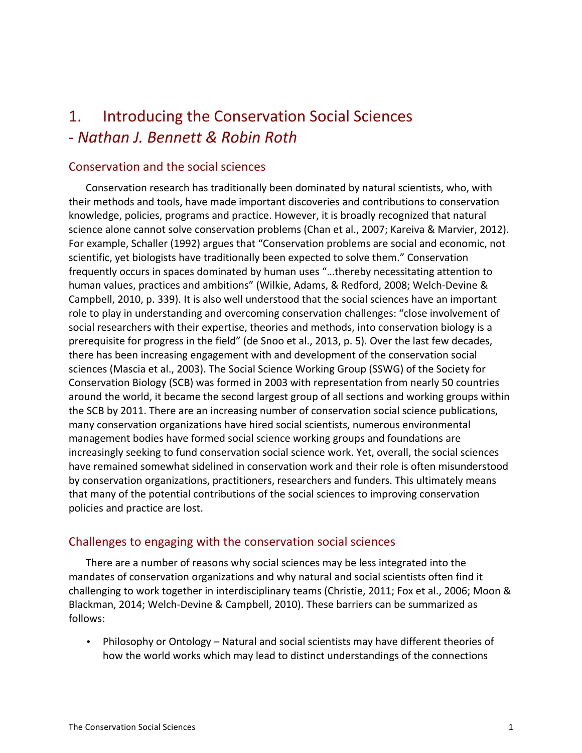### 1. Introducing the Conservation Social Sciences S *Nathan%J.%Bennett%& Robin%Roth*

#### Conservation and the social sciences

Conservation research has traditionally been dominated by natural scientists, who, with their methods and tools, have made important discoveries and contributions to conservation knowledge, policies, programs and practice. However, it is broadly recognized that natural science alone cannot solve conservation problems (Chan et al., 2007; Kareiva & Marvier, 2012). For example, Schaller (1992) argues that "Conservation problems are social and economic, not scientific, yet biologists have traditionally been expected to solve them." Conservation frequently occurs in spaces dominated by human uses "...thereby necessitating attention to human values, practices and ambitions" (Wilkie, Adams, & Redford, 2008; Welch-Devine & Campbell, 2010, p. 339). It is also well understood that the social sciences have an important role to play in understanding and overcoming conservation challenges: "close involvement of social researchers with their expertise, theories and methods, into conservation biology is a prerequisite for progress in the field" (de Snoo et al., 2013, p. 5). Over the last few decades, there has been increasing engagement with and development of the conservation social sciences (Mascia et al., 2003). The Social Science Working Group (SSWG) of the Society for Conservation Biology (SCB) was formed in 2003 with representation from nearly 50 countries around the world, it became the second largest group of all sections and working groups within the SCB by 2011. There are an increasing number of conservation social science publications, many conservation organizations have hired social scientists, numerous environmental management bodies have formed social science working groups and foundations are increasingly seeking to fund conservation social science work. Yet, overall, the social sciences have remained somewhat sidelined in conservation work and their role is often misunderstood by conservation organizations, practitioners, researchers and funders. This ultimately means that many of the potential contributions of the social sciences to improving conservation policies and practice are lost.

#### Challenges to engaging with the conservation social sciences

There are a number of reasons why social sciences may be less integrated into the mandates of conservation organizations and why natural and social scientists often find it challenging to work together in interdisciplinary teams (Christie, 2011; Fox et al., 2006; Moon & Blackman, 2014; Welch-Devine & Campbell, 2010). These barriers can be summarized as follows:

Philosophy or Ontology – Natural and social scientists may have different theories of how the world works which may lead to distinct understandings of the connections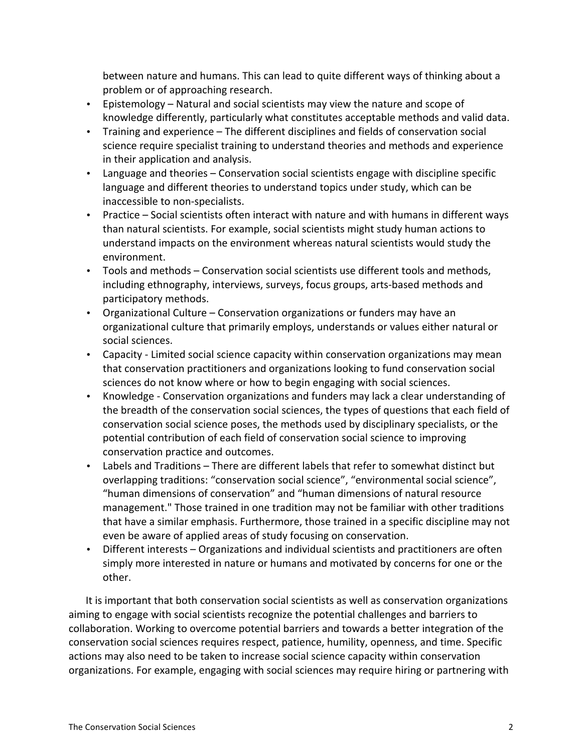between nature and humans. This can lead to quite different ways of thinking about a problem or of approaching research.

- Epistemology Natural and social scientists may view the nature and scope of knowledge differently, particularly what constitutes acceptable methods and valid data.
- Training and experience The different disciplines and fields of conservation social science require specialist training to understand theories and methods and experience in their application and analysis.
- Language and theories Conservation social scientists engage with discipline specific language and different theories to understand topics under study, which can be inaccessible to non-specialists.
- Practice Social scientists often interact with nature and with humans in different ways than natural scientists. For example, social scientists might study human actions to understand impacts on the environment whereas natural scientists would study the environment.
- Tools and methods Conservation social scientists use different tools and methods, including ethnography, interviews, surveys, focus groups, arts-based methods and participatory methods.
- Organizational Culture Conservation organizations or funders may have an organizational culture that primarily employs, understands or values either natural or social sciences.
- Capacity Limited social science capacity within conservation organizations may mean that conservation practitioners and organizations looking to fund conservation social sciences do not know where or how to begin engaging with social sciences.
- Knowledge Conservation organizations and funders may lack a clear understanding of the breadth of the conservation social sciences, the types of questions that each field of conservation social science poses, the methods used by disciplinary specialists, or the potential contribution of each field of conservation social science to improving conservation practice and outcomes.
- Labels and Traditions There are different labels that refer to somewhat distinct but overlapping traditions: "conservation social science", "environmental social science", "human dimensions of conservation" and "human dimensions of natural resource management." Those trained in one tradition may not be familiar with other traditions that have a similar emphasis. Furthermore, those trained in a specific discipline may not even be aware of applied areas of study focusing on conservation.
- Different interests Organizations and individual scientists and practitioners are often simply more interested in nature or humans and motivated by concerns for one or the other.

It is important that both conservation social scientists as well as conservation organizations aiming to engage with social scientists recognize the potential challenges and barriers to collaboration. Working to overcome potential barriers and towards a better integration of the conservation social sciences requires respect, patience, humility, openness, and time. Specific actions may also need to be taken to increase social science capacity within conservation organizations. For example, engaging with social sciences may require hiring or partnering with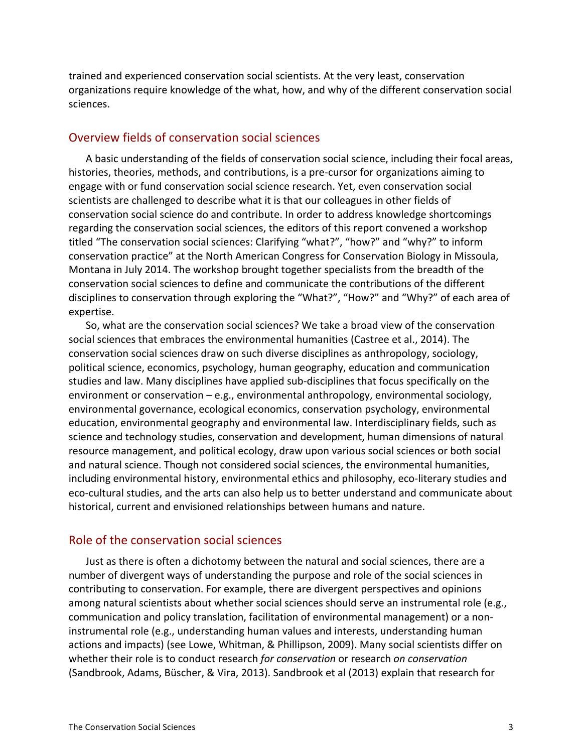trained and experienced conservation social scientists. At the very least, conservation organizations require knowledge of the what, how, and why of the different conservation social sciences.

#### Overview fields of conservation social sciences

A basic understanding of the fields of conservation social science, including their focal areas, histories, theories, methods, and contributions, is a pre-cursor for organizations aiming to engage with or fund conservation social science research. Yet, even conservation social scientists are challenged to describe what it is that our colleagues in other fields of conservation social science do and contribute. In order to address knowledge shortcomings regarding the conservation social sciences, the editors of this report convened a workshop titled "The conservation social sciences: Clarifying "what?", "how?" and "why?" to inform conservation practice" at the North American Congress for Conservation Biology in Missoula, Montana in July 2014. The workshop brought together specialists from the breadth of the conservation social sciences to define and communicate the contributions of the different disciplines to conservation through exploring the "What?", "How?" and "Why?" of each area of expertise.

So, what are the conservation social sciences? We take a broad view of the conservation social sciences that embraces the environmental humanities (Castree et al., 2014). The conservation social sciences draw on such diverse disciplines as anthropology, sociology, political science, economics, psychology, human geography, education and communication studies and law. Many disciplines have applied sub-disciplines that focus specifically on the environment or conservation – e.g., environmental anthropology, environmental sociology, environmental governance, ecological economics, conservation psychology, environmental education, environmental geography and environmental law. Interdisciplinary fields, such as science and technology studies, conservation and development, human dimensions of natural resource management, and political ecology, draw upon various social sciences or both social and natural science. Though not considered social sciences, the environmental humanities, including environmental history, environmental ethics and philosophy, eco-literary studies and eco-cultural studies, and the arts can also help us to better understand and communicate about historical, current and envisioned relationships between humans and nature.

#### Role of the conservation social sciences

Just as there is often a dichotomy between the natural and social sciences, there are a number of divergent ways of understanding the purpose and role of the social sciences in contributing to conservation. For example, there are divergent perspectives and opinions among natural scientists about whether social sciences should serve an instrumental role (e.g., communication and policy translation, facilitation of environmental management) or a noninstrumental role (e.g., understanding human values and interests, understanding human actions and impacts) (see Lowe, Whitman, & Phillipson, 2009). Many social scientists differ on whether their role is to conduct research *for conservation* or research *on conservation* (Sandbrook, Adams, Büscher, & Vira, 2013). Sandbrook et al (2013) explain that research for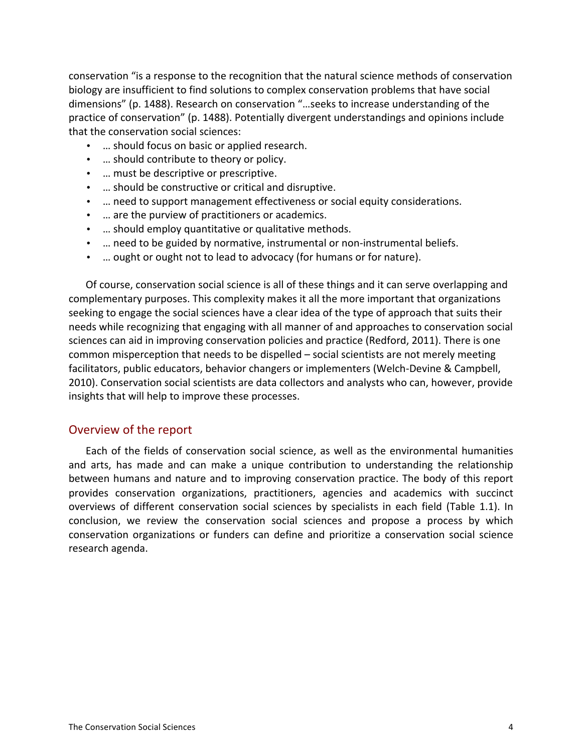conservation "is a response to the recognition that the natural science methods of conservation biology are insufficient to find solutions to complex conservation problems that have social dimensions" (p. 1488). Research on conservation "...seeks to increase understanding of the practice of conservation" (p. 1488). Potentially divergent understandings and opinions include that the conservation social sciences:

- ... should focus on basic or applied research.
- ... should contribute to theory or policy.
- ... must be descriptive or prescriptive.
- ... should be constructive or critical and disruptive.
- ... need to support management effectiveness or social equity considerations.
- ... are the purview of practitioners or academics.
- ... should employ quantitative or qualitative methods.
- ... need to be guided by normative, instrumental or non-instrumental beliefs.
- ... ought or ought not to lead to advocacy (for humans or for nature).

Of course, conservation social science is all of these things and it can serve overlapping and complementary purposes. This complexity makes it all the more important that organizations seeking to engage the social sciences have a clear idea of the type of approach that suits their needs while recognizing that engaging with all manner of and approaches to conservation social sciences can aid in improving conservation policies and practice (Redford, 2011). There is one common misperception that needs to be dispelled – social scientists are not merely meeting facilitators, public educators, behavior changers or implementers (Welch-Devine & Campbell, 2010). Conservation social scientists are data collectors and analysts who can, however, provide insights that will help to improve these processes.

#### Overview of the report

Each of the fields of conservation social science, as well as the environmental humanities and arts, has made and can make a unique contribution to understanding the relationship between humans and nature and to improving conservation practice. The body of this report provides conservation organizations, practitioners, agencies and academics with succinct overviews of different conservation social sciences by specialists in each field (Table 1.1). In conclusion, we review the conservation social sciences and propose a process by which conservation organizations or funders can define and prioritize a conservation social science research agenda.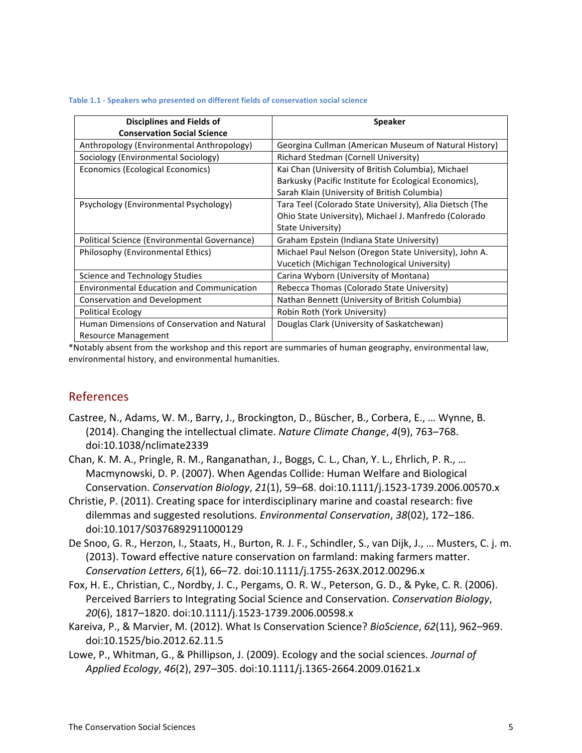| <b>Disciplines and Fields of</b>                 | <b>Speaker</b>                                           |
|--------------------------------------------------|----------------------------------------------------------|
| <b>Conservation Social Science</b>               |                                                          |
| Anthropology (Environmental Anthropology)        | Georgina Cullman (American Museum of Natural History)    |
| Sociology (Environmental Sociology)              | Richard Stedman (Cornell University)                     |
| Economics (Ecological Economics)                 | Kai Chan (University of British Columbia), Michael       |
|                                                  | Barkusky (Pacific Institute for Ecological Economics),   |
|                                                  | Sarah Klain (University of British Columbia)             |
| Psychology (Environmental Psychology)            | Tara Teel (Colorado State University), Alia Dietsch (The |
|                                                  | Ohio State University), Michael J. Manfredo (Colorado    |
|                                                  | State University)                                        |
| Political Science (Environmental Governance)     | Graham Epstein (Indiana State University)                |
| Philosophy (Environmental Ethics)                | Michael Paul Nelson (Oregon State University), John A.   |
|                                                  | Vucetich (Michigan Technological University)             |
| Science and Technology Studies                   | Carina Wyborn (University of Montana)                    |
| <b>Environmental Education and Communication</b> | Rebecca Thomas (Colorado State University)               |
| Conservation and Development                     | Nathan Bennett (University of British Columbia)          |
| <b>Political Ecology</b>                         | Robin Roth (York University)                             |
| Human Dimensions of Conservation and Natural     | Douglas Clark (University of Saskatchewan)               |
| Resource Management                              |                                                          |

\*Notably absent from the workshop and this report are summaries of human geography, environmental law, environmental history, and environmental humanities.

#### References

- Castree, N., Adams, W. M., Barry, J., Brockington, D., Büscher, B., Corbera, E., … Wynne, B. (2014). Changing the intellectual climate. *Nature Climate Change*, 4(9), 763–768. doi:10.1038/nclimate2339
- Chan, K. M. A., Pringle, R. M., Ranganathan, J., Boggs, C. L., Chan, Y. L., Ehrlich, P. R., … Macmynowski, D. P. (2007). When Agendas Collide: Human Welfare and Biological Conservation. *Conservation Biology, 21*(1), 59–68. doi:10.1111/j.1523-1739.2006.00570.x
- Christie, P. (2011). Creating space for interdisciplinary marine and coastal research: five dilemmas and suggested resolutions. *Environmental Conservation*, 38(02), 172–186. doi:10.1017/S0376892911000129
- De Snoo, G. R., Herzon, I., Staats, H., Burton, R. J. F., Schindler, S., van Dijk, J., … Musters, C. j. m. (2013). Toward effective nature conservation on farmland: making farmers matter. *Conservation Letters, 6*(1), 66–72. doi:10.1111/j.1755-263X.2012.00296.x
- Fox, H. E., Christian, C., Nordby, J. C., Pergams, O. R. W., Peterson, G. D., & Pyke, C. R. (2006). Perceived Barriers to Integrating Social Science and Conservation. *Conservation Biology*, 20(6), 1817–1820. doi:10.1111/j.1523-1739.2006.00598.x
- Kareiva, P., & Marvier, M. (2012). What Is Conservation Science? *BioScience*, 62(11), 962–969. doi:10.1525/bio.2012.62.11.5
- Lowe, P., Whitman, G., & Phillipson, J. (2009). Ecology and the social sciences. *Journal of* Applied Ecology, 46(2), 297-305. doi:10.1111/j.1365-2664.2009.01621.x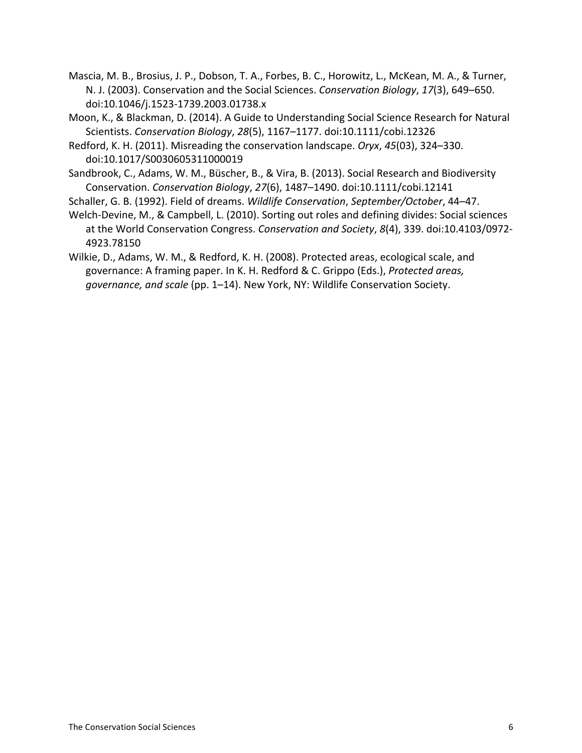- Mascia, M. B., Brosius, J. P., Dobson, T. A., Forbes, B. C., Horowitz, L., McKean, M. A., & Turner, N. J. (2003). Conservation and the Social Sciences. *Conservation Biology*, 17(3), 649–650. doi:10.1046/j.1523-1739.2003.01738.x
- Moon, K., & Blackman, D. (2014). A Guide to Understanding Social Science Research for Natural Scientists. *Conservation Biology, 28*(5), 1167–1177. doi:10.1111/cobi.12326
- Redford, K. H. (2011). Misreading the conservation landscape. *Oryx*, 45(03), 324–330. doi:10.1017/S0030605311000019
- Sandbrook, C., Adams, W. M., Büscher, B., & Vira, B. (2013). Social Research and Biodiversity Conservation.!*Conservation%Biology*,!*27*(6),!1487–1490.!doi:10.1111/cobi.12141
- Schaller, G. B. (1992). Field of dreams. *Wildlife Conservation*, *September/October*, 44–47.
- Welch-Devine, M., & Campbell, L. (2010). Sorting out roles and defining divides: Social sciences at the World Conservation Congress. *Conservation and Society*, 8(4), 339. doi:10.4103/0972-4923.78150
- Wilkie, D., Adams, W. M., & Redford, K. H. (2008). Protected areas, ecological scale, and governance: A framing paper. In K. H. Redford & C. Grippo (Eds.), *Protected areas,* governance, and scale (pp. 1–14). New York, NY: Wildlife Conservation Society.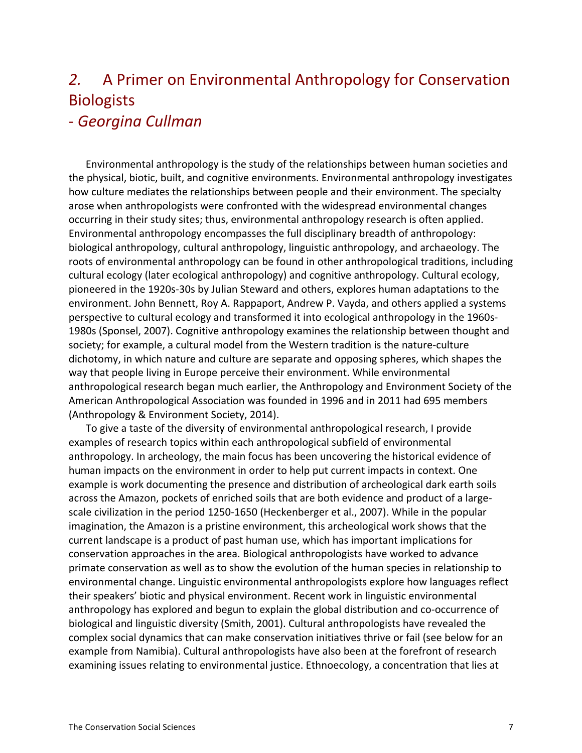# 2. A Primer on Environmental Anthropology for Conservation Biologists

### S *Georgina%Cullman*

Environmental anthropology is the study of the relationships between human societies and the physical, biotic, built, and cognitive environments. Environmental anthropology investigates how culture mediates the relationships between people and their environment. The specialty arose when anthropologists were confronted with the widespread environmental changes occurring in their study sites; thus, environmental anthropology research is often applied. Environmental anthropology encompasses the full disciplinary breadth of anthropology: biological anthropology, cultural anthropology, linguistic anthropology, and archaeology. The roots of environmental anthropology can be found in other anthropological traditions, including cultural ecology (later ecological anthropology) and cognitive anthropology. Cultural ecology, pioneered in the 1920s-30s by Julian Steward and others, explores human adaptations to the environment. John Bennett, Roy A. Rappaport, Andrew P. Vayda, and others applied a systems perspective to cultural ecology and transformed it into ecological anthropology in the 1960s-1980s (Sponsel, 2007). Cognitive anthropology examines the relationship between thought and society; for example, a cultural model from the Western tradition is the nature-culture dichotomy, in which nature and culture are separate and opposing spheres, which shapes the way that people living in Europe perceive their environment. While environmental anthropological research began much earlier, the Anthropology and Environment Society of the American Anthropological Association was founded in 1996 and in 2011 had 695 members (Anthropology & Environment Society, 2014).

To give a taste of the diversity of environmental anthropological research, I provide examples of research topics within each anthropological subfield of environmental anthropology. In archeology, the main focus has been uncovering the historical evidence of human impacts on the environment in order to help put current impacts in context. One example is work documenting the presence and distribution of archeological dark earth soils across the Amazon, pockets of enriched soils that are both evidence and product of a largescale civilization in the period 1250-1650 (Heckenberger et al., 2007). While in the popular imagination, the Amazon is a pristine environment, this archeological work shows that the current landscape is a product of past human use, which has important implications for conservation approaches in the area. Biological anthropologists have worked to advance primate conservation as well as to show the evolution of the human species in relationship to environmental change. Linguistic environmental anthropologists explore how languages reflect their speakers' biotic and physical environment. Recent work in linguistic environmental anthropology has explored and begun to explain the global distribution and co-occurrence of biological and linguistic diversity (Smith, 2001). Cultural anthropologists have revealed the complex social dynamics that can make conservation initiatives thrive or fail (see below for an example from Namibia). Cultural anthropologists have also been at the forefront of research examining issues relating to environmental justice. Ethnoecology, a concentration that lies at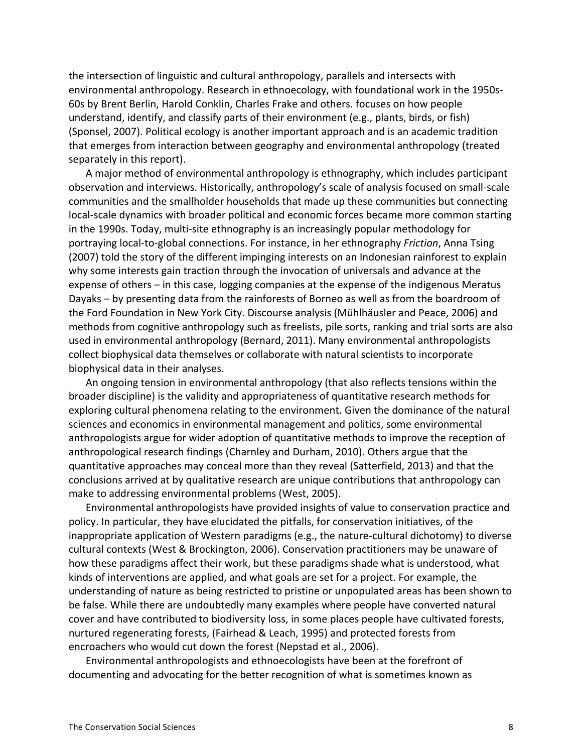the intersection of linguistic and cultural anthropology, parallels and intersects with environmental anthropology. Research in ethnoecology, with foundational work in the 1950s-60s by Brent Berlin, Harold Conklin, Charles Frake and others. focuses on how people understand, identify, and classify parts of their environment (e.g., plants, birds, or fish) (Sponsel, 2007). Political ecology is another important approach and is an academic tradition that emerges from interaction between geography and environmental anthropology (treated separately in this report).

A major method of environmental anthropology is ethnography, which includes participant observation and interviews. Historically, anthropology's scale of analysis focused on small-scale communities and the smallholder households that made up these communities but connecting local-scale dynamics with broader political and economic forces became more common starting in the 1990s. Today, multi-site ethnography is an increasingly popular methodology for portraying local-to-global connections. For instance, in her ethnography *Friction*, Anna Tsing (2007) told the story of the different impinging interests on an Indonesian rainforest to explain why some interests gain traction through the invocation of universals and advance at the expense of others – in this case, logging companies at the expense of the indigenous Meratus Dayaks – by presenting data from the rainforests of Borneo as well as from the boardroom of the Ford Foundation in New York City. Discourse analysis (Mühlhäusler and Peace, 2006) and methods from cognitive anthropology such as freelists, pile sorts, ranking and trial sorts are also used in environmental anthropology (Bernard, 2011). Many environmental anthropologists collect biophysical data themselves or collaborate with natural scientists to incorporate biophysical data in their analyses.

An ongoing tension in environmental anthropology (that also reflects tensions within the broader discipline) is the validity and appropriateness of quantitative research methods for exploring cultural phenomena relating to the environment. Given the dominance of the natural sciences and economics in environmental management and politics, some environmental anthropologists argue for wider adoption of quantitative methods to improve the reception of anthropological research findings (Charnley and Durham, 2010). Others argue that the quantitative approaches may conceal more than they reveal (Satterfield, 2013) and that the conclusions arrived at by qualitative research are unique contributions that anthropology can make to addressing environmental problems (West, 2005).

Environmental anthropologists have provided insights of value to conservation practice and policy. In particular, they have elucidated the pitfalls, for conservation initiatives, of the inappropriate application of Western paradigms (e.g., the nature-cultural dichotomy) to diverse cultural contexts (West & Brockington, 2006). Conservation practitioners may be unaware of how these paradigms affect their work, but these paradigms shade what is understood, what kinds of interventions are applied, and what goals are set for a project. For example, the understanding of nature as being restricted to pristine or unpopulated areas has been shown to be false. While there are undoubtedly many examples where people have converted natural cover and have contributed to biodiversity loss, in some places people have cultivated forests, nurtured regenerating forests, (Fairhead & Leach, 1995) and protected forests from encroachers who would cut down the forest (Nepstad et al., 2006).

Environmental anthropologists and ethnoecologists have been at the forefront of documenting and advocating for the better recognition of what is sometimes known as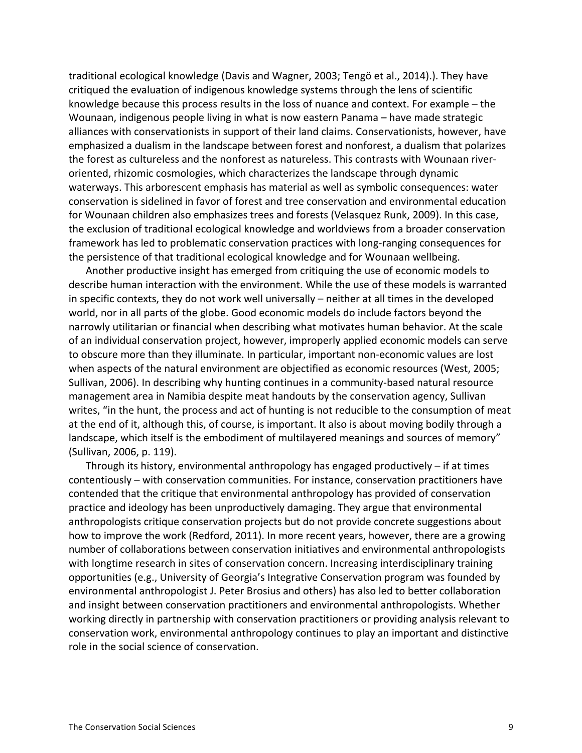traditional ecological knowledge (Davis and Wagner, 2003; Tengö et al., 2014).). They have critiqued the evaluation of indigenous knowledge systems through the lens of scientific knowledge because this process results in the loss of nuance and context. For example – the Wounaan, indigenous people living in what is now eastern Panama – have made strategic alliances with conservationists in support of their land claims. Conservationists, however, have emphasized a dualism in the landscape between forest and nonforest, a dualism that polarizes the forest as cultureless and the nonforest as natureless. This contrasts with Wounaan riveroriented, rhizomic cosmologies, which characterizes the landscape through dynamic waterways. This arborescent emphasis has material as well as symbolic consequences: water conservation is sidelined in favor of forest and tree conservation and environmental education for Wounaan children also emphasizes trees and forests (Velasquez Runk, 2009). In this case, the exclusion of traditional ecological knowledge and worldviews from a broader conservation framework has led to problematic conservation practices with long-ranging consequences for the persistence of that traditional ecological knowledge and for Wounaan wellbeing.

Another productive insight has emerged from critiquing the use of economic models to describe human interaction with the environment. While the use of these models is warranted in specific contexts, they do not work well universally – neither at all times in the developed world, nor in all parts of the globe. Good economic models do include factors beyond the narrowly utilitarian or financial when describing what motivates human behavior. At the scale of an individual conservation project, however, improperly applied economic models can serve to obscure more than they illuminate. In particular, important non-economic values are lost when aspects of the natural environment are objectified as economic resources (West, 2005; Sullivan, 2006). In describing why hunting continues in a community-based natural resource management area in Namibia despite meat handouts by the conservation agency, Sullivan writes, "in the hunt, the process and act of hunting is not reducible to the consumption of meat at the end of it, although this, of course, is important. It also is about moving bodily through a landscape, which itself is the embodiment of multilayered meanings and sources of memory" (Sullivan, 2006, p. 119).

Through its history, environmental anthropology has engaged productively – if at times contentiously – with conservation communities. For instance, conservation practitioners have contended that the critique that environmental anthropology has provided of conservation practice and ideology has been unproductively damaging. They argue that environmental anthropologists critique conservation projects but do not provide concrete suggestions about how to improve the work (Redford, 2011). In more recent years, however, there are a growing number of collaborations between conservation initiatives and environmental anthropologists with longtime research in sites of conservation concern. Increasing interdisciplinary training opportunities (e.g., University of Georgia's Integrative Conservation program was founded by environmental anthropologist J. Peter Brosius and others) has also led to better collaboration and insight between conservation practitioners and environmental anthropologists. Whether working directly in partnership with conservation practitioners or providing analysis relevant to conservation work, environmental anthropology continues to play an important and distinctive role in the social science of conservation.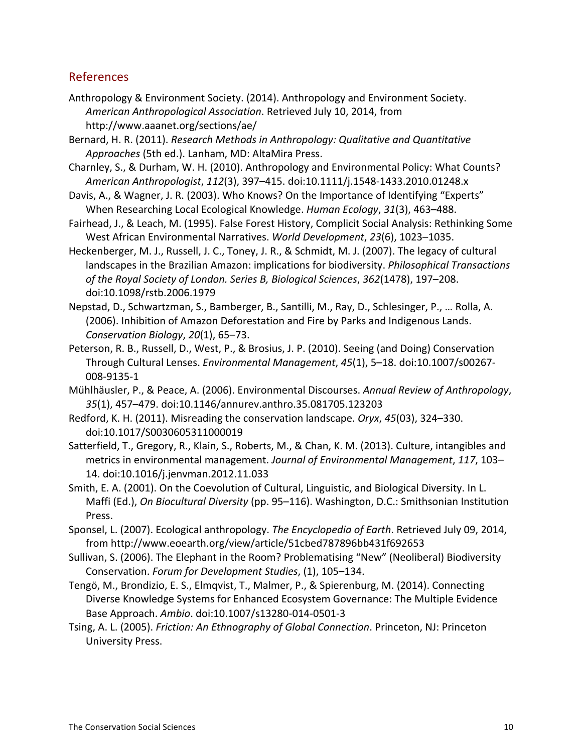#### References

- Anthropology & Environment Society. (2014). Anthropology and Environment Society. American Anthropological Association. Retrieved July 10, 2014, from http://www.aaanet.org/sections/ae/
- Bernard, H. R. (2011). *Research Methods in Anthropology: Qualitative and Quantitative* Approaches (5th ed.). Lanham, MD: AltaMira Press.
- Charnley, S., & Durham, W. H. (2010). Anthropology and Environmental Policy: What Counts? American Anthropologist, 112(3), 397-415. doi:10.1111/j.1548-1433.2010.01248.x
- Davis, A., & Wagner, J. R. (2003). Who Knows? On the Importance of Identifying "Experts" When Researching Local Ecological Knowledge. *Human Ecology*, 31(3), 463–488.
- Fairhead, J., & Leach, M. (1995). False Forest History, Complicit Social Analysis: Rethinking Some West African Environmental Narratives. *World Development*, 23(6), 1023–1035.
- Heckenberger, M. J., Russell, J. C., Toney, J. R., & Schmidt, M. J. (2007). The legacy of cultural landscapes in the Brazilian Amazon: implications for biodiversity. *Philosophical Transactions* of the Royal Society of London. Series B, Biological Sciences, 362(1478), 197–208. doi:10.1098/rstb.2006.1979
- Nepstad, D., Schwartzman, S., Bamberger, B., Santilli, M., Ray, D., Schlesinger, P., ... Rolla, A. (2006). Inhibition of Amazon Deforestation and Fire by Parks and Indigenous Lands. *Conservation Biology, 20(1), 65–73.*
- Peterson, R. B., Russell, D., West, P., & Brosius, J. P. (2010). Seeing (and Doing) Conservation Through Cultural Lenses. *Environmental Management*, 45(1), 5–18. doi:10.1007/s00267-008-9135-1
- Mühlhäusler, P., & Peace, A. (2006). Environmental Discourses. Annual Review of Anthropology, *35*(1),!457–479.!doi:10.1146/annurev.anthro.35.081705.123203
- Redford, K. H. (2011). Misreading the conservation landscape. *Oryx*, 45(03), 324–330. doi:10.1017/S0030605311000019
- Satterfield, T., Gregory, R., Klain, S., Roberts, M., & Chan, K. M. (2013). Culture, intangibles and metrics in environmental management. Journal of Environmental Management, 117, 103– 14.!doi:10.1016/j.jenvman.2012.11.033
- Smith, E. A. (2001). On the Coevolution of Cultural, Linguistic, and Biological Diversity. In L. Maffi (Ed.), *On Biocultural Diversity* (pp. 95–116). Washington, D.C.: Smithsonian Institution Press.
- Sponsel, L. (2007). Ecological anthropology. *The Encyclopedia of Earth*. Retrieved July 09, 2014, from!http://www.eoearth.org/view/article/51cbed787896bb431f692653
- Sullivan, S. (2006). The Elephant in the Room? Problematising "New" (Neoliberal) Biodiversity Conservation. Forum for Development Studies, (1), 105–134.
- Tengö, M., Brondizio, E. S., Elmqvist, T., Malmer, P., & Spierenburg, M. (2014). Connecting Diverse Knowledge Systems for Enhanced Ecosystem Governance: The Multiple Evidence Base Approach. Ambio. doi:10.1007/s13280-014-0501-3
- Tsing, A. L. (2005). *Friction: An Ethnography of Global Connection*. Princeton, NJ: Princeton University Press.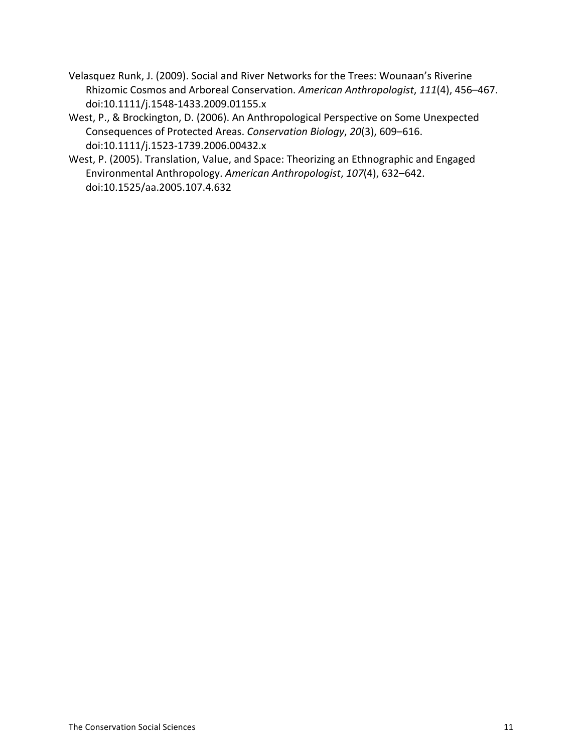- Velasquez Runk, J. (2009). Social and River Networks for the Trees: Wounaan's Riverine Rhizomic Cosmos and Arboreal Conservation. American Anthropologist, 111(4), 456–467. doi:10.1111/j.1548-1433.2009.01155.x
- West, P., & Brockington, D. (2006). An Anthropological Perspective on Some Unexpected Consequences of Protected Areas. *Conservation Biology*, 20(3), 609-616. doi:10.1111/j.1523-1739.2006.00432.x
- West, P. (2005). Translation, Value, and Space: Theorizing an Ethnographic and Engaged Environmental Anthropology. American Anthropologist, 107(4), 632–642. doi:10.1525/aa.2005.107.4.632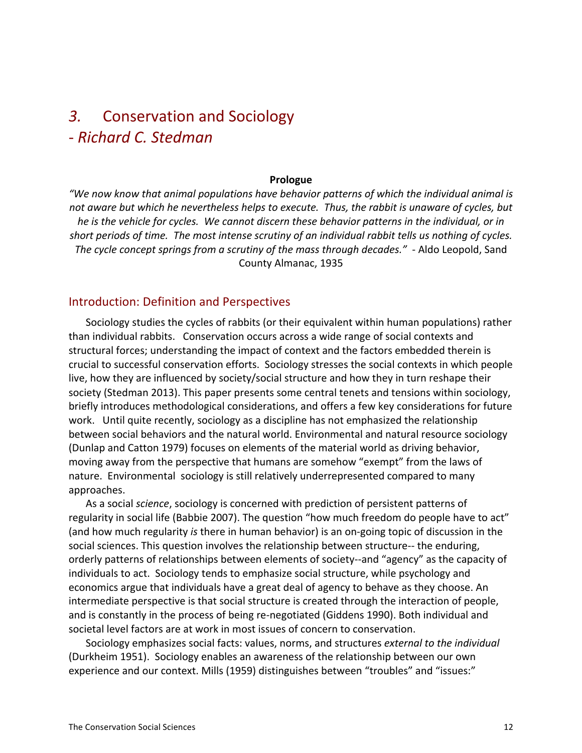### 3. Conservation and Sociology S *Richard%C.%Stedman*

#### **Prologue**

*"We%now%know%that%animal%populations%have%behavior%patterns%of%which%the%individual%animal%is%* not aware but which he nevertheless helps to execute. Thus, the rabbit is unaware of cycles, but he is the vehicle for cycles. We cannot discern these behavior patterns in the individual, or in short periods of time. The most intense scrutiny of an individual rabbit tells us nothing of cycles. *The cycle concept springs from a scrutiny of the mass through decades." - Aldo Leopold, Sand* County Almanac, 1935

#### Introduction: Definition and Perspectives

Sociology studies the cycles of rabbits (or their equivalent within human populations) rather than individual rabbits. Conservation occurs across a wide range of social contexts and structural forces; understanding the impact of context and the factors embedded therein is crucial to successful conservation efforts. Sociology stresses the social contexts in which people live, how they are influenced by society/social structure and how they in turn reshape their society (Stedman 2013). This paper presents some central tenets and tensions within sociology, briefly introduces methodological considerations, and offers a few key considerations for future work. Until quite recently, sociology as a discipline has not emphasized the relationship between social behaviors and the natural world. Environmental and natural resource sociology (Dunlap and Catton 1979) focuses on elements of the material world as driving behavior, moving away from the perspective that humans are somehow "exempt" from the laws of nature. Environmental sociology is still relatively underrepresented compared to many approaches.

As a social *science*, sociology is concerned with prediction of persistent patterns of regularity in social life (Babbie 2007). The question "how much freedom do people have to act" (and how much regularity *is* there in human behavior) is an on-going topic of discussion in the social sciences. This question involves the relationship between structure-- the enduring, orderly patterns of relationships between elements of society--and "agency" as the capacity of individuals to act. Sociology tends to emphasize social structure, while psychology and economics argue that individuals have a great deal of agency to behave as they choose. An intermediate perspective is that social structure is created through the interaction of people, and is constantly in the process of being re-negotiated (Giddens 1990). Both individual and societal level factors are at work in most issues of concern to conservation.

Sociology emphasizes social facts: values, norms, and structures *external to the individual* (Durkheim 1951). Sociology enables an awareness of the relationship between our own experience and our context. Mills (1959) distinguishes between "troubles" and "issues:"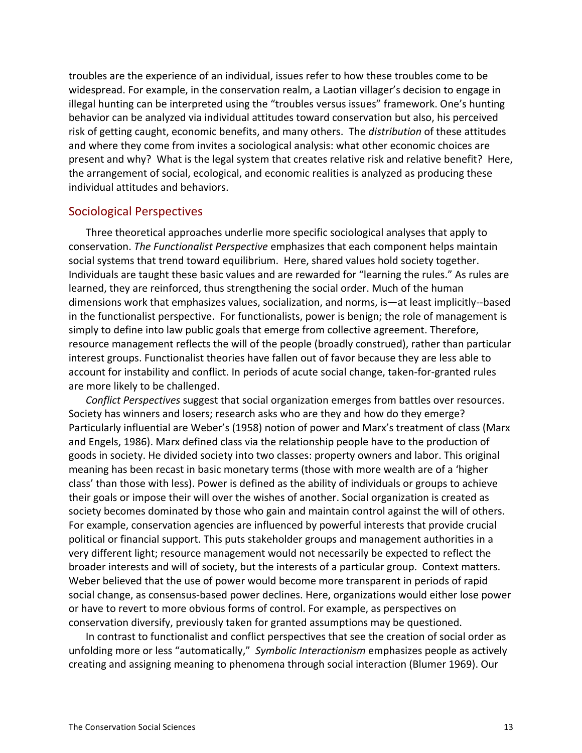troubles are the experience of an individual, issues refer to how these troubles come to be widespread. For example, in the conservation realm, a Laotian villager's decision to engage in illegal hunting can be interpreted using the "troubles versus issues" framework. One's hunting behavior can be analyzed via individual attitudes toward conservation but also, his perceived risk of getting caught, economic benefits, and many others. The *distribution* of these attitudes and where they come from invites a sociological analysis: what other economic choices are present and why? What is the legal system that creates relative risk and relative benefit? Here, the arrangement of social, ecological, and economic realities is analyzed as producing these individual attitudes and behaviors.

#### Sociological Perspectives

Three theoretical approaches underlie more specific sociological analyses that apply to conservation. *The Functionalist Perspective* emphasizes that each component helps maintain social systems that trend toward equilibrium. Here, shared values hold society together. Individuals are taught these basic values and are rewarded for "learning the rules." As rules are learned, they are reinforced, thus strengthening the social order. Much of the human dimensions work that emphasizes values, socialization, and norms, is—at least implicitly--based in the functionalist perspective. For functionalists, power is benign; the role of management is simply to define into law public goals that emerge from collective agreement. Therefore, resource management reflects the will of the people (broadly construed), rather than particular interest groups. Functionalist theories have fallen out of favor because they are less able to account for instability and conflict. In periods of acute social change, taken-for-granted rules are more likely to be challenged.

*Conflict Perspectives* suggest that social organization emerges from battles over resources. Society has winners and losers; research asks who are they and how do they emerge? Particularly influential are Weber's (1958) notion of power and Marx's treatment of class (Marx and Engels, 1986). Marx defined class via the relationship people have to the production of goods in society. He divided society into two classes: property owners and labor. This original meaning has been recast in basic monetary terms (those with more wealth are of a 'higher class' than those with less). Power is defined as the ability of individuals or groups to achieve their goals or impose their will over the wishes of another. Social organization is created as society becomes dominated by those who gain and maintain control against the will of others. For example, conservation agencies are influenced by powerful interests that provide crucial political or financial support. This puts stakeholder groups and management authorities in a very different light; resource management would not necessarily be expected to reflect the broader interests and will of society, but the interests of a particular group. Context matters. Weber believed that the use of power would become more transparent in periods of rapid social change, as consensus-based power declines. Here, organizations would either lose power or have to revert to more obvious forms of control. For example, as perspectives on conservation diversify, previously taken for granted assumptions may be questioned.

In contrast to functionalist and conflict perspectives that see the creation of social order as unfolding more or less "automatically," *Symbolic Interactionism* emphasizes people as actively creating and assigning meaning to phenomena through social interaction (Blumer 1969). Our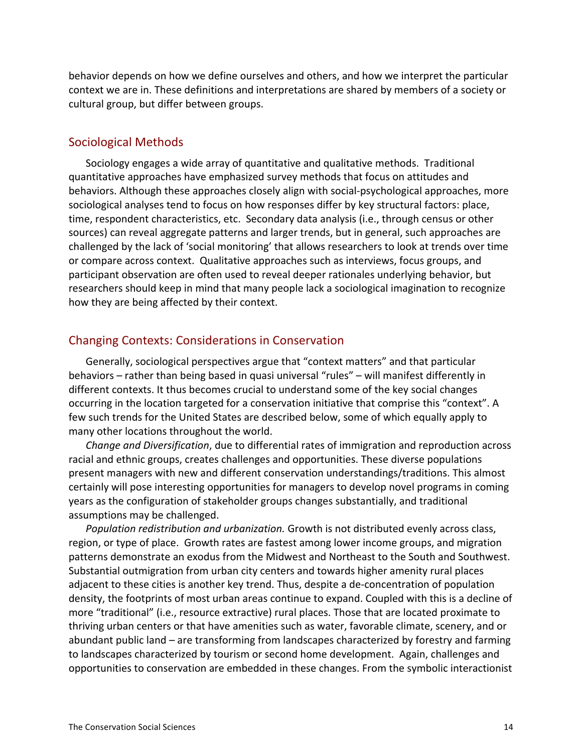behavior depends on how we define ourselves and others, and how we interpret the particular context we are in. These definitions and interpretations are shared by members of a society or cultural group, but differ between groups.

#### Sociological Methods

Sociology engages a wide array of quantitative and qualitative methods. Traditional quantitative approaches have emphasized survey methods that focus on attitudes and behaviors. Although these approaches closely align with social-psychological approaches, more sociological analyses tend to focus on how responses differ by key structural factors: place, time, respondent characteristics, etc. Secondary data analysis (i.e., through census or other sources) can reveal aggregate patterns and larger trends, but in general, such approaches are challenged by the lack of 'social monitoring' that allows researchers to look at trends over time or compare across context. Qualitative approaches such as interviews, focus groups, and participant observation are often used to reveal deeper rationales underlying behavior, but researchers should keep in mind that many people lack a sociological imagination to recognize how they are being affected by their context.

#### Changing Contexts: Considerations in Conservation

Generally, sociological perspectives argue that "context matters" and that particular behaviors – rather than being based in quasi universal "rules" – will manifest differently in different contexts. It thus becomes crucial to understand some of the key social changes occurring in the location targeted for a conservation initiative that comprise this "context". A few such trends for the United States are described below, some of which equally apply to many other locations throughout the world.

*Change and Diversification*, due to differential rates of immigration and reproduction across racial and ethnic groups, creates challenges and opportunities. These diverse populations present managers with new and different conservation understandings/traditions. This almost certainly will pose interesting opportunities for managers to develop novel programs in coming years as the configuration of stakeholder groups changes substantially, and traditional assumptions may be challenged.

*Population redistribution and urbanization.* Growth is not distributed evenly across class, region, or type of place. Growth rates are fastest among lower income groups, and migration patterns demonstrate an exodus from the Midwest and Northeast to the South and Southwest. Substantial outmigration from urban city centers and towards higher amenity rural places adjacent to these cities is another key trend. Thus, despite a de-concentration of population density, the footprints of most urban areas continue to expand. Coupled with this is a decline of more "traditional" (i.e., resource extractive) rural places. Those that are located proximate to thriving urban centers or that have amenities such as water, favorable climate, scenery, and or abundant public land – are transforming from landscapes characterized by forestry and farming to landscapes characterized by tourism or second home development. Again, challenges and opportunities to conservation are embedded in these changes. From the symbolic interactionist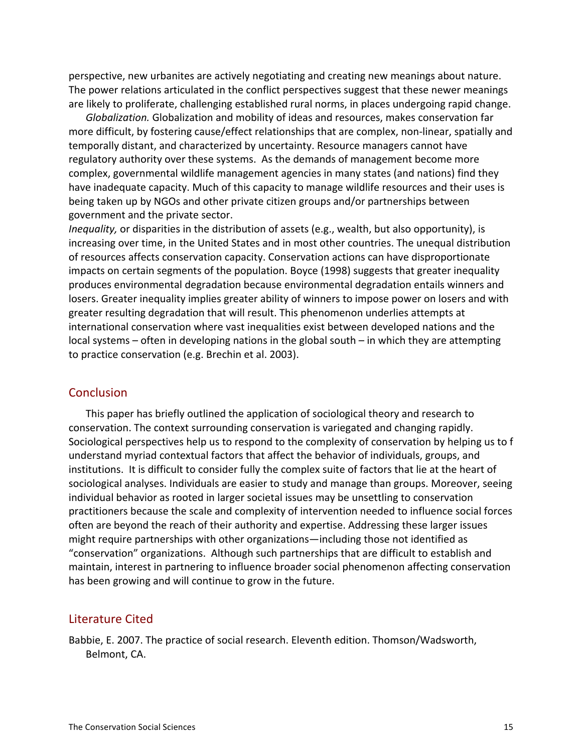perspective, new urbanites are actively negotiating and creating new meanings about nature. The power relations articulated in the conflict perspectives suggest that these newer meanings are likely to proliferate, challenging established rural norms, in places undergoing rapid change.

*Globalization.* Globalization and mobility of ideas and resources, makes conservation far more difficult, by fostering cause/effect relationships that are complex, non-linear, spatially and temporally distant, and characterized by uncertainty. Resource managers cannot have regulatory authority over these systems. As the demands of management become more complex, governmental wildlife management agencies in many states (and nations) find they have inadequate capacity. Much of this capacity to manage wildlife resources and their uses is being taken up by NGOs and other private citizen groups and/or partnerships between government and the private sector.

*Inequality*, or disparities in the distribution of assets (e.g., wealth, but also opportunity), is increasing over time, in the United States and in most other countries. The unequal distribution of resources affects conservation capacity. Conservation actions can have disproportionate impacts on certain segments of the population. Boyce (1998) suggests that greater inequality produces environmental degradation because environmental degradation entails winners and losers. Greater inequality implies greater ability of winners to impose power on losers and with greater resulting degradation that will result. This phenomenon underlies attempts at international conservation where vast inequalities exist between developed nations and the  $local systems – often in developing nations in the global south – in which they are attempting$ to practice conservation (e.g. Brechin et al. 2003).

#### **Conclusion**

This paper has briefly outlined the application of sociological theory and research to conservation. The context surrounding conservation is variegated and changing rapidly. Sociological perspectives help us to respond to the complexity of conservation by helping us to f understand myriad contextual factors that affect the behavior of individuals, groups, and institutions. It is difficult to consider fully the complex suite of factors that lie at the heart of sociological analyses. Individuals are easier to study and manage than groups. Moreover, seeing individual behavior as rooted in larger societal issues may be unsettling to conservation practitioners because the scale and complexity of intervention needed to influence social forces often are beyond the reach of their authority and expertise. Addressing these larger issues might require partnerships with other organizations—including those not identified as "conservation" organizations. Although such partnerships that are difficult to establish and maintain, interest in partnering to influence broader social phenomenon affecting conservation has been growing and will continue to grow in the future.

#### Literature Cited

Babbie, E. 2007. The practice of social research. Eleventh edition. Thomson/Wadsworth, Belmont, CA.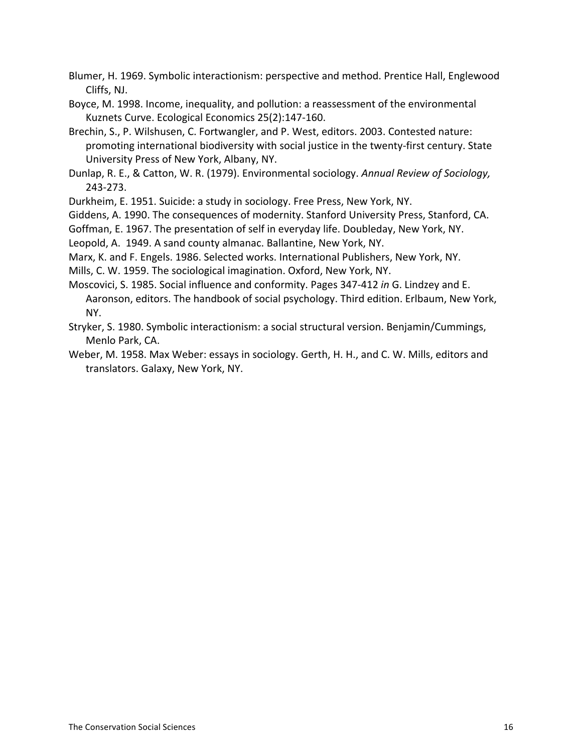Blumer, H. 1969. Symbolic interactionism: perspective and method. Prentice Hall, Englewood Cliffs, NJ.

Boyce, M. 1998. Income, inequality, and pollution: a reassessment of the environmental Kuznets Curve. Ecological Economics 25(2):147-160.

Brechin, S., P. Wilshusen, C. Fortwangler, and P. West, editors. 2003. Contested nature: promoting international biodiversity with social justice in the twenty-first century. State University Press of New York, Albany, NY.

Dunlap, R. E., & Catton, W. R. (1979). Environmental sociology. *Annual Review of Sociology*, 243-273.

Durkheim, E. 1951. Suicide: a study in sociology. Free Press, New York, NY.

Giddens, A. 1990. The consequences of modernity. Stanford University Press, Stanford, CA.

Goffman, E. 1967. The presentation of self in everyday life. Doubleday, New York, NY.

Leopold, A. 1949. A sand county almanac. Ballantine, New York, NY.

Marx, K. and F. Engels. 1986. Selected works. International Publishers, New York, NY.

Mills, C. W. 1959. The sociological imagination. Oxford, New York, NY.

Moscovici, S. 1985. Social influence and conformity. Pages 347-412 *in* G. Lindzey and E. Aaronson, editors. The handbook of social psychology. Third edition. Erlbaum, New York, NY.

Stryker, S. 1980. Symbolic interactionism: a social structural version. Benjamin/Cummings, Menlo Park, CA.

Weber, M. 1958. Max Weber: essays in sociology. Gerth, H. H., and C. W. Mills, editors and translators. Galaxy, New York, NY.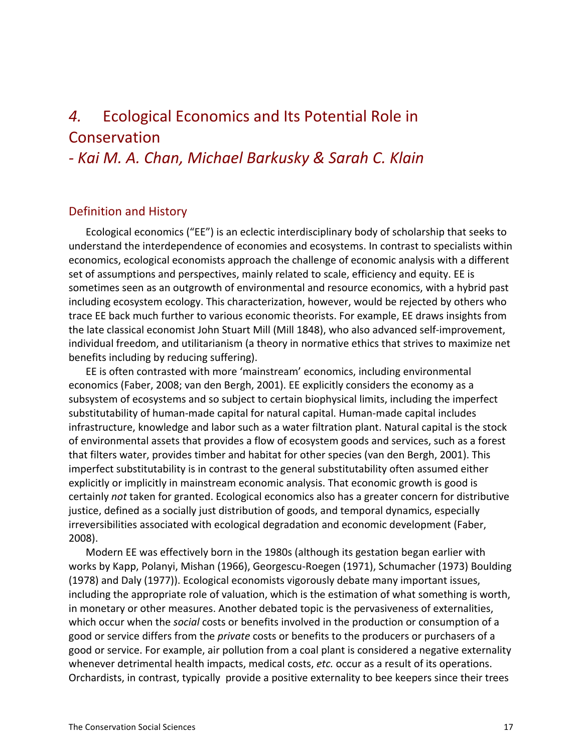# 4. Ecological Economics and Its Potential Role in Conservation

### *a Kai%M.%A.%Chan,%Michael%Barkusky%&%Sarah C. Klain*

#### Definition and History

Ecological economics ("EE") is an eclectic interdisciplinary body of scholarship that seeks to understand the interdependence of economies and ecosystems. In contrast to specialists within economics, ecological economists approach the challenge of economic analysis with a different set of assumptions and perspectives, mainly related to scale, efficiency and equity. EE is sometimes seen as an outgrowth of environmental and resource economics, with a hybrid past including ecosystem ecology. This characterization, however, would be rejected by others who trace EE back much further to various economic theorists. For example, EE draws insights from the late classical economist John Stuart Mill (Mill 1848), who also advanced self-improvement, individual freedom, and utilitarianism (a theory in normative ethics that strives to maximize net benefits including by reducing suffering).

EE is often contrasted with more 'mainstream' economics, including environmental economics (Faber, 2008; van den Bergh, 2001). EE explicitly considers the economy as a subsystem of ecosystems and so subject to certain biophysical limits, including the imperfect substitutability of human-made capital for natural capital. Human-made capital includes infrastructure, knowledge and labor such as a water filtration plant. Natural capital is the stock of environmental assets that provides a flow of ecosystem goods and services, such as a forest that filters water, provides timber and habitat for other species (van den Bergh, 2001). This imperfect substitutability is in contrast to the general substitutability often assumed either explicitly or implicitly in mainstream economic analysis. That economic growth is good is certainly *not* taken for granted. Ecological economics also has a greater concern for distributive justice, defined as a socially just distribution of goods, and temporal dynamics, especially irreversibilities associated with ecological degradation and economic development (Faber, 2008).

Modern EE was effectively born in the 1980s (although its gestation began earlier with works by Kapp, Polanyi, Mishan (1966), Georgescu-Roegen (1971), Schumacher (1973) Boulding (1978) and Daly (1977)). Ecological economists vigorously debate many important issues, including the appropriate role of valuation, which is the estimation of what something is worth, in monetary or other measures. Another debated topic is the pervasiveness of externalities, which occur when the *social* costs or benefits involved in the production or consumption of a good or service differs from the *private* costs or benefits to the producers or purchasers of a good or service. For example, air pollution from a coal plant is considered a negative externality whenever detrimental health impacts, medical costs, *etc.* occur as a result of its operations. Orchardists, in contrast, typically provide a positive externality to bee keepers since their trees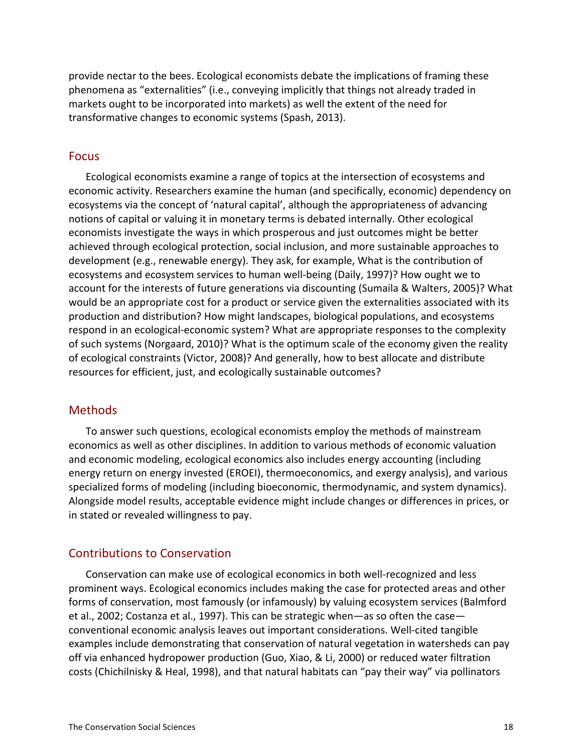provide nectar to the bees. Ecological economists debate the implications of framing these phenomena as "externalities" (i.e., conveying implicitly that things not already traded in markets ought to be incorporated into markets) as well the extent of the need for transformative changes to economic systems (Spash, 2013).

#### Focus

Ecological economists examine a range of topics at the intersection of ecosystems and economic activity. Researchers examine the human (and specifically, economic) dependency on ecosystems via the concept of 'natural capital', although the appropriateness of advancing notions of capital or valuing it in monetary terms is debated internally. Other ecological economists investigate the ways in which prosperous and just outcomes might be better achieved through ecological protection, social inclusion, and more sustainable approaches to development (e.g., renewable energy). They ask, for example, What is the contribution of ecosystems and ecosystem services to human well-being (Daily, 1997)? How ought we to account for the interests of future generations via discounting (Sumaila & Walters, 2005)? What would be an appropriate cost for a product or service given the externalities associated with its production and distribution? How might landscapes, biological populations, and ecosystems respond in an ecological-economic system? What are appropriate responses to the complexity of such systems (Norgaard, 2010)? What is the optimum scale of the economy given the reality of ecological constraints (Victor, 2008)? And generally, how to best allocate and distribute resources for efficient, just, and ecologically sustainable outcomes?

#### **Methods**

To answer such questions, ecological economists employ the methods of mainstream economics as well as other disciplines. In addition to various methods of economic valuation and economic modeling, ecological economics also includes energy accounting (including energy return on energy invested (EROEI), thermoeconomics, and exergy analysis), and various specialized forms of modeling (including bioeconomic, thermodynamic, and system dynamics). Alongside model results, acceptable evidence might include changes or differences in prices, or in stated or revealed willingness to pay.

#### **Contributions to Conservation**

Conservation can make use of ecological economics in both well-recognized and less prominent ways. Ecological economics includes making the case for protected areas and other forms of conservation, most famously (or infamously) by valuing ecosystem services (Balmford et al., 2002; Costanza et al., 1997). This can be strategic when—as so often the case conventional economic analysis leaves out important considerations. Well-cited tangible examples include demonstrating that conservation of natural vegetation in watersheds can pay off via enhanced hydropower production (Guo, Xiao, & Li, 2000) or reduced water filtration costs (Chichilnisky & Heal, 1998), and that natural habitats can "pay their way" via pollinators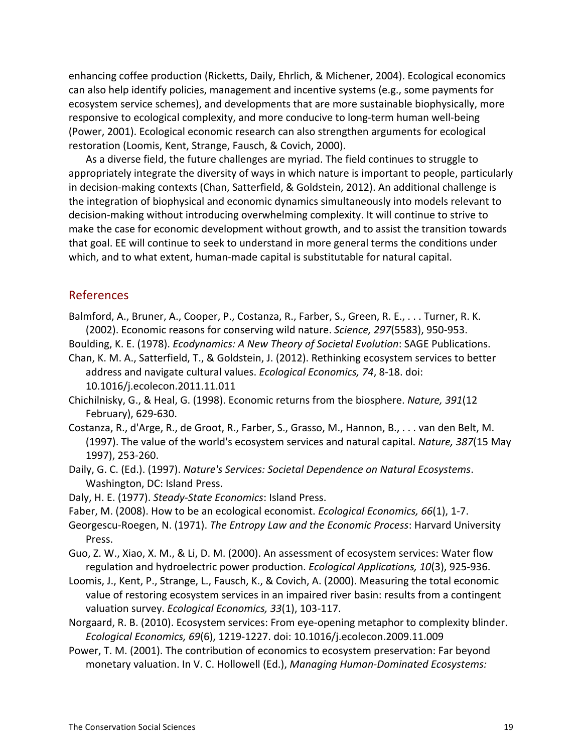enhancing coffee production (Ricketts, Daily, Ehrlich, & Michener, 2004). Ecological economics can also help identify policies, management and incentive systems (e.g., some payments for ecosystem service schemes), and developments that are more sustainable biophysically, more responsive to ecological complexity, and more conducive to long-term human well-being (Power, 2001). Ecological economic research can also strengthen arguments for ecological restoration (Loomis, Kent, Strange, Fausch, & Covich, 2000).

As a diverse field, the future challenges are myriad. The field continues to struggle to appropriately integrate the diversity of ways in which nature is important to people, particularly in decision-making contexts (Chan, Satterfield, & Goldstein, 2012). An additional challenge is the integration of biophysical and economic dynamics simultaneously into models relevant to decision-making without introducing overwhelming complexity. It will continue to strive to make the case for economic development without growth, and to assist the transition towards that goal. EE will continue to seek to understand in more general terms the conditions under which, and to what extent, human-made capital is substitutable for natural capital.

#### References

- Balmford, A., Bruner, A., Cooper, P., Costanza, R., Farber, S., Green, R. E., . . . Turner, R. K. (2002). Economic reasons for conserving wild nature. *Science, 297*(5583), 950-953.
- Boulding, K. E. (1978). *Ecodynamics: A New Theory of Societal Evolution*: SAGE Publications.
- Chan, K. M. A., Satterfield, T., & Goldstein, J. (2012). Rethinking ecosystem services to better address and navigate cultural values. *Ecological Economics, 74*, 8-18. doi: 10.1016/j.ecolecon.2011.11.011
- Chichilnisky, G., & Heal, G. (1998). Economic returns from the biosphere. *Nature, 391*(12 February), 629-630.
- Costanza, R., d'Arge, R., de Groot, R., Farber, S., Grasso, M., Hannon, B., . . . van den Belt, M. (1997). The value of the world's ecosystem services and natural capital. *Nature, 387*(15 May 1997), 253-260.
- Daily, G. C. (Ed.). (1997). *Nature's Services: Societal Dependence on Natural Ecosystems.* Washington, DC: Island Press.
- Daly, H. E. (1977). *Steady-State Economics*: Island Press.
- Faber, M. (2008). How to be an ecological economist. *Ecological Economics, 66*(1), 1-7.
- Georgescu-Roegen, N. (1971). *The Entropy Law and the Economic Process*: Harvard University Press.
- Guo, Z. W., Xiao, X. M., & Li, D. M. (2000). An assessment of ecosystem services: Water flow regulation and hydroelectric power production. *Ecological Applications, 10*(3), 925-936.
- Loomis, J., Kent, P., Strange, L., Fausch, K., & Covich, A. (2000). Measuring the total economic value of restoring ecosystem services in an impaired river basin: results from a contingent valuation survey. *Ecological Economics, 33*(1), 103-117.
- Norgaard, R. B. (2010). Ecosystem services: From eye-opening metaphor to complexity blinder. *Ecological Economics, 69*(6), 1219-1227. doi: 10.1016/j.ecolecon.2009.11.009
- Power, T. M. (2001). The contribution of economics to ecosystem preservation: Far beyond monetary valuation. In V. C. Hollowell (Ed.), *Managing Human-Dominated Ecosystems:*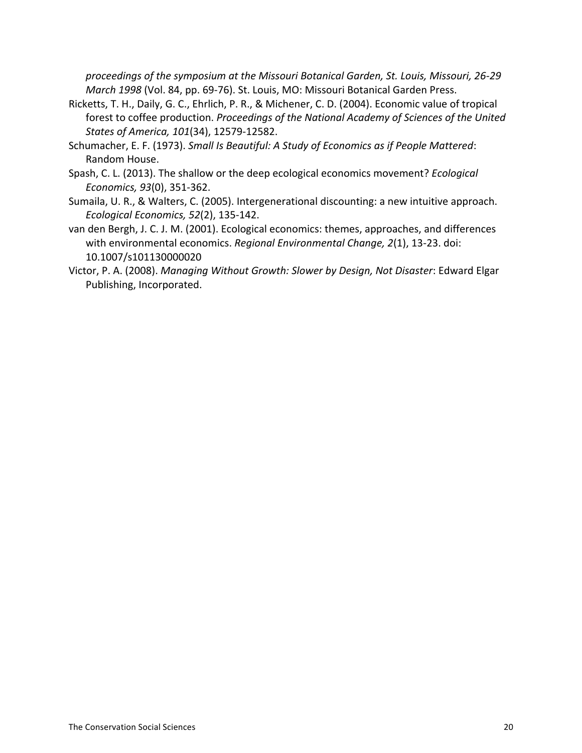proceedings of the symposium at the Missouri Botanical Garden, St. Louis, Missouri, 26-29 *March 1998* (Vol. 84, pp. 69-76). St. Louis, MO: Missouri Botanical Garden Press.

- Ricketts, T. H., Daily, G. C., Ehrlich, P. R., & Michener, C. D. (2004). Economic value of tropical forest to coffee production. *Proceedings of the National Academy of Sciences of the United States of America, 101*(34), 12579-12582.
- Schumacher, E. F. (1973). *Small Is Beautiful: A Study of Economics as if People Mattered:* Random House.
- Spash, C. L. (2013). The shallow or the deep ecological economics movement? *Ecological Economics, 93*(0), 351-362.
- Sumaila, U. R., & Walters, C. (2005). Intergenerational discounting: a new intuitive approach. *Ecological Economics, 52(2), 135-142.*
- van den Bergh, J. C. J. M. (2001). Ecological economics: themes, approaches, and differences with environmental economics. *Regional Environmental Change, 2*(1), 13-23. doi: 10.1007/s101130000020
- Victor, P. A. (2008). *Managing Without Growth: Slower by Design, Not Disaster*: Edward Elgar Publishing, Incorporated.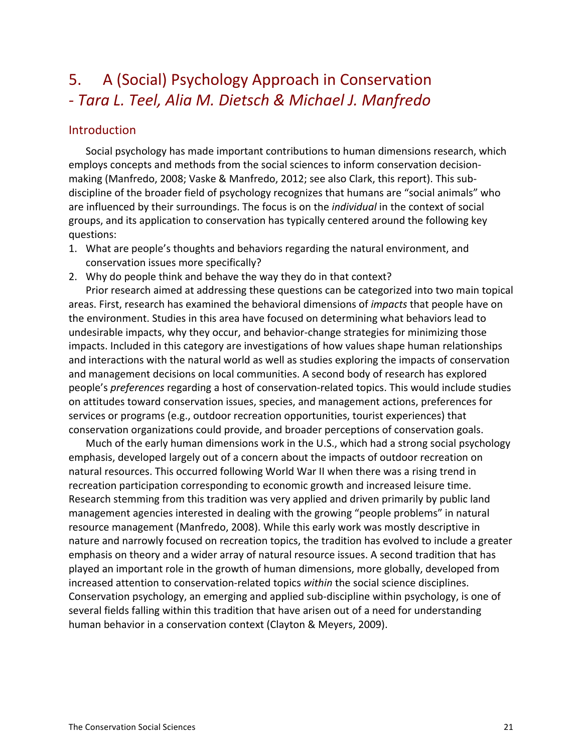# 5. A (Social) Psychology Approach in Conservation *a Tara%L.%Teel,%Alia%M.%Dietsch%& Michael%J.%Manfredo*

#### Introduction

Social psychology has made important contributions to human dimensions research, which employs concepts and methods from the social sciences to inform conservation decisionmaking (Manfredo, 2008; Vaske & Manfredo, 2012; see also Clark, this report). This subdiscipline of the broader field of psychology recognizes that humans are "social animals" who are influenced by their surroundings. The focus is on the *individual* in the context of social groups, and its application to conservation has typically centered around the following key questions:

- 1. What are people's thoughts and behaviors regarding the natural environment, and conservation issues more specifically?
- 2. Why do people think and behave the way they do in that context?

Prior research aimed at addressing these questions can be categorized into two main topical areas. First, research has examined the behavioral dimensions of *impacts* that people have on the environment. Studies in this area have focused on determining what behaviors lead to undesirable impacts, why they occur, and behavior-change strategies for minimizing those impacts. Included in this category are investigations of how values shape human relationships and interactions with the natural world as well as studies exploring the impacts of conservation and management decisions on local communities. A second body of research has explored people's *preferences* regarding a host of conservation-related topics. This would include studies on attitudes toward conservation issues, species, and management actions, preferences for services or programs (e.g., outdoor recreation opportunities, tourist experiences) that conservation organizations could provide, and broader perceptions of conservation goals.

Much of the early human dimensions work in the U.S., which had a strong social psychology emphasis, developed largely out of a concern about the impacts of outdoor recreation on natural resources. This occurred following World War II when there was a rising trend in recreation participation corresponding to economic growth and increased leisure time. Research stemming from this tradition was very applied and driven primarily by public land management agencies interested in dealing with the growing "people problems" in natural resource management (Manfredo, 2008). While this early work was mostly descriptive in nature and narrowly focused on recreation topics, the tradition has evolved to include a greater emphasis on theory and a wider array of natural resource issues. A second tradition that has played an important role in the growth of human dimensions, more globally, developed from increased attention to conservation-related topics *within* the social science disciplines. Conservation psychology, an emerging and applied sub-discipline within psychology, is one of several fields falling within this tradition that have arisen out of a need for understanding human behavior in a conservation context (Clayton & Meyers, 2009).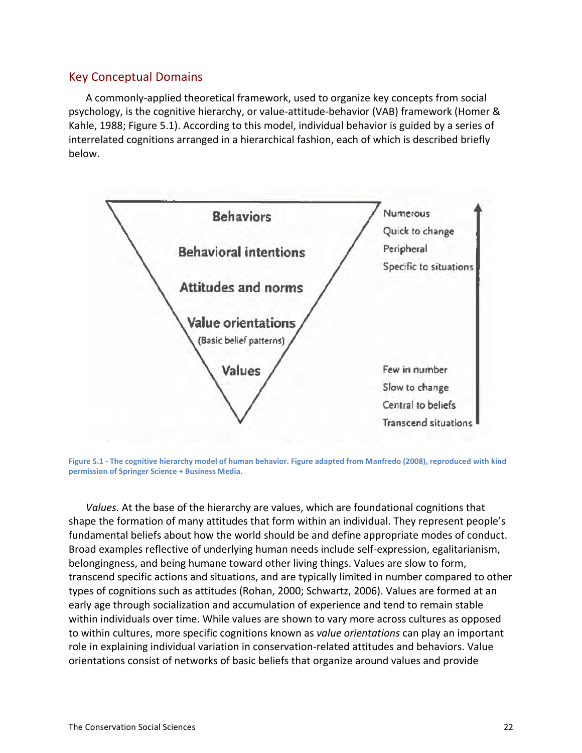#### Key!Conceptual!Domains

A commonly-applied theoretical framework, used to organize key concepts from social psychology, is the cognitive hierarchy, or value-attitude-behavior (VAB) framework (Homer & Kahle, 1988; Figure 5.1). According to this model, individual behavior is guided by a series of interrelated cognitions arranged in a hierarchical fashion, each of which is described briefly below.



Figure 5.1 - The cognitive hierarchy model of human behavior. Figure adapted from Manfredo (2008), reproduced with kind permission of Springer Science + Business Media.

*Values.* At the base of the hierarchy are values, which are foundational cognitions that shape the formation of many attitudes that form within an individual. They represent people's fundamental beliefs about how the world should be and define appropriate modes of conduct. Broad examples reflective of underlying human needs include self-expression, egalitarianism, belongingness, and being humane toward other living things. Values are slow to form, transcend specific actions and situations, and are typically limited in number compared to other types of cognitions such as attitudes (Rohan, 2000; Schwartz, 2006). Values are formed at an early age through socialization and accumulation of experience and tend to remain stable within individuals over time. While values are shown to vary more across cultures as opposed to within cultures, more specific cognitions known as *value orientations* can play an important role in explaining individual variation in conservation-related attitudes and behaviors. Value orientations consist of networks of basic beliefs that organize around values and provide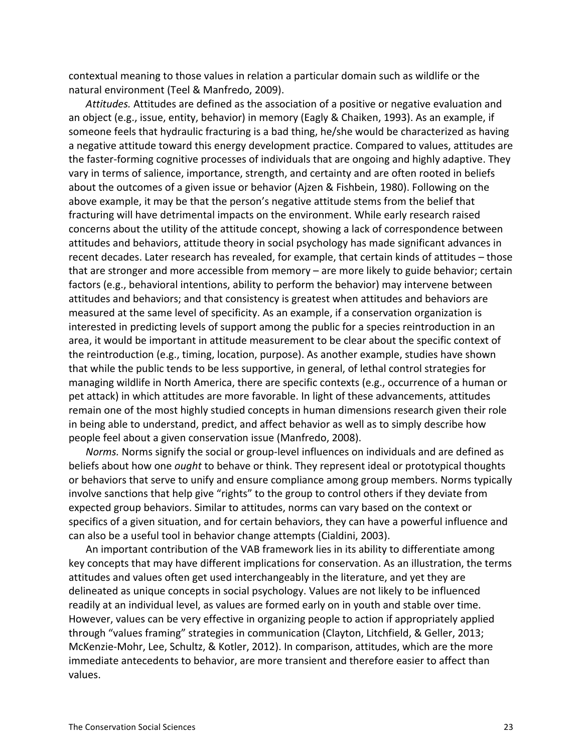contextual meaning to those values in relation a particular domain such as wildlife or the natural environment (Teel & Manfredo, 2009).

Attitudes. Attitudes are defined as the association of a positive or negative evaluation and an object (e.g., issue, entity, behavior) in memory (Eagly & Chaiken, 1993). As an example, if someone feels that hydraulic fracturing is a bad thing, he/she would be characterized as having a negative attitude toward this energy development practice. Compared to values, attitudes are the faster-forming cognitive processes of individuals that are ongoing and highly adaptive. They vary in terms of salience, importance, strength, and certainty and are often rooted in beliefs about the outcomes of a given issue or behavior (Ajzen & Fishbein, 1980). Following on the above example, it may be that the person's negative attitude stems from the belief that fracturing will have detrimental impacts on the environment. While early research raised concerns about the utility of the attitude concept, showing a lack of correspondence between attitudes and behaviors, attitude theory in social psychology has made significant advances in recent decades. Later research has revealed, for example, that certain kinds of attitudes – those that are stronger and more accessible from memory – are more likely to guide behavior; certain factors (e.g., behavioral intentions, ability to perform the behavior) may intervene between attitudes and behaviors; and that consistency is greatest when attitudes and behaviors are measured at the same level of specificity. As an example, if a conservation organization is interested in predicting levels of support among the public for a species reintroduction in an area, it would be important in attitude measurement to be clear about the specific context of the reintroduction (e.g., timing, location, purpose). As another example, studies have shown that while the public tends to be less supportive, in general, of lethal control strategies for managing wildlife in North America, there are specific contexts (e.g., occurrence of a human or pet attack) in which attitudes are more favorable. In light of these advancements, attitudes remain one of the most highly studied concepts in human dimensions research given their role in being able to understand, predict, and affect behavior as well as to simply describe how people feel about a given conservation issue (Manfredo, 2008).

*Norms.* Norms signify the social or group-level influences on individuals and are defined as beliefs about how one *ought* to behave or think. They represent ideal or prototypical thoughts or behaviors that serve to unify and ensure compliance among group members. Norms typically involve sanctions that help give "rights" to the group to control others if they deviate from expected group behaviors. Similar to attitudes, norms can vary based on the context or specifics of a given situation, and for certain behaviors, they can have a powerful influence and can also be a useful tool in behavior change attempts (Cialdini, 2003).

An important contribution of the VAB framework lies in its ability to differentiate among key concepts that may have different implications for conservation. As an illustration, the terms attitudes and values often get used interchangeably in the literature, and yet they are delineated as unique concepts in social psychology. Values are not likely to be influenced readily at an individual level, as values are formed early on in youth and stable over time. However, values can be very effective in organizing people to action if appropriately applied through "values framing" strategies in communication (Clayton, Litchfield, & Geller, 2013; McKenzie-Mohr, Lee, Schultz, & Kotler, 2012). In comparison, attitudes, which are the more immediate antecedents to behavior, are more transient and therefore easier to affect than values.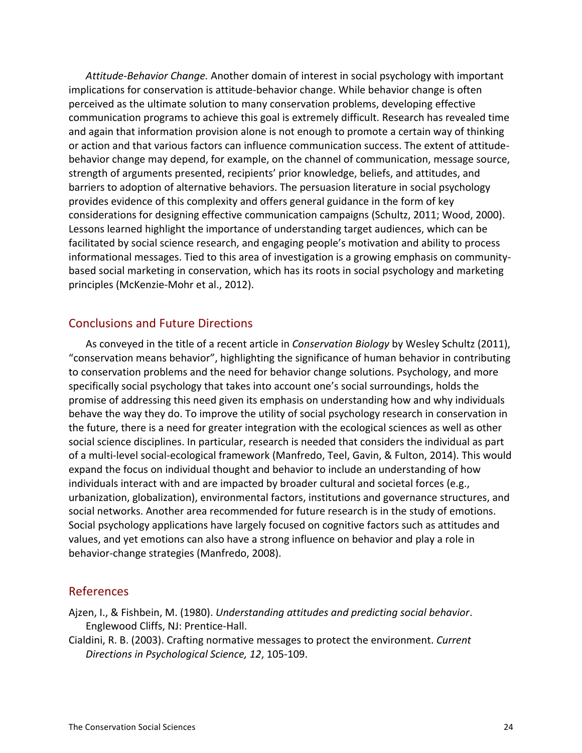Attitude-Behavior Change. Another domain of interest in social psychology with important implications for conservation is attitude-behavior change. While behavior change is often perceived as the ultimate solution to many conservation problems, developing effective communication programs to achieve this goal is extremely difficult. Research has revealed time and again that information provision alone is not enough to promote a certain way of thinking or action and that various factors can influence communication success. The extent of attitudebehavior change may depend, for example, on the channel of communication, message source, strength of arguments presented, recipients' prior knowledge, beliefs, and attitudes, and barriers to adoption of alternative behaviors. The persuasion literature in social psychology provides evidence of this complexity and offers general guidance in the form of key considerations for designing effective communication campaigns (Schultz, 2011; Wood, 2000). Lessons learned highlight the importance of understanding target audiences, which can be facilitated by social science research, and engaging people's motivation and ability to process informational messages. Tied to this area of investigation is a growing emphasis on communitybased social marketing in conservation, which has its roots in social psychology and marketing principles (McKenzie-Mohr et al., 2012).

#### Conclusions and Future Directions

As conveyed in the title of a recent article in *Conservation Biology* by Wesley Schultz (2011), "conservation means behavior", highlighting the significance of human behavior in contributing to conservation problems and the need for behavior change solutions. Psychology, and more specifically social psychology that takes into account one's social surroundings, holds the promise of addressing this need given its emphasis on understanding how and why individuals behave the way they do. To improve the utility of social psychology research in conservation in the future, there is a need for greater integration with the ecological sciences as well as other social science disciplines. In particular, research is needed that considers the individual as part of a multi-level social-ecological framework (Manfredo, Teel, Gavin, & Fulton, 2014). This would expand the focus on individual thought and behavior to include an understanding of how individuals interact with and are impacted by broader cultural and societal forces (e.g., urbanization, globalization), environmental factors, institutions and governance structures, and social networks. Another area recommended for future research is in the study of emotions. Social psychology applications have largely focused on cognitive factors such as attitudes and values, and yet emotions can also have a strong influence on behavior and play a role in behavior-change strategies (Manfredo, 2008).

#### References

Ajzen, I., & Fishbein, M. (1980). *Understanding attitudes and predicting social behavior*. Englewood Cliffs, NJ: Prentice-Hall.

Cialdini, R. B. (2003). Crafting normative messages to protect the environment. *Current Directions in Psychological Science, 12, 105-109.*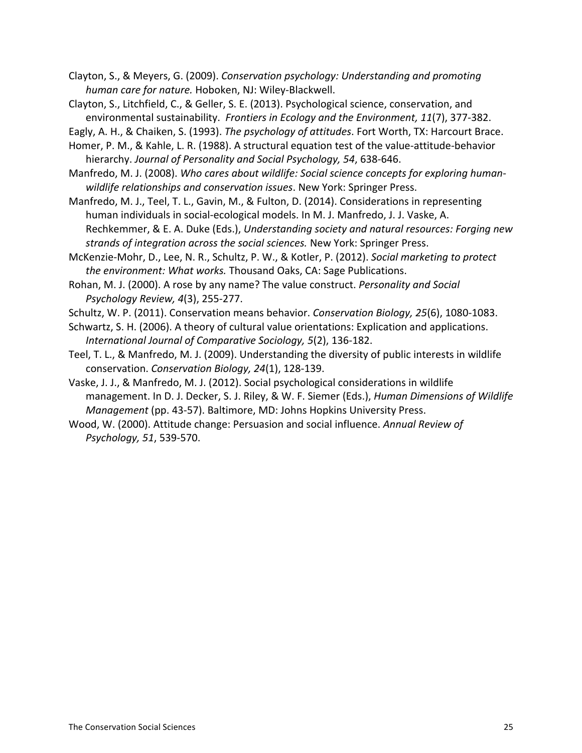Clayton, S., & Meyers, G. (2009). *Conservation psychology: Understanding and promoting* human care for nature. Hoboken, NJ: Wiley-Blackwell.

Clayton, S., Litchfield, C., & Geller, S. E. (2013). Psychological science, conservation, and environmental sustainability. Frontiers in Ecology and the Environment, 11(7), 377-382.

Eagly, A. H., & Chaiken, S. (1993). *The psychology of attitudes*. Fort Worth, TX: Harcourt Brace.

Homer, P. M., & Kahle, L. R. (1988). A structural equation test of the value-attitude-behavior hierarchy. *Journal of Personality and Social Psychology, 54, 638-646.* 

Manfredo, M. J. (2008). *Who cares about wildlife: Social science concepts for exploring human*wildlife relationships and conservation issues. New York: Springer Press.

Manfredo, M. J., Teel, T. L., Gavin, M., & Fulton, D. (2014). Considerations in representing human individuals in social-ecological models. In M. J. Manfredo, J. J. Vaske, A. Rechkemmer, & E. A. Duke (Eds.), *Understanding society and natural resources: Forging new* strands of integration across the social sciences. New York: Springer Press.

McKenzie-Mohr, D., Lee, N. R., Schultz, P. W., & Kotler, P. (2012). *Social marketing to protect the environment: What works.* Thousand Oaks, CA: Sage Publications.

Rohan, M. J. (2000). A rose by any name? The value construct. *Personality and Social Psychology Review, 4(3), 255-277.* 

Schultz, W. P. (2011). Conservation means behavior. *Conservation Biology, 25*(6), 1080-1083.

Schwartz, S. H. (2006). A theory of cultural value orientations: Explication and applications. *International Journal of Comparative Sociology, 5(2), 136-182.* 

Teel, T. L., & Manfredo, M. J. (2009). Understanding the diversity of public interests in wildlife conservation. Conservation Biology, 24(1), 128-139.

Vaske, J. J., & Manfredo, M. J. (2012). Social psychological considerations in wildlife management. In D. J. Decker, S. J. Riley, & W. F. Siemer (Eds.), *Human Dimensions of Wildlife Management* (pp. 43-57). Baltimore, MD: Johns Hopkins University Press.

Wood, W. (2000). Attitude change: Persuasion and social influence. *Annual Review of Psychology, 51, 539-570.*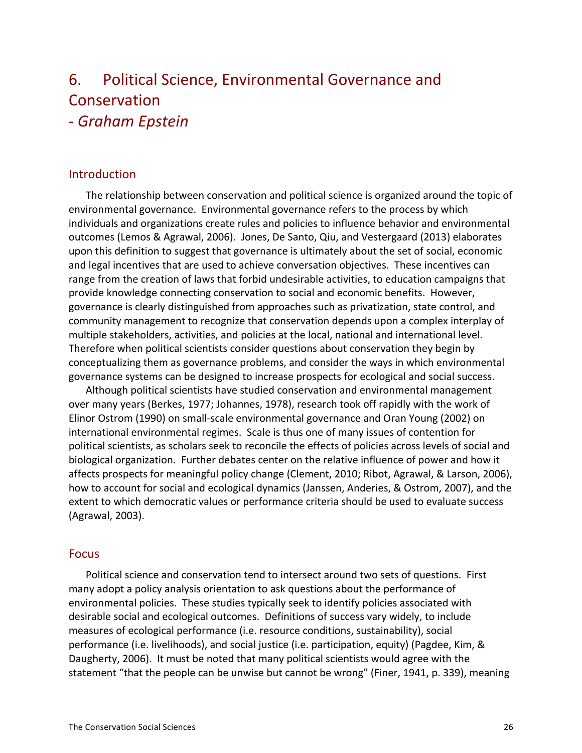# 6. Political Science, Environmental Governance and Conservation *a Graham%Epstein*

#### Introduction

The relationship between conservation and political science is organized around the topic of environmental governance. Environmental governance refers to the process by which individuals and organizations create rules and policies to influence behavior and environmental outcomes (Lemos & Agrawal, 2006). Jones, De Santo, Qiu, and Vestergaard (2013) elaborates upon this definition to suggest that governance is ultimately about the set of social, economic and legal incentives that are used to achieve conversation objectives. These incentives can range from the creation of laws that forbid undesirable activities, to education campaigns that provide knowledge connecting conservation to social and economic benefits. However, governance is clearly distinguished from approaches such as privatization, state control, and community management to recognize that conservation depends upon a complex interplay of multiple stakeholders, activities, and policies at the local, national and international level. Therefore when political scientists consider questions about conservation they begin by conceptualizing them as governance problems, and consider the ways in which environmental governance systems can be designed to increase prospects for ecological and social success.

Although political scientists have studied conservation and environmental management over many years (Berkes, 1977; Johannes, 1978), research took off rapidly with the work of Elinor Ostrom (1990) on small-scale environmental governance and Oran Young (2002) on international environmental regimes. Scale is thus one of many issues of contention for political scientists, as scholars seek to reconcile the effects of policies across levels of social and biological organization. Further debates center on the relative influence of power and how it affects prospects for meaningful policy change (Clement, 2010; Ribot, Agrawal, & Larson, 2006), how to account for social and ecological dynamics (Janssen, Anderies, & Ostrom, 2007), and the extent to which democratic values or performance criteria should be used to evaluate success (Agrawal, 2003).

#### Focus

Political science and conservation tend to intersect around two sets of questions. First many adopt a policy analysis orientation to ask questions about the performance of environmental policies. These studies typically seek to identify policies associated with desirable social and ecological outcomes. Definitions of success vary widely, to include measures of ecological performance (i.e. resource conditions, sustainability), social performance (i.e. livelihoods), and social justice (i.e. participation, equity) (Pagdee, Kim, & Daugherty, 2006). It must be noted that many political scientists would agree with the statement "that the people can be unwise but cannot be wrong" (Finer, 1941, p. 339), meaning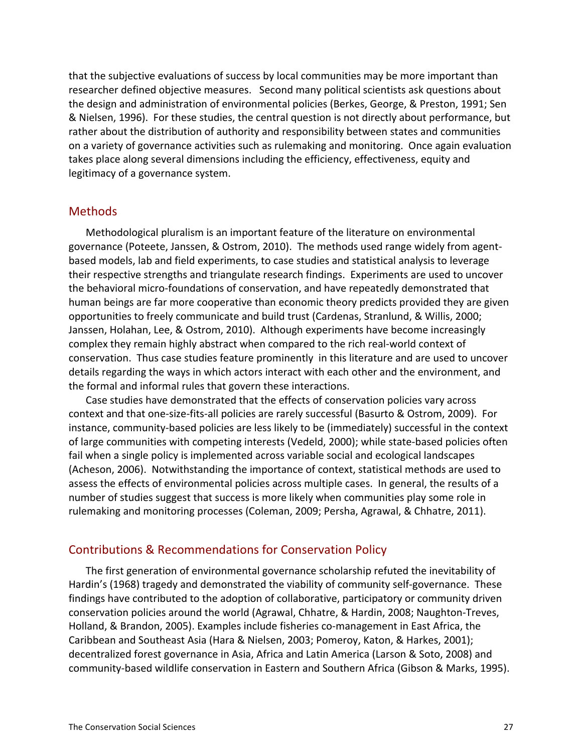that the subjective evaluations of success by local communities may be more important than researcher defined objective measures. Second many political scientists ask questions about the design and administration of environmental policies (Berkes, George, & Preston, 1991; Sen & Nielsen, 1996). For these studies, the central question is not directly about performance, but rather about the distribution of authority and responsibility between states and communities on a variety of governance activities such as rulemaking and monitoring. Once again evaluation takes place along several dimensions including the efficiency, effectiveness, equity and legitimacy of a governance system.

#### Methods!

Methodological pluralism is an important feature of the literature on environmental governance (Poteete, Janssen, & Ostrom, 2010). The methods used range widely from agentbased models, lab and field experiments, to case studies and statistical analysis to leverage their respective strengths and triangulate research findings. Experiments are used to uncover the behavioral micro-foundations of conservation, and have repeatedly demonstrated that human beings are far more cooperative than economic theory predicts provided they are given opportunities to freely communicate and build trust (Cardenas, Stranlund, & Willis, 2000; Janssen, Holahan, Lee, & Ostrom, 2010). Although experiments have become increasingly complex they remain highly abstract when compared to the rich real-world context of conservation. Thus case studies feature prominently in this literature and are used to uncover details regarding the ways in which actors interact with each other and the environment, and the formal and informal rules that govern these interactions.

Case studies have demonstrated that the effects of conservation policies vary across context and that one-size-fits-all policies are rarely successful (Basurto & Ostrom, 2009). For instance, community-based policies are less likely to be (immediately) successful in the context of large communities with competing interests (Vedeld, 2000); while state-based policies often fail when a single policy is implemented across variable social and ecological landscapes (Acheson, 2006). Notwithstanding the importance of context, statistical methods are used to assess the effects of environmental policies across multiple cases. In general, the results of a number of studies suggest that success is more likely when communities play some role in rulemaking and monitoring processes (Coleman, 2009; Persha, Agrawal, & Chhatre, 2011).

#### Contributions & Recommendations for Conservation Policy

The first generation of environmental governance scholarship refuted the inevitability of Hardin's (1968) tragedy and demonstrated the viability of community self-governance. These findings have contributed to the adoption of collaborative, participatory or community driven conservation policies around the world (Agrawal, Chhatre, & Hardin, 2008; Naughton-Treves, Holland, & Brandon, 2005). Examples include fisheries co-management in East Africa, the Caribbean and Southeast Asia (Hara & Nielsen, 2003; Pomeroy, Katon, & Harkes, 2001); decentralized forest governance in Asia, Africa and Latin America (Larson & Soto, 2008) and community-based wildlife conservation in Eastern and Southern Africa (Gibson & Marks, 1995).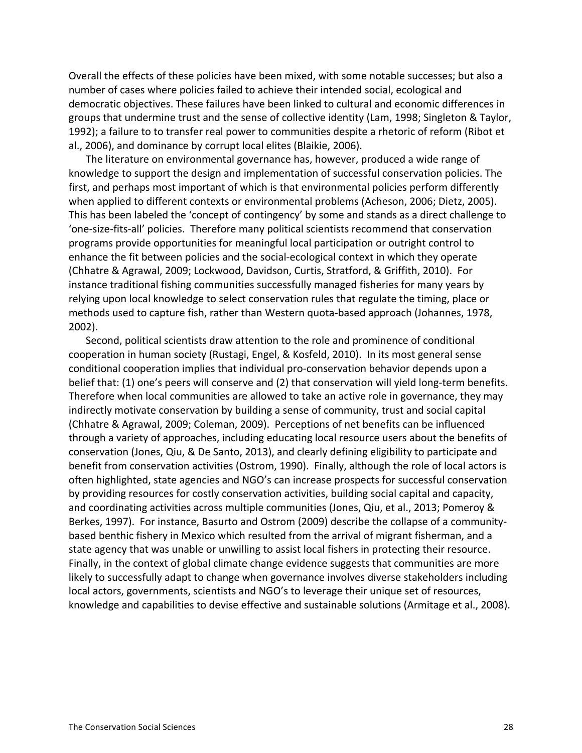Overall the effects of these policies have been mixed, with some notable successes; but also a number of cases where policies failed to achieve their intended social, ecological and democratic objectives. These failures have been linked to cultural and economic differences in groups that undermine trust and the sense of collective identity (Lam, 1998; Singleton & Taylor, 1992); a failure to to transfer real power to communities despite a rhetoric of reform (Ribot et al., 2006), and dominance by corrupt local elites (Blaikie, 2006).

The literature on environmental governance has, however, produced a wide range of knowledge to support the design and implementation of successful conservation policies. The first, and perhaps most important of which is that environmental policies perform differently when applied to different contexts or environmental problems (Acheson, 2006; Dietz, 2005). This has been labeled the 'concept of contingency' by some and stands as a direct challenge to 'one-size-fits-all' policies. Therefore many political scientists recommend that conservation programs provide opportunities for meaningful local participation or outright control to enhance the fit between policies and the social-ecological context in which they operate (Chhatre & Agrawal, 2009; Lockwood, Davidson, Curtis, Stratford, & Griffith, 2010). For instance traditional fishing communities successfully managed fisheries for many years by relying upon local knowledge to select conservation rules that regulate the timing, place or methods used to capture fish, rather than Western quota-based approach (Johannes, 1978, 2002).

Second, political scientists draw attention to the role and prominence of conditional cooperation in human society (Rustagi, Engel, & Kosfeld, 2010). In its most general sense conditional cooperation implies that individual pro-conservation behavior depends upon a belief that: (1) one's peers will conserve and (2) that conservation will yield long-term benefits. Therefore when local communities are allowed to take an active role in governance, they may indirectly motivate conservation by building a sense of community, trust and social capital (Chhatre & Agrawal, 2009; Coleman, 2009). Perceptions of net benefits can be influenced through a variety of approaches, including educating local resource users about the benefits of conservation (Jones, Qiu, & De Santo, 2013), and clearly defining eligibility to participate and benefit from conservation activities (Ostrom, 1990). Finally, although the role of local actors is often highlighted, state agencies and NGO's can increase prospects for successful conservation by providing resources for costly conservation activities, building social capital and capacity, and coordinating activities across multiple communities (Jones, Qiu, et al., 2013; Pomeroy & Berkes, 1997). For instance, Basurto and Ostrom (2009) describe the collapse of a communitybased benthic fishery in Mexico which resulted from the arrival of migrant fisherman, and a state agency that was unable or unwilling to assist local fishers in protecting their resource. Finally, in the context of global climate change evidence suggests that communities are more likely to successfully adapt to change when governance involves diverse stakeholders including local actors, governments, scientists and NGO's to leverage their unique set of resources, knowledge and capabilities to devise effective and sustainable solutions (Armitage et al., 2008).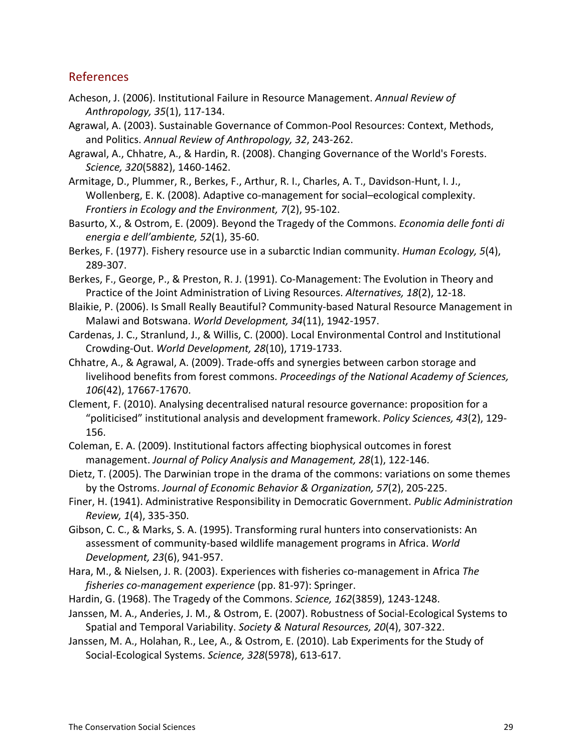### References

- Acheson, J. (2006). Institutional Failure in Resource Management. Annual Review of Anthropology, 35(1), 117-134.
- Agrawal, A. (2003). Sustainable Governance of Common-Pool Resources: Context, Methods, and Politics. Annual Review of Anthropology, 32, 243-262.
- Agrawal, A., Chhatre, A., & Hardin, R. (2008). Changing Governance of the World's Forests. *Science, 320*(5882), 1460-1462.
- Armitage, D., Plummer, R., Berkes, F., Arthur, R. I., Charles, A. T., Davidson-Hunt, I. J., Wollenberg, E. K. (2008). Adaptive co-management for social–ecological complexity. *Frontiers in Ecology and the Environment, 7(2), 95-102.*
- Basurto, X., & Ostrom, E. (2009). Beyond the Tragedy of the Commons. *Economia delle fonti di energia e dell'ambiente, 52(1), 35-60.*
- Berkes, F. (1977). Fishery resource use in a subarctic Indian community. *Human Ecology, 5*(4), 289-307.
- Berkes, F., George, P., & Preston, R. J. (1991). Co-Management: The Evolution in Theory and Practice of the Joint Administration of Living Resources. Alternatives, 18(2), 12-18.
- Blaikie, P. (2006). Is Small Really Beautiful? Community-based Natural Resource Management in Malawi and Botswana. *World Development, 34*(11), 1942-1957.
- Cardenas, J. C., Stranlund, J., & Willis, C. (2000). Local Environmental Control and Institutional Crowding-Out. World Development, 28(10), 1719-1733.
- Chhatre, A., & Agrawal, A. (2009). Trade-offs and synergies between carbon storage and livelihood benefits from forest commons. Proceedings of the National Academy of Sciences, *106*(42), 17667-17670.
- Clement, F. (2010). Analysing decentralised natural resource governance: proposition for a "politicised" institutional analysis and development framework. Policy Sciences, 43(2), 129-156.
- Coleman, E. A. (2009). Institutional factors affecting biophysical outcomes in forest management. Journal of Policy Analysis and Management, 28(1), 122-146.
- Dietz, T. (2005). The Darwinian trope in the drama of the commons: variations on some themes by the Ostroms. Journal of Economic Behavior & Organization, 57(2), 205-225.
- Finer, H. (1941). Administrative Responsibility in Democratic Government. *Public Administration Review, 1*(4), 335-350.
- Gibson, C. C., & Marks, S. A. (1995). Transforming rural hunters into conservationists: An assessment of community-based wildlife management programs in Africa. World *Development, 23*(6), 941-957.
- Hara, M., & Nielsen, J. R. (2003). Experiences with fisheries co-management in Africa The *fisheries co-management experience* (pp. 81-97): Springer.
- Hardin, G. (1968). The Tragedy of the Commons. *Science, 162*(3859), 1243-1248.
- Janssen, M. A., Anderies, J. M., & Ostrom, E. (2007). Robustness of Social-Ecological Systems to Spatial and Temporal Variability. Society & Natural Resources, 20(4), 307-322.
- Janssen, M. A., Holahan, R., Lee, A., & Ostrom, E. (2010). Lab Experiments for the Study of Social-Ecological Systems. Science, 328(5978), 613-617.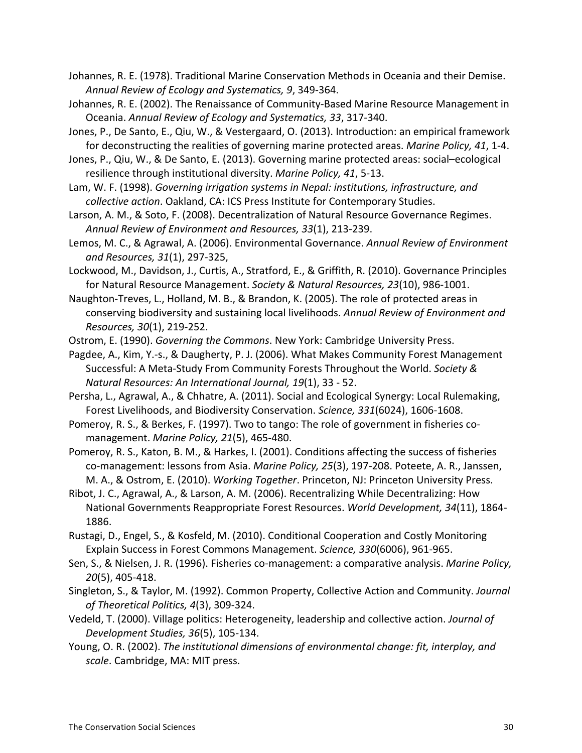Johannes, R. E. (1978). Traditional Marine Conservation Methods in Oceania and their Demise. Annual Review of Ecology and Systematics, 9, 349-364.

Johannes, R. E. (2002). The Renaissance of Community-Based Marine Resource Management in Oceania. Annual Review of Ecology and Systematics, 33, 317-340.

Jones, P., De Santo, E., Qiu, W., & Vestergaard, O. (2013). Introduction: an empirical framework for deconstructing the realities of governing marine protected areas. *Marine Policy, 41*, 1-4.

Jones, P., Qiu, W., & De Santo, E. (2013). Governing marine protected areas: social–ecological resilience through institutional diversity. *Marine Policy, 41*, 5-13.

Lam, W. F. (1998). *Governing irrigation systems in Nepal: institutions, infrastructure, and collective action*. Oakland, CA: ICS Press Institute for Contemporary Studies.

Larson, A. M., & Soto, F. (2008). Decentralization of Natural Resource Governance Regimes. Annual Review of Environment and Resources, 33(1), 213-239.

Lemos, M. C., & Agrawal, A. (2006). Environmental Governance. Annual Review of Environment and Resources, 31(1), 297-325,

Lockwood, M., Davidson, J., Curtis, A., Stratford, E., & Griffith, R. (2010). Governance Principles for Natural Resource Management. Society & Natural Resources, 23(10), 986-1001.

Naughton-Treves, L., Holland, M. B., & Brandon, K. (2005). The role of protected areas in conserving biodiversity and sustaining local livelihoods. Annual Review of Environment and *Resources, 30*(1), 219-252.

Ostrom, E. (1990). *Governing the Commons*. New York: Cambridge University Press.

Pagdee, A., Kim, Y.-s., & Daugherty, P. J. (2006). What Makes Community Forest Management Successful: A Meta-Study From Community Forests Throughout the World. Society & *Natural Resources: An International Journal, 19*(1), 33 - 52.

Persha, L., Agrawal, A., & Chhatre, A. (2011). Social and Ecological Synergy: Local Rulemaking, Forest Livelihoods, and Biodiversity Conservation. Science, 331(6024), 1606-1608.

Pomeroy, R. S., & Berkes, F. (1997). Two to tango: The role of government in fisheries comanagement. *Marine Policy, 21*(5), 465-480.

Pomeroy, R. S., Katon, B. M., & Harkes, I. (2001). Conditions affecting the success of fisheries co-management: lessons from Asia. *Marine Policy, 25*(3), 197-208. Poteete, A. R., Janssen, M. A., & Ostrom, E. (2010). *Working Together*. Princeton, NJ: Princeton University Press.

Ribot, J. C., Agrawal, A., & Larson, A. M. (2006). Recentralizing While Decentralizing: How National Governments Reappropriate Forest Resources. World Development, 34(11), 1864-1886.

Rustagi, D., Engel, S., & Kosfeld, M. (2010). Conditional Cooperation and Costly Monitoring Explain Success in Forest Commons Management. Science, 330(6006), 961-965.

Sen, S., & Nielsen, J. R. (1996). Fisheries co-management: a comparative analysis. *Marine Policy, 20*(5), 405-418.

Singleton, S., & Taylor, M. (1992). Common Property, Collective Action and Community. *Journal* of Theoretical Politics, 4(3), 309-324.

Vedeld, T. (2000). Village politics: Heterogeneity, leadership and collective action. *Journal of Development Studies, 36*(5), 105-134.

Young, O. R. (2002). *The institutional dimensions of environmental change: fit, interplay, and* scale. Cambridge, MA: MIT press.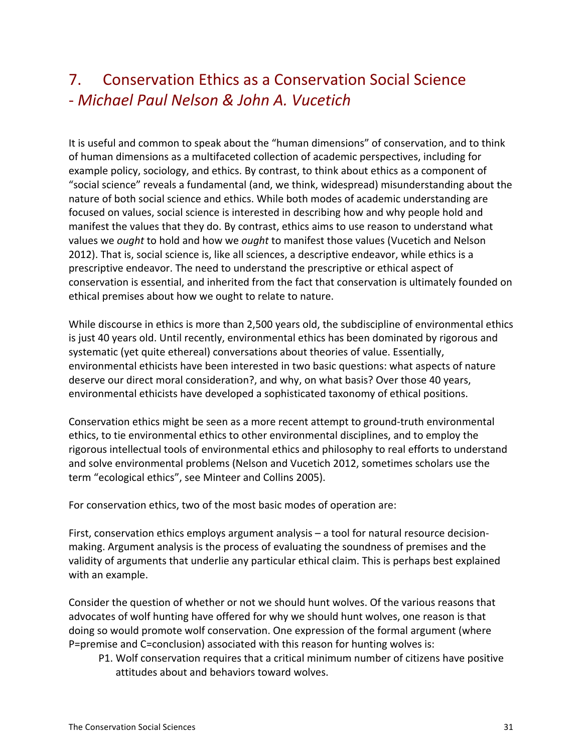### 7. Conservation Ethics as a Conservation Social Science S *Michael%Paul Nelson%&%John%A.%Vucetich*

It is useful and common to speak about the "human dimensions" of conservation, and to think of human dimensions as a multifaceted collection of academic perspectives, including for example policy, sociology, and ethics. By contrast, to think about ethics as a component of "social science" reveals a fundamental (and, we think, widespread) misunderstanding about the nature of both social science and ethics. While both modes of academic understanding are focused on values, social science is interested in describing how and why people hold and manifest the values that they do. By contrast, ethics aims to use reason to understand what values we *ought* to hold and how we *ought* to manifest those values (Vucetich and Nelson 2012). That is, social science is, like all sciences, a descriptive endeavor, while ethics is a prescriptive endeavor. The need to understand the prescriptive or ethical aspect of conservation is essential, and inherited from the fact that conservation is ultimately founded on ethical premises about how we ought to relate to nature.

While discourse in ethics is more than 2,500 years old, the subdiscipline of environmental ethics is just 40 years old. Until recently, environmental ethics has been dominated by rigorous and systematic (yet quite ethereal) conversations about theories of value. Essentially, environmental ethicists have been interested in two basic questions: what aspects of nature deserve our direct moral consideration?, and why, on what basis? Over those 40 years, environmental ethicists have developed a sophisticated taxonomy of ethical positions.

Conservation ethics might be seen as a more recent attempt to ground-truth environmental ethics, to tie environmental ethics to other environmental disciplines, and to employ the rigorous intellectual tools of environmental ethics and philosophy to real efforts to understand and solve environmental problems (Nelson and Vucetich 2012, sometimes scholars use the term "ecological ethics", see Minteer and Collins 2005).

For conservation ethics, two of the most basic modes of operation are:

First, conservation ethics employs argument analysis – a tool for natural resource decisionmaking. Argument analysis is the process of evaluating the soundness of premises and the validity of arguments that underlie any particular ethical claim. This is perhaps best explained with an example.

Consider the question of whether or not we should hunt wolves. Of the various reasons that advocates of wolf hunting have offered for why we should hunt wolves, one reason is that doing so would promote wolf conservation. One expression of the formal argument (where P=premise and C=conclusion) associated with this reason for hunting wolves is:

P1. Wolf conservation requires that a critical minimum number of citizens have positive attitudes about and behaviors toward wolves.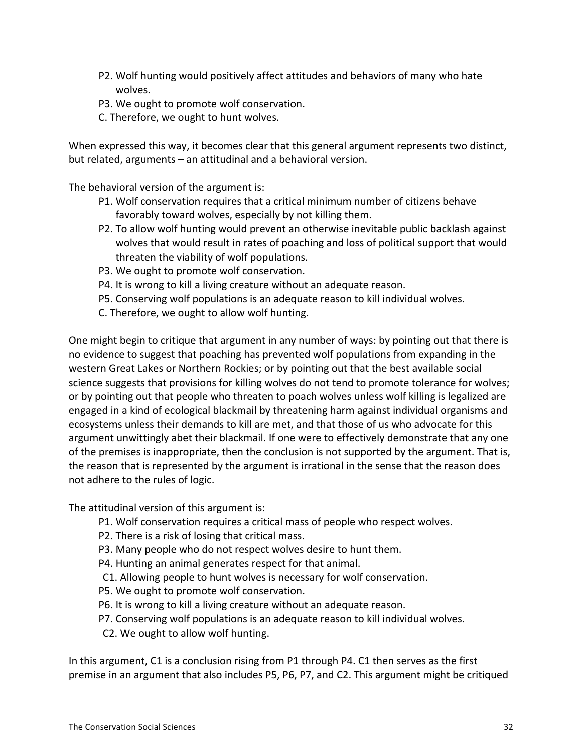- P2. Wolf hunting would positively affect attitudes and behaviors of many who hate wolves.
- P3. We ought to promote wolf conservation.
- C. Therefore, we ought to hunt wolves.

When expressed this way, it becomes clear that this general argument represents two distinct, but related, arguments – an attitudinal and a behavioral version.

The behavioral version of the argument is:

- P1. Wolf conservation requires that a critical minimum number of citizens behave favorably toward wolves, especially by not killing them.
- P2. To allow wolf hunting would prevent an otherwise inevitable public backlash against wolves that would result in rates of poaching and loss of political support that would threaten the viability of wolf populations.
- P3. We ought to promote wolf conservation.
- P4. It is wrong to kill a living creature without an adequate reason.
- P5. Conserving wolf populations is an adequate reason to kill individual wolves.
- C. Therefore, we ought to allow wolf hunting.

One might begin to critique that argument in any number of ways: by pointing out that there is no evidence to suggest that poaching has prevented wolf populations from expanding in the western Great Lakes or Northern Rockies; or by pointing out that the best available social science suggests that provisions for killing wolves do not tend to promote tolerance for wolves; or by pointing out that people who threaten to poach wolves unless wolf killing is legalized are engaged in a kind of ecological blackmail by threatening harm against individual organisms and ecosystems unless their demands to kill are met, and that those of us who advocate for this argument unwittingly abet their blackmail. If one were to effectively demonstrate that any one of the premises is inappropriate, then the conclusion is not supported by the argument. That is, the reason that is represented by the argument is irrational in the sense that the reason does not adhere to the rules of logic.

The attitudinal version of this argument is:

- P1. Wolf conservation requires a critical mass of people who respect wolves.
- P2. There is a risk of losing that critical mass.
- P3. Many people who do not respect wolves desire to hunt them.
- P4. Hunting an animal generates respect for that animal.
- C1. Allowing people to hunt wolves is necessary for wolf conservation.
- P5. We ought to promote wolf conservation.
- P6. It is wrong to kill a living creature without an adequate reason.
- P7. Conserving wolf populations is an adequate reason to kill individual wolves.
- C2. We ought to allow wolf hunting.

In this argument, C1 is a conclusion rising from P1 through P4. C1 then serves as the first premise in an argument that also includes P5, P6, P7, and C2. This argument might be critiqued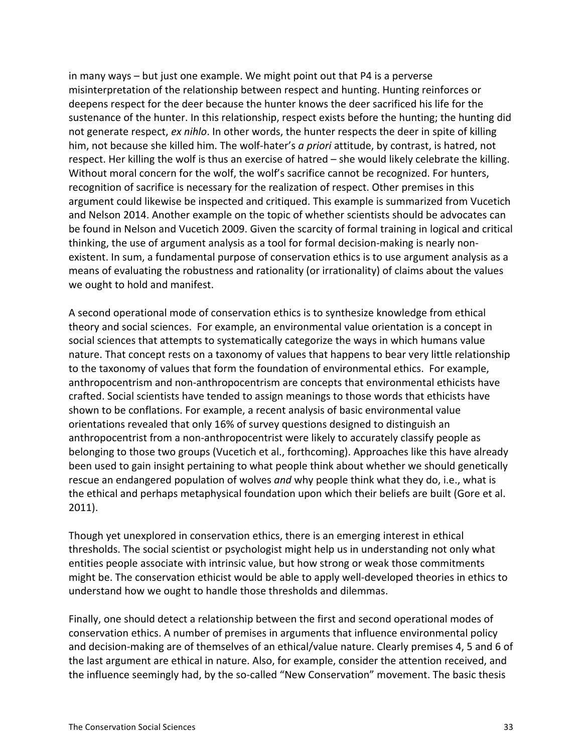in many ways – but just one example. We might point out that P4 is a perverse misinterpretation of the relationship between respect and hunting. Hunting reinforces or deepens respect for the deer because the hunter knows the deer sacrificed his life for the sustenance of the hunter. In this relationship, respect exists before the hunting; the hunting did not generate respect, *ex nihlo*. In other words, the hunter respects the deer in spite of killing him, not because she killed him. The wolf-hater's *a priori* attitude, by contrast, is hatred, not respect. Her killing the wolf is thus an exercise of hatred – she would likely celebrate the killing. Without moral concern for the wolf, the wolf's sacrifice cannot be recognized. For hunters, recognition of sacrifice is necessary for the realization of respect. Other premises in this argument could likewise be inspected and critiqued. This example is summarized from Vucetich and Nelson 2014. Another example on the topic of whether scientists should be advocates can be found in Nelson and Vucetich 2009. Given the scarcity of formal training in logical and critical thinking, the use of argument analysis as a tool for formal decision-making is nearly nonexistent. In sum, a fundamental purpose of conservation ethics is to use argument analysis as a means of evaluating the robustness and rationality (or irrationality) of claims about the values we ought to hold and manifest.

A second operational mode of conservation ethics is to synthesize knowledge from ethical theory and social sciences. For example, an environmental value orientation is a concept in social sciences that attempts to systematically categorize the ways in which humans value nature. That concept rests on a taxonomy of values that happens to bear very little relationship to the taxonomy of values that form the foundation of environmental ethics. For example, anthropocentrism and non-anthropocentrism are concepts that environmental ethicists have crafted. Social scientists have tended to assign meanings to those words that ethicists have shown to be conflations. For example, a recent analysis of basic environmental value orientations revealed that only 16% of survey questions designed to distinguish an anthropocentrist from a non-anthropocentrist were likely to accurately classify people as belonging to those two groups (Vucetich et al., forthcoming). Approaches like this have already been used to gain insight pertaining to what people think about whether we should genetically rescue an endangered population of wolves *and* why people think what they do, i.e., what is the ethical and perhaps metaphysical foundation upon which their beliefs are built (Gore et al. 2011).

Though yet unexplored in conservation ethics, there is an emerging interest in ethical thresholds. The social scientist or psychologist might help us in understanding not only what entities people associate with intrinsic value, but how strong or weak those commitments might be. The conservation ethicist would be able to apply well-developed theories in ethics to understand how we ought to handle those thresholds and dilemmas.

Finally, one should detect a relationship between the first and second operational modes of conservation ethics. A number of premises in arguments that influence environmental policy and decision-making are of themselves of an ethical/value nature. Clearly premises 4, 5 and 6 of the last argument are ethical in nature. Also, for example, consider the attention received, and the influence seemingly had, by the so-called "New Conservation" movement. The basic thesis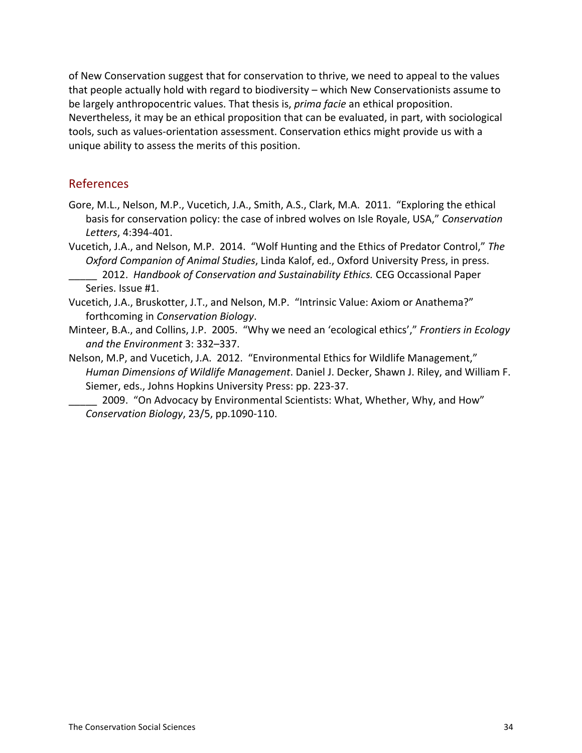of New Conservation suggest that for conservation to thrive, we need to appeal to the values that people actually hold with regard to biodiversity – which New Conservationists assume to be largely anthropocentric values. That thesis is, *prima facie* an ethical proposition. Nevertheless, it may be an ethical proposition that can be evaluated, in part, with sociological tools, such as values-orientation assessment. Conservation ethics might provide us with a unique ability to assess the merits of this position.

### References

- Gore, M.L., Nelson, M.P., Vucetich, J.A., Smith, A.S., Clark, M.A. 2011. "Exploring the ethical basis for conservation policy: the case of inbred wolves on Isle Royale, USA," Conservation *Letters*, 4:394-401.
- Vucetich, J.A., and Nelson, M.P. 2014. "Wolf Hunting and the Ethics of Predator Control," The Oxford Companion of Animal Studies, Linda Kalof, ed., Oxford University Press, in press. 2012. *Handbook of Conservation and Sustainability Ethics.* CEG Occassional Paper Series. Issue #1.
- Vucetich, J.A., Bruskotter, J.T., and Nelson, M.P. "Intrinsic Value: Axiom or Anathema?" forthcoming in *Conservation Biology*.
- Minteer, B.A., and Collins, J.P. 2005. "Why we need an 'ecological ethics'," *Frontiers in Ecology* and the Environment 3: 332–337.
- Nelson, M.P, and Vucetich, J.A. 2012. "Environmental Ethics for Wildlife Management," *Human Dimensions of Wildlife Management*. Daniel J. Decker, Shawn J. Riley, and William F. Siemer, eds., Johns Hopkins University Press: pp. 223-37.
	- 2009. "On Advocacy by Environmental Scientists: What, Whether, Why, and How" *Conservation Biology, 23/5, pp.1090-110.*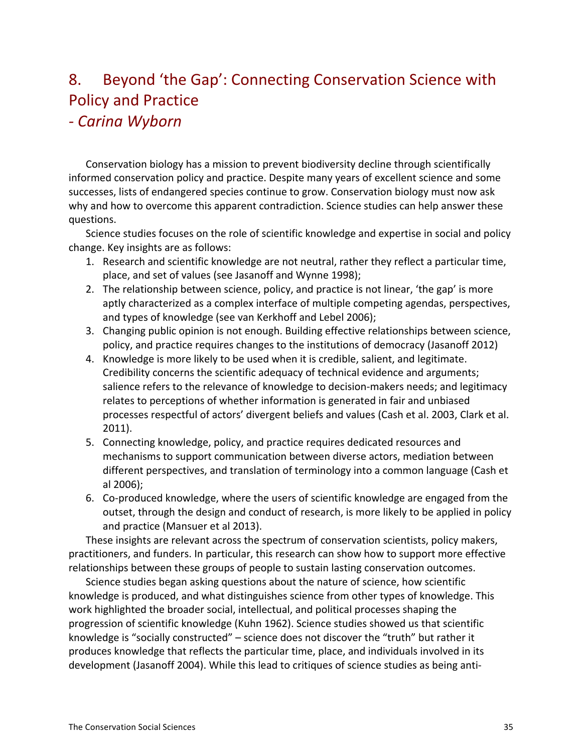# 8. Beyond 'the Gap': Connecting Conservation Science with Policy and Practice

### *a Carina%Wyborn*

Conservation biology has a mission to prevent biodiversity decline through scientifically informed conservation policy and practice. Despite many years of excellent science and some successes, lists of endangered species continue to grow. Conservation biology must now ask why and how to overcome this apparent contradiction. Science studies can help answer these questions.

Science studies focuses on the role of scientific knowledge and expertise in social and policy change. Key insights are as follows:

- 1. Research and scientific knowledge are not neutral, rather they reflect a particular time, place, and set of values (see Jasanoff and Wynne 1998);
- 2. The relationship between science, policy, and practice is not linear, 'the gap' is more aptly characterized as a complex interface of multiple competing agendas, perspectives, and types of knowledge (see van Kerkhoff and Lebel 2006);
- 3. Changing public opinion is not enough. Building effective relationships between science, policy, and practice requires changes to the institutions of democracy (Jasanoff 2012)
- 4. Knowledge is more likely to be used when it is credible, salient, and legitimate. Credibility concerns the scientific adequacy of technical evidence and arguments; salience refers to the relevance of knowledge to decision-makers needs; and legitimacy relates to perceptions of whether information is generated in fair and unbiased processes respectful of actors' divergent beliefs and values (Cash et al. 2003, Clark et al. 2011).
- 5. Connecting knowledge, policy, and practice requires dedicated resources and mechanisms to support communication between diverse actors, mediation between different perspectives, and translation of terminology into a common language (Cash et al!2006);
- 6. Co-produced knowledge, where the users of scientific knowledge are engaged from the outset, through the design and conduct of research, is more likely to be applied in policy and practice (Mansuer et al 2013).

These insights are relevant across the spectrum of conservation scientists, policy makers, practitioners, and funders. In particular, this research can show how to support more effective relationships between these groups of people to sustain lasting conservation outcomes.

Science studies began asking questions about the nature of science, how scientific knowledge is produced, and what distinguishes science from other types of knowledge. This work highlighted the broader social, intellectual, and political processes shaping the progression of scientific knowledge (Kuhn 1962). Science studies showed us that scientific knowledge is "socially constructed" – science does not discover the "truth" but rather it produces knowledge that reflects the particular time, place, and individuals involved in its development (Jasanoff 2004). While this lead to critiques of science studies as being anti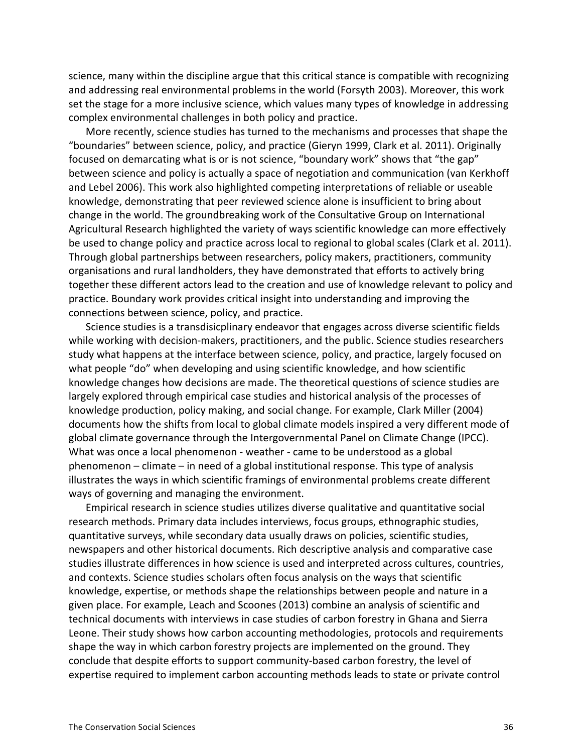science, many within the discipline argue that this critical stance is compatible with recognizing and addressing real environmental problems in the world (Forsyth 2003). Moreover, this work set the stage for a more inclusive science, which values many types of knowledge in addressing complex environmental challenges in both policy and practice.

More recently, science studies has turned to the mechanisms and processes that shape the "boundaries" between science, policy, and practice (Gieryn 1999, Clark et al. 2011). Originally focused on demarcating what is or is not science, "boundary work" shows that "the gap" between science and policy is actually a space of negotiation and communication (van Kerkhoff and Lebel 2006). This work also highlighted competing interpretations of reliable or useable knowledge, demonstrating that peer reviewed science alone is insufficient to bring about change in the world. The groundbreaking work of the Consultative Group on International Agricultural Research highlighted the variety of ways scientific knowledge can more effectively be used to change policy and practice across local to regional to global scales (Clark et al. 2011). Through global partnerships between researchers, policy makers, practitioners, community organisations and rural landholders, they have demonstrated that efforts to actively bring together these different actors lead to the creation and use of knowledge relevant to policy and practice. Boundary work provides critical insight into understanding and improving the connections between science, policy, and practice.

Science studies is a transdisicplinary endeavor that engages across diverse scientific fields while working with decision-makers, practitioners, and the public. Science studies researchers study what happens at the interface between science, policy, and practice, largely focused on what people "do" when developing and using scientific knowledge, and how scientific knowledge changes how decisions are made. The theoretical questions of science studies are largely explored through empirical case studies and historical analysis of the processes of knowledge production, policy making, and social change. For example, Clark Miller (2004) documents how the shifts from local to global climate models inspired a very different mode of global climate governance through the Intergovernmental Panel on Climate Change (IPCC). What was once a local phenomenon - weather - came to be understood as a global phenomenon – climate – in need of a global institutional response. This type of analysis illustrates the ways in which scientific framings of environmental problems create different ways of governing and managing the environment.

Empirical research in science studies utilizes diverse qualitative and quantitative social research methods. Primary data includes interviews, focus groups, ethnographic studies, quantitative surveys, while secondary data usually draws on policies, scientific studies, newspapers and other historical documents. Rich descriptive analysis and comparative case studies illustrate differences in how science is used and interpreted across cultures, countries, and contexts. Science studies scholars often focus analysis on the ways that scientific knowledge, expertise, or methods shape the relationships between people and nature in a given place. For example, Leach and Scoones (2013) combine an analysis of scientific and technical documents with interviews in case studies of carbon forestry in Ghana and Sierra Leone. Their study shows how carbon accounting methodologies, protocols and requirements shape the way in which carbon forestry projects are implemented on the ground. They conclude that despite efforts to support community-based carbon forestry, the level of expertise required to implement carbon accounting methods leads to state or private control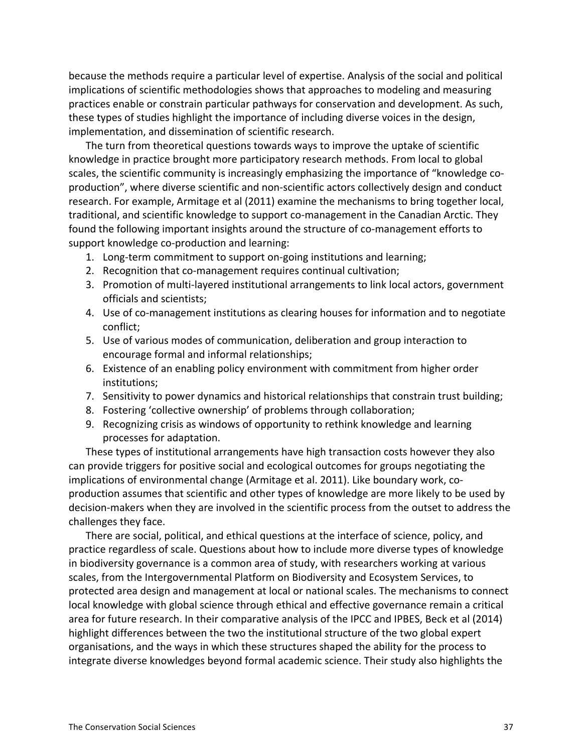because the methods require a particular level of expertise. Analysis of the social and political implications of scientific methodologies shows that approaches to modeling and measuring practices enable or constrain particular pathways for conservation and development. As such, these types of studies highlight the importance of including diverse voices in the design, implementation, and dissemination of scientific research.

The turn from theoretical questions towards ways to improve the uptake of scientific knowledge in practice brought more participatory research methods. From local to global scales, the scientific community is increasingly emphasizing the importance of "knowledge coproduction", where diverse scientific and non-scientific actors collectively design and conduct research. For example, Armitage et al (2011) examine the mechanisms to bring together local, traditional, and scientific knowledge to support co-management in the Canadian Arctic. They found the following important insights around the structure of co-management efforts to support knowledge co-production and learning:

- 1. Long-term commitment to support on-going institutions and learning;
- 2. Recognition that co-management requires continual cultivation;
- 3. Promotion of multi-layered institutional arrangements to link local actors, government officials and scientists;
- 4. Use of co-management institutions as clearing houses for information and to negotiate conflict;
- 5. Use of various modes of communication, deliberation and group interaction to encourage formal and informal relationships;
- 6. Existence of an enabling policy environment with commitment from higher order institutions;
- 7. Sensitivity to power dynamics and historical relationships that constrain trust building;
- 8. Fostering 'collective ownership' of problems through collaboration;
- 9. Recognizing crisis as windows of opportunity to rethink knowledge and learning processes for adaptation.

These types of institutional arrangements have high transaction costs however they also can provide triggers for positive social and ecological outcomes for groups negotiating the implications of environmental change (Armitage et al. 2011). Like boundary work, coproduction assumes that scientific and other types of knowledge are more likely to be used by decision-makers when they are involved in the scientific process from the outset to address the challenges they face.

There are social, political, and ethical questions at the interface of science, policy, and practice regardless of scale. Questions about how to include more diverse types of knowledge in biodiversity governance is a common area of study, with researchers working at various scales, from the Intergovernmental Platform on Biodiversity and Ecosystem Services, to protected area design and management at local or national scales. The mechanisms to connect local knowledge with global science through ethical and effective governance remain a critical area for future research. In their comparative analysis of the IPCC and IPBES, Beck et al (2014) highlight differences between the two the institutional structure of the two global expert organisations, and the ways in which these structures shaped the ability for the process to integrate diverse knowledges beyond formal academic science. Their study also highlights the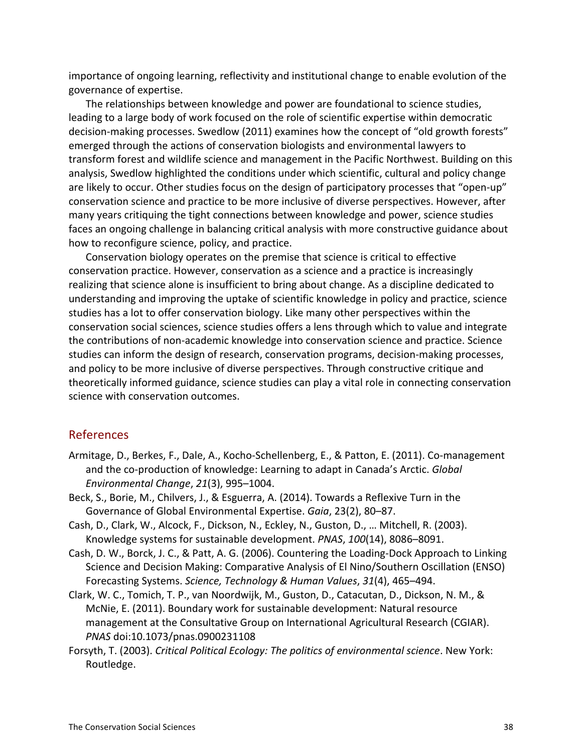importance of ongoing learning, reflectivity and institutional change to enable evolution of the governance of expertise.

The relationships between knowledge and power are foundational to science studies, leading to a large body of work focused on the role of scientific expertise within democratic decision-making processes. Swedlow (2011) examines how the concept of "old growth forests" emerged through the actions of conservation biologists and environmental lawyers to transform forest and wildlife science and management in the Pacific Northwest. Building on this analysis, Swedlow highlighted the conditions under which scientific, cultural and policy change are likely to occur. Other studies focus on the design of participatory processes that "open-up" conservation science and practice to be more inclusive of diverse perspectives. However, after many years critiquing the tight connections between knowledge and power, science studies faces an ongoing challenge in balancing critical analysis with more constructive guidance about how to reconfigure science, policy, and practice.

Conservation biology operates on the premise that science is critical to effective conservation practice. However, conservation as a science and a practice is increasingly realizing that science alone is insufficient to bring about change. As a discipline dedicated to understanding and improving the uptake of scientific knowledge in policy and practice, science studies has a lot to offer conservation biology. Like many other perspectives within the conservation social sciences, science studies offers a lens through which to value and integrate the contributions of non-academic knowledge into conservation science and practice. Science studies can inform the design of research, conservation programs, decision-making processes, and policy to be more inclusive of diverse perspectives. Through constructive critique and theoretically informed guidance, science studies can play a vital role in connecting conservation science with conservation outcomes.

#### **References**

- Armitage, D., Berkes, F., Dale, A., Kocho-Schellenberg, E., & Patton, E. (2011). Co-management and the co-production of knowledge: Learning to adapt in Canada's Arctic. *Global Environmental Change, 21(3), 995–1004.*
- Beck, S., Borie, M., Chilvers, J., & Esguerra, A. (2014). Towards a Reflexive Turn in the Governance of Global Environmental Expertise. *Gaia*, 23(2), 80–87.
- Cash, D., Clark, W., Alcock, F., Dickson, N., Eckley, N., Guston, D., … Mitchell, R. (2003). Knowledge systems for sustainable development. *PNAS*, 100(14), 8086–8091.
- Cash, D. W., Borck, J. C., & Patt, A. G. (2006). Countering the Loading-Dock Approach to Linking Science and Decision Making: Comparative Analysis of El Nino/Southern Oscillation (ENSO) Forecasting Systems. Science, Technology & Human Values, 31(4), 465–494.
- Clark, W. C., Tomich, T. P., van Noordwijk, M., Guston, D., Catacutan, D., Dickson, N. M., & McNie, E. (2011). Boundary work for sustainable development: Natural resource management at the Consultative Group on International Agricultural Research (CGIAR). *PNAS%*doi:10.1073/pnas.0900231108
- Forsyth, T. (2003). *Critical Political Ecology: The politics of environmental science*. New York: Routledge.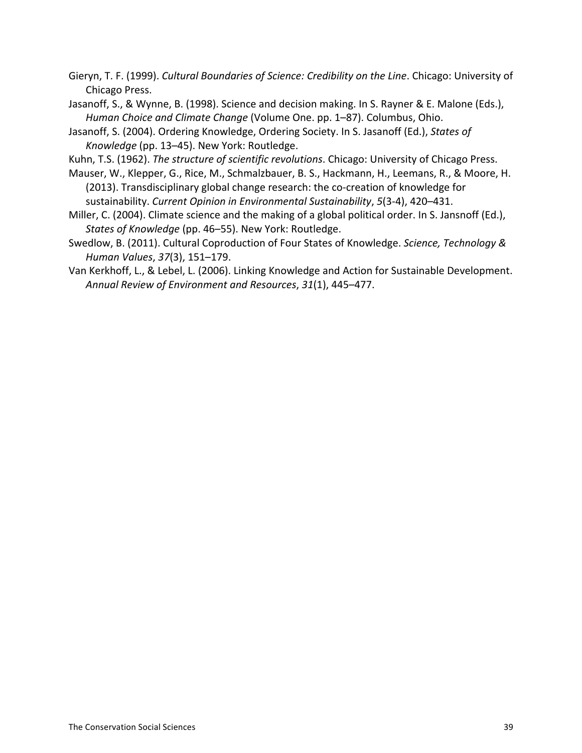Gieryn, T. F. (1999). Cultural Boundaries of Science: Credibility on the Line. Chicago: University of Chicago Press.

- Jasanoff, S., & Wynne, B. (1998). Science and decision making. In S. Rayner & E. Malone (Eds.), *Human Choice and Climate Change* (Volume One. pp. 1–87). Columbus, Ohio.
- Jasanoff, S. (2004). Ordering Knowledge, Ordering Society. In S. Jasanoff (Ed.), *States of Knowledge* (pp. 13–45). New York: Routledge.
- Kuhn, T.S. (1962). *The structure of scientific revolutions*. Chicago: University of Chicago Press.
- Mauser, W., Klepper, G., Rice, M., Schmalzbauer, B. S., Hackmann, H., Leemans, R., & Moore, H. (2013). Transdisciplinary global change research: the co-creation of knowledge for sustainability. *Current Opinion in Environmental Sustainability*, 5(3-4), 420–431.
- Miller, C. (2004). Climate science and the making of a global political order. In S. Jansnoff (Ed.), States of Knowledge (pp. 46–55). New York: Routledge.
- Swedlow, B. (2011). Cultural Coproduction of Four States of Knowledge. *Science, Technology & Human%Values*,!*37*(3),!151–179.!
- Van Kerkhoff, L., & Lebel, L. (2006). Linking Knowledge and Action for Sustainable Development. Annual Review of Environment and Resources, 31(1), 445–477.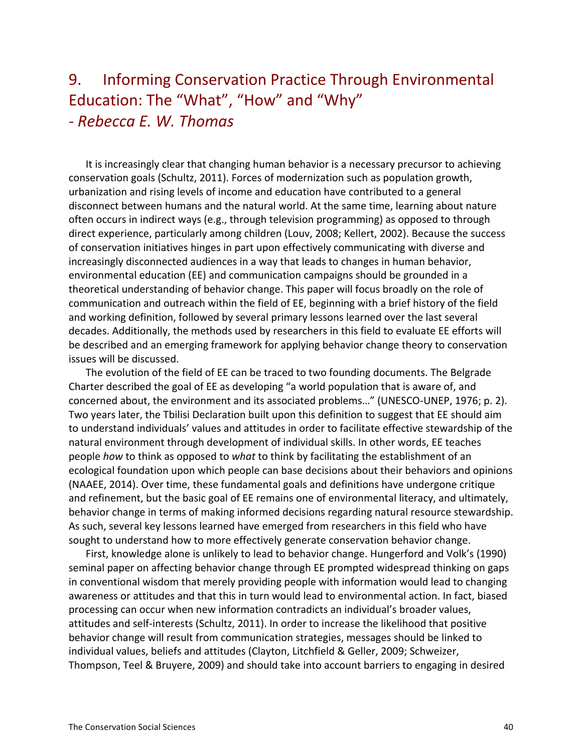### 9. Informing Conservation Practice Through Environmental Education: The "What", "How" and "Why" *a Rebecca%E.%W.%Thomas*

It is increasingly clear that changing human behavior is a necessary precursor to achieving conservation goals (Schultz, 2011). Forces of modernization such as population growth, urbanization and rising levels of income and education have contributed to a general disconnect between humans and the natural world. At the same time, learning about nature often occurs in indirect ways (e.g., through television programming) as opposed to through direct experience, particularly among children (Louv, 2008; Kellert, 2002). Because the success of conservation initiatives hinges in part upon effectively communicating with diverse and increasingly disconnected audiences in a way that leads to changes in human behavior, environmental education (EE) and communication campaigns should be grounded in a theoretical understanding of behavior change. This paper will focus broadly on the role of communication and outreach within the field of EE, beginning with a brief history of the field and working definition, followed by several primary lessons learned over the last several decades. Additionally, the methods used by researchers in this field to evaluate EE efforts will be described and an emerging framework for applying behavior change theory to conservation issues will be discussed.

The evolution of the field of EE can be traced to two founding documents. The Belgrade Charter described the goal of EE as developing "a world population that is aware of, and concerned about, the environment and its associated problems..." (UNESCO-UNEP, 1976; p. 2). Two years later, the Tbilisi Declaration built upon this definition to suggest that EE should aim to understand individuals' values and attitudes in order to facilitate effective stewardship of the natural environment through development of individual skills. In other words, EE teaches people how to think as opposed to what to think by facilitating the establishment of an ecological foundation upon which people can base decisions about their behaviors and opinions (NAAEE, 2014). Over time, these fundamental goals and definitions have undergone critique and refinement, but the basic goal of EE remains one of environmental literacy, and ultimately, behavior change in terms of making informed decisions regarding natural resource stewardship. As such, several key lessons learned have emerged from researchers in this field who have sought to understand how to more effectively generate conservation behavior change.

First, knowledge alone is unlikely to lead to behavior change. Hungerford and Volk's (1990) seminal paper on affecting behavior change through EE prompted widespread thinking on gaps in conventional wisdom that merely providing people with information would lead to changing awareness or attitudes and that this in turn would lead to environmental action. In fact, biased processing can occur when new information contradicts an individual's broader values, attitudes and self-interests (Schultz, 2011). In order to increase the likelihood that positive behavior change will result from communication strategies, messages should be linked to individual values, beliefs and attitudes (Clayton, Litchfield & Geller, 2009; Schweizer, Thompson, Teel & Bruyere, 2009) and should take into account barriers to engaging in desired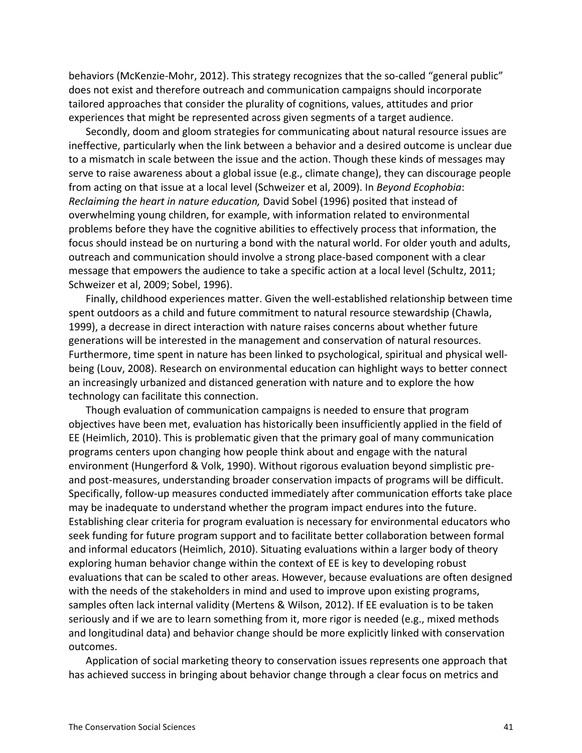behaviors (McKenzie-Mohr, 2012). This strategy recognizes that the so-called "general public" does not exist and therefore outreach and communication campaigns should incorporate tailored approaches that consider the plurality of cognitions, values, attitudes and prior experiences that might be represented across given segments of a target audience.

Secondly, doom and gloom strategies for communicating about natural resource issues are ineffective, particularly when the link between a behavior and a desired outcome is unclear due to a mismatch in scale between the issue and the action. Though these kinds of messages may serve to raise awareness about a global issue (e.g., climate change), they can discourage people from acting on that issue at a local level (Schweizer et al, 2009). In *Beyond Ecophobia*: *Reclaiming the heart in nature education, David Sobel (1996) posited that instead of* overwhelming young children, for example, with information related to environmental problems before they have the cognitive abilities to effectively process that information, the focus should instead be on nurturing a bond with the natural world. For older youth and adults, outreach and communication should involve a strong place-based component with a clear message that empowers the audience to take a specific action at a local level (Schultz, 2011; Schweizer et al, 2009; Sobel, 1996).

Finally, childhood experiences matter. Given the well-established relationship between time spent outdoors as a child and future commitment to natural resource stewardship (Chawla, 1999), a decrease in direct interaction with nature raises concerns about whether future generations will be interested in the management and conservation of natural resources. Furthermore, time spent in nature has been linked to psychological, spiritual and physical wellbeing (Louv, 2008). Research on environmental education can highlight ways to better connect an increasingly urbanized and distanced generation with nature and to explore the how technology can facilitate this connection.

Though evaluation of communication campaigns is needed to ensure that program objectives have been met, evaluation has historically been insufficiently applied in the field of EE (Heimlich, 2010). This is problematic given that the primary goal of many communication programs centers upon changing how people think about and engage with the natural environment (Hungerford & Volk, 1990). Without rigorous evaluation beyond simplistic preand post-measures, understanding broader conservation impacts of programs will be difficult. Specifically, follow-up measures conducted immediately after communication efforts take place may be inadequate to understand whether the program impact endures into the future. Establishing clear criteria for program evaluation is necessary for environmental educators who seek funding for future program support and to facilitate better collaboration between formal and informal educators (Heimlich, 2010). Situating evaluations within a larger body of theory exploring human behavior change within the context of EE is key to developing robust evaluations that can be scaled to other areas. However, because evaluations are often designed with the needs of the stakeholders in mind and used to improve upon existing programs, samples often lack internal validity (Mertens & Wilson, 2012). If EE evaluation is to be taken seriously and if we are to learn something from it, more rigor is needed (e.g., mixed methods and longitudinal data) and behavior change should be more explicitly linked with conservation outcomes.

Application of social marketing theory to conservation issues represents one approach that has achieved success in bringing about behavior change through a clear focus on metrics and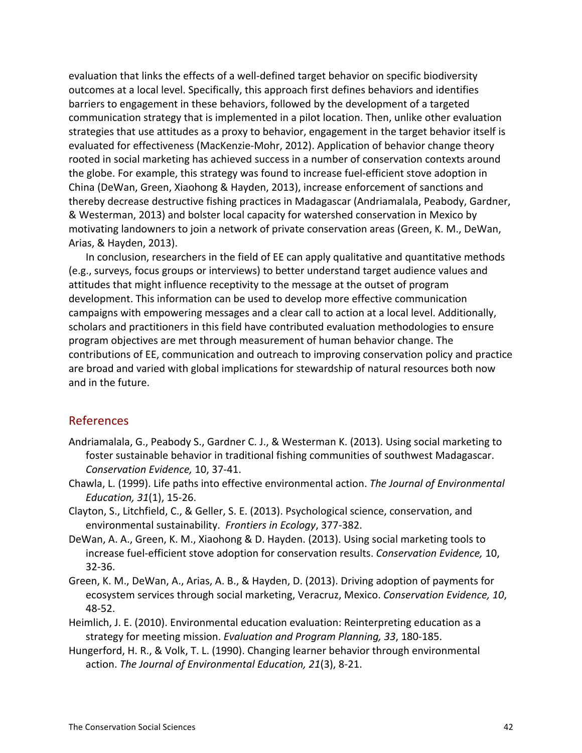evaluation that links the effects of a well-defined target behavior on specific biodiversity outcomes at a local level. Specifically, this approach first defines behaviors and identifies barriers to engagement in these behaviors, followed by the development of a targeted communication strategy that is implemented in a pilot location. Then, unlike other evaluation strategies that use attitudes as a proxy to behavior, engagement in the target behavior itself is evaluated for effectiveness (MacKenzie-Mohr, 2012). Application of behavior change theory rooted in social marketing has achieved success in a number of conservation contexts around the globe. For example, this strategy was found to increase fuel-efficient stove adoption in China (DeWan, Green, Xiaohong & Hayden, 2013), increase enforcement of sanctions and thereby decrease destructive fishing practices in Madagascar (Andriamalala, Peabody, Gardner, & Westerman, 2013) and bolster local capacity for watershed conservation in Mexico by motivating landowners to join a network of private conservation areas (Green, K. M., DeWan, Arias, & Hayden, 2013).

In conclusion, researchers in the field of EE can apply qualitative and quantitative methods (e.g., surveys, focus groups or interviews) to better understand target audience values and attitudes that might influence receptivity to the message at the outset of program development. This information can be used to develop more effective communication campaigns with empowering messages and a clear call to action at a local level. Additionally, scholars and practitioners in this field have contributed evaluation methodologies to ensure program objectives are met through measurement of human behavior change. The contributions of EE, communication and outreach to improving conservation policy and practice are broad and varied with global implications for stewardship of natural resources both now and in the future.

#### References

- Andriamalala, G., Peabody S., Gardner C. J., & Westerman K. (2013). Using social marketing to foster sustainable behavior in traditional fishing communities of southwest Madagascar. *Conservation Evidence, 10, 37-41.*
- Chawla, L. (1999). Life paths into effective environmental action. *The Journal of Environmental Education, 31*(1), 15-26.
- Clayton, S., Litchfield, C., & Geller, S. E. (2013). Psychological science, conservation, and environmental sustainability. Frontiers in Ecology, 377-382.
- DeWan, A. A., Green, K. M., Xiaohong & D. Hayden. (2013). Using social marketing tools to increase fuel-efficient stove adoption for conservation results. *Conservation Evidence*, 10, 32-36.
- Green, K. M., DeWan, A., Arias, A. B., & Hayden, D. (2013). Driving adoption of payments for ecosystem services through social marketing, Veracruz, Mexico. Conservation Evidence, 10, 48-52.
- Heimlich, J. E. (2010). Environmental education evaluation: Reinterpreting education as a strategy for meeting mission. *Evaluation and Program Planning, 33,* 180-185.
- Hungerford, H. R., & Volk, T. L. (1990). Changing learner behavior through environmental action. The Journal of Environmental Education, 21(3), 8-21.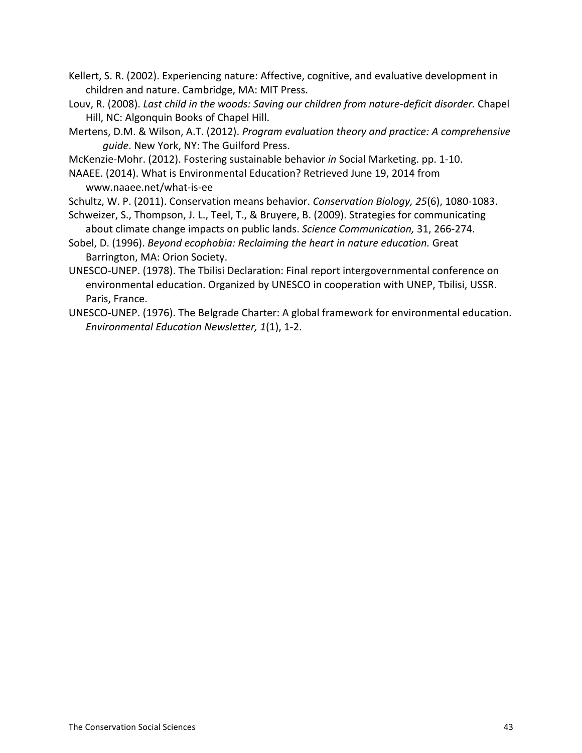Kellert, S. R. (2002). Experiencing nature: Affective, cognitive, and evaluative development in children and nature. Cambridge, MA: MIT Press.

- Louv, R. (2008). *Last child in the woods: Saving our children from nature-deficit disorder.* Chapel Hill, NC: Algonquin Books of Chapel Hill.
- Mertens, D.M. & Wilson, A.T. (2012). *Program evaluation theory and practice: A comprehensive* guide. New York, NY: The Guilford Press.

McKenzie-Mohr. (2012). Fostering sustainable behavior *in* Social Marketing. pp. 1-10.

NAAEE. (2014). What is Environmental Education? Retrieved June 19, 2014 from www.naaee.net/what-is-ee

Schultz, W. P. (2011). Conservation means behavior. *Conservation Biology, 25*(6), 1080-1083.

- Schweizer, S., Thompson, J. L., Teel, T., & Bruyere, B. (2009). Strategies for communicating about climate change impacts on public lands. *Science Communication*, 31, 266-274.
- Sobel, D. (1996). *Beyond ecophobia: Reclaiming the heart in nature education.* Great Barrington, MA: Orion Society.
- UNESCO-UNEP. (1978). The Tbilisi Declaration: Final report intergovernmental conference on environmental education. Organized by UNESCO in cooperation with UNEP, Tbilisi, USSR. Paris, France.
- UNESCO-UNEP. (1976). The Belgrade Charter: A global framework for environmental education. *Environmental Education Newsletter, 1(1), 1-2.*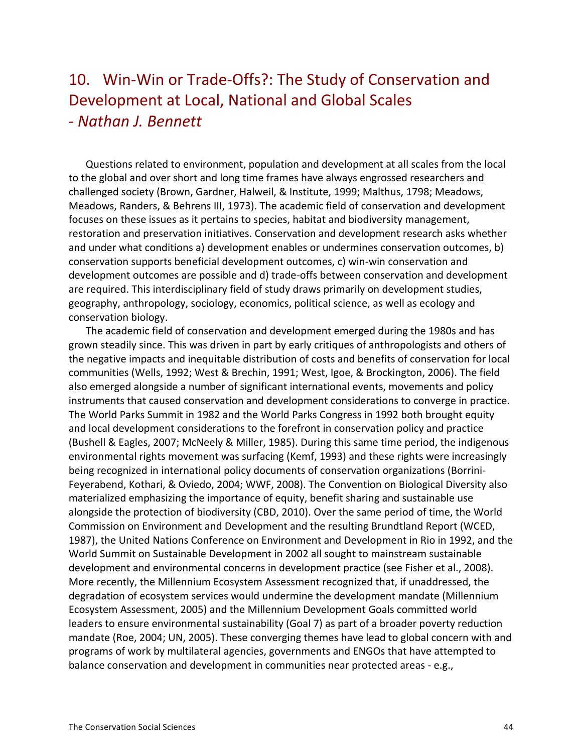### 10. Win-Win or Trade-Offs?: The Study of Conservation and Development at Local, National and Global Scales *a Nathan%J.%Bennett*

Questions related to environment, population and development at all scales from the local to the global and over short and long time frames have always engrossed researchers and challenged society (Brown, Gardner, Halweil, & Institute, 1999; Malthus, 1798; Meadows, Meadows, Randers, & Behrens III, 1973). The academic field of conservation and development focuses on these issues as it pertains to species, habitat and biodiversity management, restoration and preservation initiatives. Conservation and development research asks whether and under what conditions a) development enables or undermines conservation outcomes, b) conservation supports beneficial development outcomes, c) win-win conservation and development outcomes are possible and d) trade-offs between conservation and development are required. This interdisciplinary field of study draws primarily on development studies, geography, anthropology, sociology, economics, political science, as well as ecology and conservation biology.

The academic field of conservation and development emerged during the 1980s and has grown steadily since. This was driven in part by early critiques of anthropologists and others of the negative impacts and inequitable distribution of costs and benefits of conservation for local communities (Wells, 1992; West & Brechin, 1991; West, Igoe, & Brockington, 2006). The field also emerged alongside a number of significant international events, movements and policy instruments that caused conservation and development considerations to converge in practice. The World Parks Summit in 1982 and the World Parks Congress in 1992 both brought equity and local development considerations to the forefront in conservation policy and practice (Bushell & Eagles, 2007; McNeely & Miller, 1985). During this same time period, the indigenous environmental rights movement was surfacing (Kemf, 1993) and these rights were increasingly being recognized in international policy documents of conservation organizations (Borrini-Feyerabend, Kothari, & Oviedo, 2004; WWF, 2008). The Convention on Biological Diversity also materialized emphasizing the importance of equity, benefit sharing and sustainable use alongside the protection of biodiversity (CBD, 2010). Over the same period of time, the World Commission on Environment and Development and the resulting Brundtland Report (WCED, 1987), the United Nations Conference on Environment and Development in Rio in 1992, and the World Summit on Sustainable Development in 2002 all sought to mainstream sustainable development and environmental concerns in development practice (see Fisher et al., 2008). More recently, the Millennium Ecosystem Assessment recognized that, if unaddressed, the degradation of ecosystem services would undermine the development mandate (Millennium Ecosystem Assessment, 2005) and the Millennium Development Goals committed world leaders to ensure environmental sustainability (Goal 7) as part of a broader poverty reduction mandate (Roe, 2004; UN, 2005). These converging themes have lead to global concern with and programs of work by multilateral agencies, governments and ENGOs that have attempted to balance conservation and development in communities near protected areas - e.g.,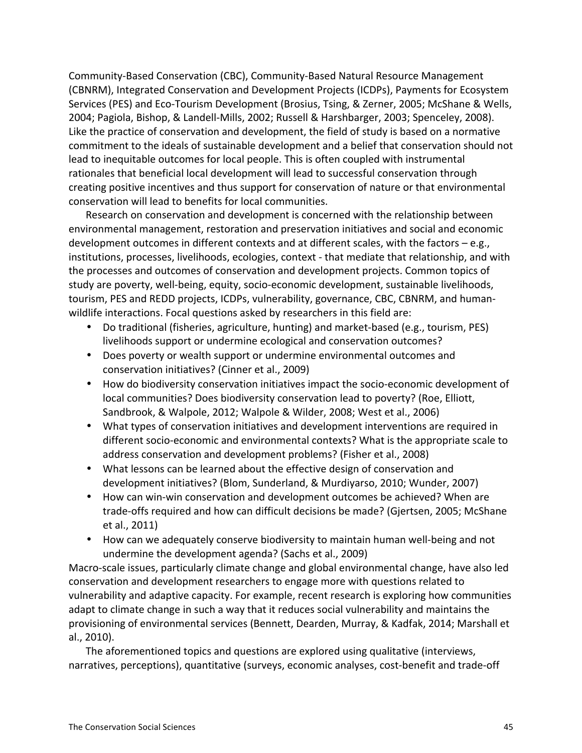Community-Based Conservation (CBC), Community-Based Natural Resource Management (CBNRM), Integrated Conservation and Development Projects (ICDPs), Payments for Ecosystem Services (PES) and Eco-Tourism Development (Brosius, Tsing, & Zerner, 2005; McShane & Wells, 2004; Pagiola, Bishop, & Landell-Mills, 2002; Russell & Harshbarger, 2003; Spenceley, 2008). Like the practice of conservation and development, the field of study is based on a normative commitment to the ideals of sustainable development and a belief that conservation should not lead to inequitable outcomes for local people. This is often coupled with instrumental rationales that beneficial local development will lead to successful conservation through creating positive incentives and thus support for conservation of nature or that environmental conservation will lead to benefits for local communities.

Research on conservation and development is concerned with the relationship between environmental management, restoration and preservation initiatives and social and economic development outcomes in different contexts and at different scales, with the factors – e.g., institutions, processes, livelihoods, ecologies, context - that mediate that relationship, and with the processes and outcomes of conservation and development projects. Common topics of study are poverty, well-being, equity, socio-economic development, sustainable livelihoods, tourism, PES and REDD projects, ICDPs, vulnerability, governance, CBC, CBNRM, and humanwildlife interactions. Focal questions asked by researchers in this field are:

- Do traditional (fisheries, agriculture, hunting) and market-based (e.g., tourism, PES) livelihoods support or undermine ecological and conservation outcomes?
- Does poverty or wealth support or undermine environmental outcomes and conservation initiatives? (Cinner et al., 2009)
- How do biodiversity conservation initiatives impact the socio-economic development of local communities? Does biodiversity conservation lead to poverty? (Roe, Elliott, Sandbrook, & Walpole, 2012; Walpole & Wilder, 2008; West et al., 2006)
- What types of conservation initiatives and development interventions are required in different socio-economic and environmental contexts? What is the appropriate scale to address conservation and development problems? (Fisher et al., 2008)
- What lessons can be learned about the effective design of conservation and development initiatives? (Blom, Sunderland, & Murdiyarso, 2010; Wunder, 2007)
- How can win-win conservation and development outcomes be achieved? When are trade-offs required and how can difficult decisions be made? (Gjertsen, 2005; McShane et al., 2011)
- How can we adequately conserve biodiversity to maintain human well-being and not undermine the development agenda? (Sachs et al., 2009)

Macro-scale issues, particularly climate change and global environmental change, have also led conservation and development researchers to engage more with questions related to vulnerability and adaptive capacity. For example, recent research is exploring how communities adapt to climate change in such a way that it reduces social vulnerability and maintains the provisioning of environmental services (Bennett, Dearden, Murray, & Kadfak, 2014; Marshall et al., 2010).

The aforementioned topics and questions are explored using qualitative (interviews, narratives, perceptions), quantitative (surveys, economic analyses, cost-benefit and trade-off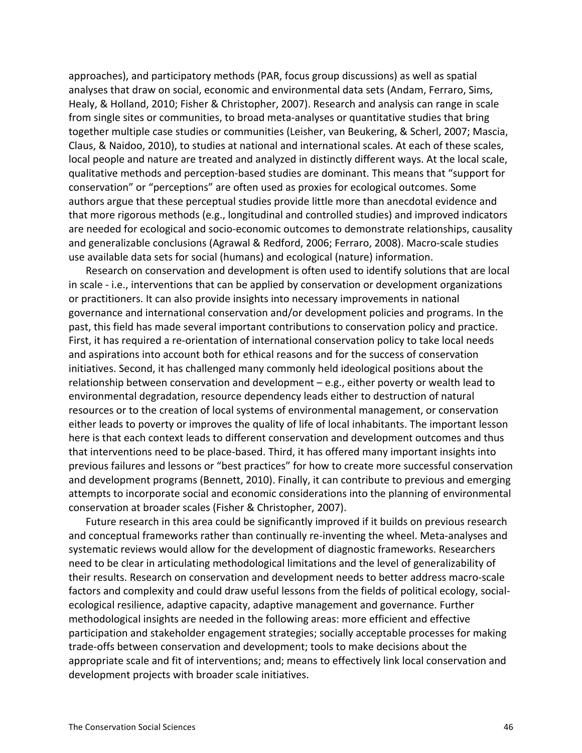approaches), and participatory methods (PAR, focus group discussions) as well as spatial analyses that draw on social, economic and environmental data sets (Andam, Ferraro, Sims, Healy, & Holland, 2010; Fisher & Christopher, 2007). Research and analysis can range in scale from single sites or communities, to broad meta-analyses or quantitative studies that bring together multiple case studies or communities (Leisher, van Beukering, & Scherl, 2007; Mascia, Claus, & Naidoo, 2010), to studies at national and international scales. At each of these scales, local people and nature are treated and analyzed in distinctly different ways. At the local scale, qualitative methods and perception-based studies are dominant. This means that "support for conservation" or "perceptions" are often used as proxies for ecological outcomes. Some authors argue that these perceptual studies provide little more than anecdotal evidence and that more rigorous methods (e.g., longitudinal and controlled studies) and improved indicators are needed for ecological and socio-economic outcomes to demonstrate relationships, causality and generalizable conclusions (Agrawal & Redford, 2006; Ferraro, 2008). Macro-scale studies use available data sets for social (humans) and ecological (nature) information.

Research on conservation and development is often used to identify solutions that are local in scale - i.e., interventions that can be applied by conservation or development organizations or practitioners. It can also provide insights into necessary improvements in national governance and international conservation and/or development policies and programs. In the past, this field has made several important contributions to conservation policy and practice. First, it has required a re-orientation of international conservation policy to take local needs and aspirations into account both for ethical reasons and for the success of conservation initiatives. Second, it has challenged many commonly held ideological positions about the relationship between conservation and development  $-e.g.,$  either poverty or wealth lead to environmental degradation, resource dependency leads either to destruction of natural resources or to the creation of local systems of environmental management, or conservation either leads to poverty or improves the quality of life of local inhabitants. The important lesson here is that each context leads to different conservation and development outcomes and thus that interventions need to be place-based. Third, it has offered many important insights into previous failures and lessons or "best practices" for how to create more successful conservation and development programs (Bennett, 2010). Finally, it can contribute to previous and emerging attempts to incorporate social and economic considerations into the planning of environmental conservation at broader scales (Fisher & Christopher, 2007).

Future research in this area could be significantly improved if it builds on previous research and conceptual frameworks rather than continually re-inventing the wheel. Meta-analyses and systematic reviews would allow for the development of diagnostic frameworks. Researchers need to be clear in articulating methodological limitations and the level of generalizability of their results. Research on conservation and development needs to better address macro-scale factors and complexity and could draw useful lessons from the fields of political ecology, socialecological resilience, adaptive capacity, adaptive management and governance. Further methodological insights are needed in the following areas: more efficient and effective participation and stakeholder engagement strategies; socially acceptable processes for making trade-offs between conservation and development; tools to make decisions about the appropriate scale and fit of interventions; and; means to effectively link local conservation and development projects with broader scale initiatives.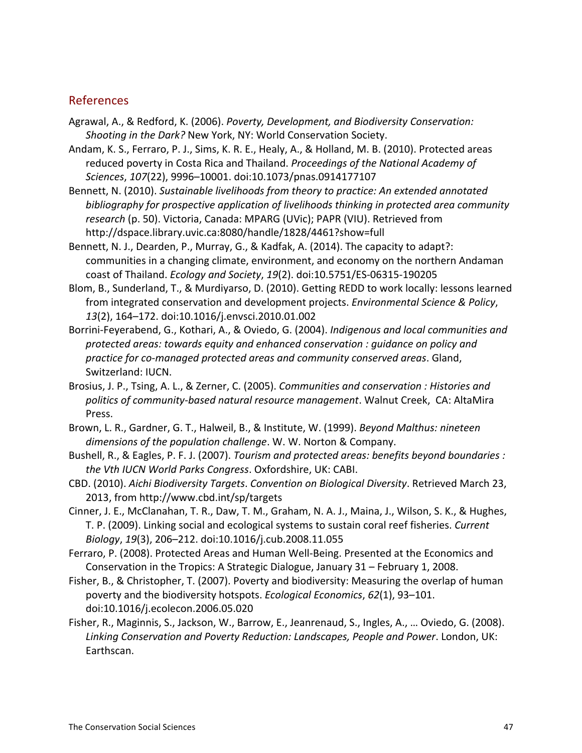### References

- Agrawal, A., & Redford, K. (2006). *Poverty, Development, and Biodiversity Conservation:* Shooting in the Dark? New York, NY: World Conservation Society.
- Andam, K. S., Ferraro, P. J., Sims, K. R. E., Healy, A., & Holland, M. B. (2010). Protected areas reduced poverty in Costa Rica and Thailand. *Proceedings of the National Academy of Sciences*,!*107*(22),!9996–10001.!doi:10.1073/pnas.0914177107
- Bennett, N. (2010). Sustainable livelihoods from theory to practice: An extended annotated bibliography for prospective application of livelihoods thinking in protected area community research (p. 50). Victoria, Canada: MPARG (UVic); PAPR (VIU). Retrieved from http://dspace.library.uvic.ca:8080/handle/1828/4461?show=full
- Bennett, N. J., Dearden, P., Murray, G., & Kadfak, A. (2014). The capacity to adapt?: communities in a changing climate, environment, and economy on the northern Andaman coast of Thailand. *Ecology and Society*, 19(2). doi:10.5751/ES-06315-190205
- Blom, B., Sunderland, T., & Murdiyarso, D. (2010). Getting REDD to work locally: lessons learned from integrated conservation and development projects. *Environmental Science & Policy*, 13(2), 164-172. doi:10.1016/j.envsci.2010.01.002
- Borrini-Feyerabend, G., Kothari, A., & Oviedo, G. (2004). *Indigenous and local communities and protected%areas:%towards%equity%and%enhanced%conservation :%guidance%on%policy%and% practice%for%coamanaged%protected%areas%and%community%conserved%areas*.!Gland,! Switzerland: IUCN.
- Brosius, J. P., Tsing, A. L., & Zerner, C. (2005). *Communities and conservation : Histories and* politics of community-based natural resource management. Walnut Creek, CA: AltaMira Press.
- Brown, L. R., Gardner, G. T., Halweil, B., & Institute, W. (1999). *Beyond Malthus: nineteen* dimensions of the population challenge. W. W. Norton & Company.
- Bushell, R., & Eagles, P. F. J. (2007). *Tourism and protected areas: benefits beyond boundaries : the%Vth%IUCN%World%Parks%Congress*.!Oxfordshire,!UK:!CABI.
- CBD. (2010). Aichi Biodiversity Targets. Convention on Biological Diversity. Retrieved March 23, 2013, from http://www.cbd.int/sp/targets
- Cinner, J. E., McClanahan, T. R., Daw, T. M., Graham, N. A. J., Maina, J., Wilson, S. K., & Hughes, T. P. (2009). Linking social and ecological systems to sustain coral reef fisheries. *Current Biology*,!*19*(3),!206–212.!doi:10.1016/j.cub.2008.11.055
- Ferraro, P. (2008). Protected Areas and Human Well-Being. Presented at the Economics and Conservation in the Tropics: A Strategic Dialogue, January  $31$  – February 1, 2008.
- Fisher, B., & Christopher, T. (2007). Poverty and biodiversity: Measuring the overlap of human poverty and the biodiversity hotspots. *Ecological Economics*, 62(1), 93-101. doi:10.1016/j.ecolecon.2006.05.020
- Fisher, R., Maginnis, S., Jackson, W., Barrow, E., Jeanrenaud, S., Ingles, A., … Oviedo, G. (2008). Linking Conservation and Poverty Reduction: Landscapes, People and Power. London, UK: Earthscan.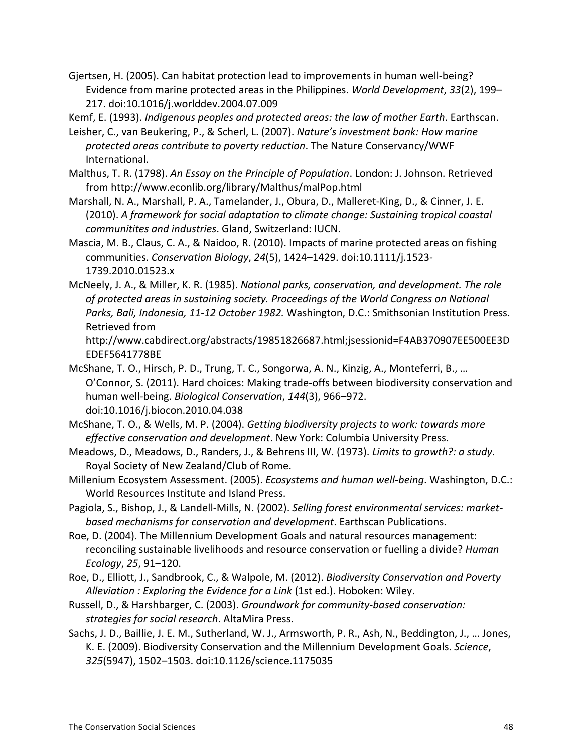Gjertsen, H. (2005). Can habitat protection lead to improvements in human well-being? Evidence from marine protected areas in the Philippines. *World Development*, 33(2), 199– 217.!doi:10.1016/j.worlddev.2004.07.009

Kemf, E. (1993). *Indigenous peoples and protected areas: the law of mother Earth*. Earthscan.

- Leisher, C., van Beukering, P., & Scherl, L. (2007). *Nature's investment bank: How marine* protected areas contribute to poverty reduction. The Nature Conservancy/WWF International.
- Malthus, T. R. (1798). *An Essay on the Principle of Population*. London: J. Johnson. Retrieved from!http://www.econlib.org/library/Malthus/malPop.html
- Marshall, N. A., Marshall, P. A., Tamelander, J., Obura, D., Malleret-King, D., & Cinner, J. E. (2010). A framework for social adaptation to climate change: Sustaining tropical coastal communitites and industries. Gland, Switzerland: IUCN.
- Mascia, M. B., Claus, C. A., & Naidoo, R. (2010). Impacts of marine protected areas on fishing communities. Conservation Biology, 24(5), 1424–1429. doi:10.1111/j.1523-1739.2010.01523.x
- McNeely, J. A., & Miller, K. R. (1985). *National parks, conservation, and development. The role* of protected areas in sustaining society. Proceedings of the World Congress on National Parks, Bali, Indonesia, 11-12 October 1982. Washington, D.C.: Smithsonian Institution Press. Retrieved from

http://www.cabdirect.org/abstracts/19851826687.html;jsessionid=F4AB370907EE500EE3D EDEF5641778BE

- McShane, T. O., Hirsch, P. D., Trung, T. C., Songorwa, A. N., Kinzig, A., Monteferri, B., … O'Connor, S. (2011). Hard choices: Making trade-offs between biodiversity conservation and human well-being. *Biological Conservation*, 144(3), 966–972. doi:10.1016/j.biocon.2010.04.038
- McShane, T. O., & Wells, M. P. (2004). *Getting biodiversity projects to work: towards more effective conservation and development*. New York: Columbia University Press.
- Meadows, D., Meadows, D., Randers, J., & Behrens III, W. (1973). *Limits to growth?: a study*. Royal Society of New Zealand/Club of Rome.
- Millenium Ecosystem Assessment. (2005). *Ecosystems and human well-being*. Washington, D.C.: World Resources Institute and Island Press.
- Pagiola, S., Bishop, J., & Landell-Mills, N. (2002). Selling forest environmental services: market*based mechanisms for conservation and development*. Earthscan Publications.
- Roe, D. (2004). The Millennium Development Goals and natural resources management: reconciling sustainable livelihoods and resource conservation or fuelling a divide? *Human Ecology, 25, 91–120.*
- Roe, D., Elliott, J., Sandbrook, C., & Walpole, M. (2012). *Biodiversity Conservation and Poverty* Alleviation : Exploring the Evidence for a Link (1st ed.). Hoboken: Wiley.
- Russell, D., & Harshbarger, C. (2003). *Groundwork for community-based conservation:* strategies for social research. AltaMira Press.
- Sachs, J. D., Baillie, J. E. M., Sutherland, W. J., Armsworth, P. R., Ash, N., Beddington, J., ... Jones, K. E. (2009). Biodiversity Conservation and the Millennium Development Goals. *Science*, 325(5947), 1502–1503. doi:10.1126/science.1175035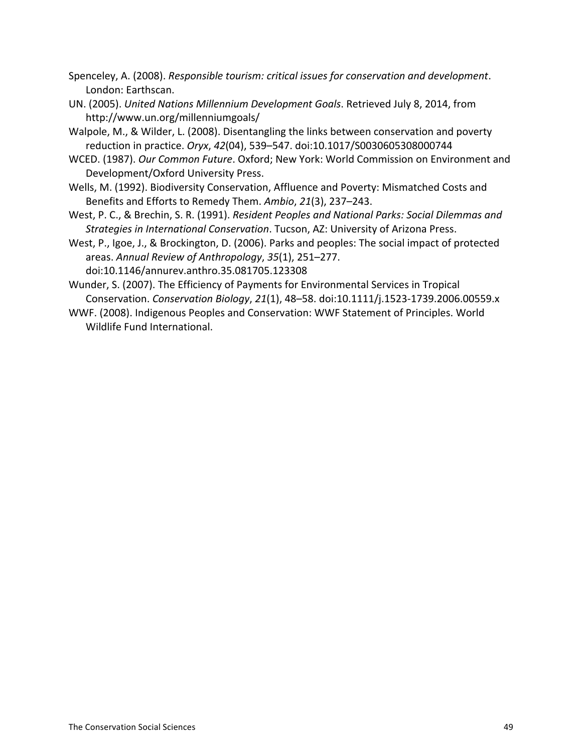Spenceley, A. (2008). *Responsible tourism: critical issues for conservation and development.* London: Earthscan.

- UN. (2005). *United Nations Millennium Development Goals*. Retrieved July 8, 2014, from http://www.un.org/millenniumgoals/
- Walpole, M., & Wilder, L. (2008). Disentangling the links between conservation and poverty reduction in practice. *Oryx*, 42(04), 539–547. doi:10.1017/S0030605308000744
- WCED. (1987). *Our Common Future*. Oxford; New York: World Commission on Environment and Development/Oxford University Press.
- Wells, M. (1992). Biodiversity Conservation, Affluence and Poverty: Mismatched Costs and Benefits and Efforts to Remedy Them. Ambio, 21(3), 237–243.
- West, P. C., & Brechin, S. R. (1991). *Resident Peoples and National Parks: Social Dilemmas and* Strategies in International Conservation. Tucson, AZ: University of Arizona Press.
- West, P., Igoe, J., & Brockington, D. (2006). Parks and peoples: The social impact of protected areas. Annual Review of Anthropology, 35(1), 251–277. doi:10.1146/annurev.anthro.35.081705.123308
- Wunder, S. (2007). The Efficiency of Payments for Environmental Services in Tropical Conservation. *Conservation Biology, 21*(1), 48–58. doi:10.1111/j.1523-1739.2006.00559.x
- WWF. (2008). Indigenous Peoples and Conservation: WWF Statement of Principles. World Wildlife Fund International.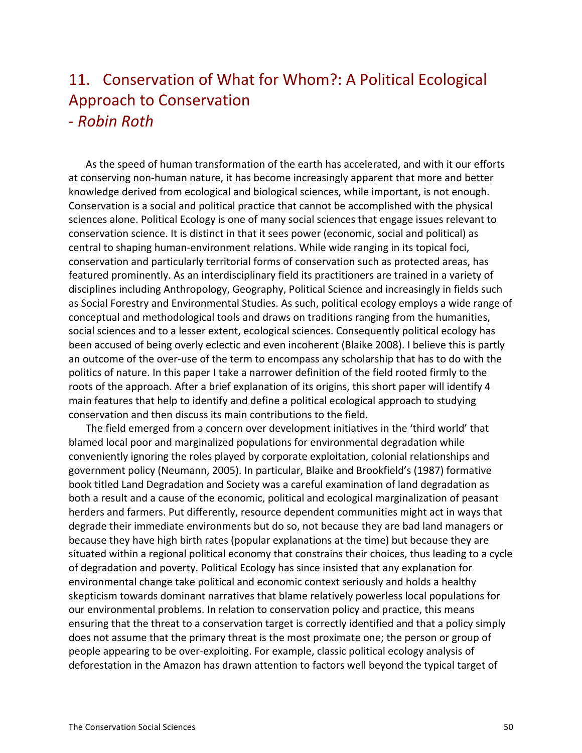### 11. Conservation of What for Whom?: A Political Ecological Approach to Conservation *a Robin%Roth*

As the speed of human transformation of the earth has accelerated, and with it our efforts at conserving non-human nature, it has become increasingly apparent that more and better knowledge derived from ecological and biological sciences, while important, is not enough. Conservation is a social and political practice that cannot be accomplished with the physical sciences alone. Political Ecology is one of many social sciences that engage issues relevant to conservation science. It is distinct in that it sees power (economic, social and political) as central to shaping human-environment relations. While wide ranging in its topical foci, conservation and particularly territorial forms of conservation such as protected areas, has featured prominently. As an interdisciplinary field its practitioners are trained in a variety of disciplines including Anthropology, Geography, Political Science and increasingly in fields such as Social Forestry and Environmental Studies. As such, political ecology employs a wide range of conceptual and methodological tools and draws on traditions ranging from the humanities, social sciences and to a lesser extent, ecological sciences. Consequently political ecology has been accused of being overly eclectic and even incoherent (Blaike 2008). I believe this is partly an outcome of the over-use of the term to encompass any scholarship that has to do with the politics of nature. In this paper I take a narrower definition of the field rooted firmly to the roots of the approach. After a brief explanation of its origins, this short paper will identify 4 main features that help to identify and define a political ecological approach to studying conservation and then discuss its main contributions to the field.

The field emerged from a concern over development initiatives in the 'third world' that blamed local poor and marginalized populations for environmental degradation while conveniently ignoring the roles played by corporate exploitation, colonial relationships and government policy (Neumann, 2005). In particular, Blaike and Brookfield's (1987) formative book titled Land Degradation and Society was a careful examination of land degradation as both a result and a cause of the economic, political and ecological marginalization of peasant herders and farmers. Put differently, resource dependent communities might act in ways that degrade their immediate environments but do so, not because they are bad land managers or because they have high birth rates (popular explanations at the time) but because they are situated within a regional political economy that constrains their choices, thus leading to a cycle of degradation and poverty. Political Ecology has since insisted that any explanation for environmental change take political and economic context seriously and holds a healthy skepticism towards dominant narratives that blame relatively powerless local populations for our environmental problems. In relation to conservation policy and practice, this means ensuring that the threat to a conservation target is correctly identified and that a policy simply does not assume that the primary threat is the most proximate one; the person or group of people appearing to be over-exploiting. For example, classic political ecology analysis of deforestation in the Amazon has drawn attention to factors well beyond the typical target of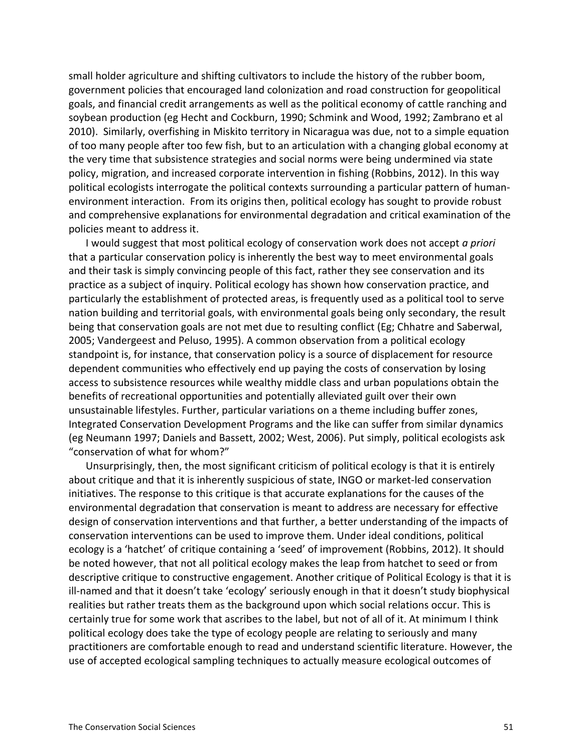small holder agriculture and shifting cultivators to include the history of the rubber boom, government policies that encouraged land colonization and road construction for geopolitical goals, and financial credit arrangements as well as the political economy of cattle ranching and soybean production (eg Hecht and Cockburn, 1990; Schmink and Wood, 1992; Zambrano et al 2010). Similarly, overfishing in Miskito territory in Nicaragua was due, not to a simple equation of too many people after too few fish, but to an articulation with a changing global economy at the very time that subsistence strategies and social norms were being undermined via state policy, migration, and increased corporate intervention in fishing (Robbins, 2012). In this way political ecologists interrogate the political contexts surrounding a particular pattern of humanenvironment interaction. From its origins then, political ecology has sought to provide robust and comprehensive explanations for environmental degradation and critical examination of the policies meant to address it.

I would suggest that most political ecology of conservation work does not accept *a priori* that a particular conservation policy is inherently the best way to meet environmental goals and their task is simply convincing people of this fact, rather they see conservation and its practice as a subject of inquiry. Political ecology has shown how conservation practice, and particularly the establishment of protected areas, is frequently used as a political tool to serve nation building and territorial goals, with environmental goals being only secondary, the result being that conservation goals are not met due to resulting conflict (Eg; Chhatre and Saberwal, 2005; Vandergeest and Peluso, 1995). A common observation from a political ecology standpoint is, for instance, that conservation policy is a source of displacement for resource dependent communities who effectively end up paying the costs of conservation by losing access to subsistence resources while wealthy middle class and urban populations obtain the benefits of recreational opportunities and potentially alleviated guilt over their own unsustainable lifestyles. Further, particular variations on a theme including buffer zones, Integrated Conservation Development Programs and the like can suffer from similar dynamics (eg Neumann 1997; Daniels and Bassett, 2002; West, 2006). Put simply, political ecologists ask "conservation of what for whom?"

Unsurprisingly, then, the most significant criticism of political ecology is that it is entirely about critique and that it is inherently suspicious of state, INGO or market-led conservation initiatives. The response to this critique is that accurate explanations for the causes of the environmental degradation that conservation is meant to address are necessary for effective design of conservation interventions and that further, a better understanding of the impacts of conservation interventions can be used to improve them. Under ideal conditions, political ecology is a 'hatchet' of critique containing a 'seed' of improvement (Robbins, 2012). It should be noted however, that not all political ecology makes the leap from hatchet to seed or from descriptive critique to constructive engagement. Another critique of Political Ecology is that it is ill-named and that it doesn't take 'ecology' seriously enough in that it doesn't study biophysical realities but rather treats them as the background upon which social relations occur. This is certainly true for some work that ascribes to the label, but not of all of it. At minimum I think political ecology does take the type of ecology people are relating to seriously and many practitioners are comfortable enough to read and understand scientific literature. However, the use of accepted ecological sampling techniques to actually measure ecological outcomes of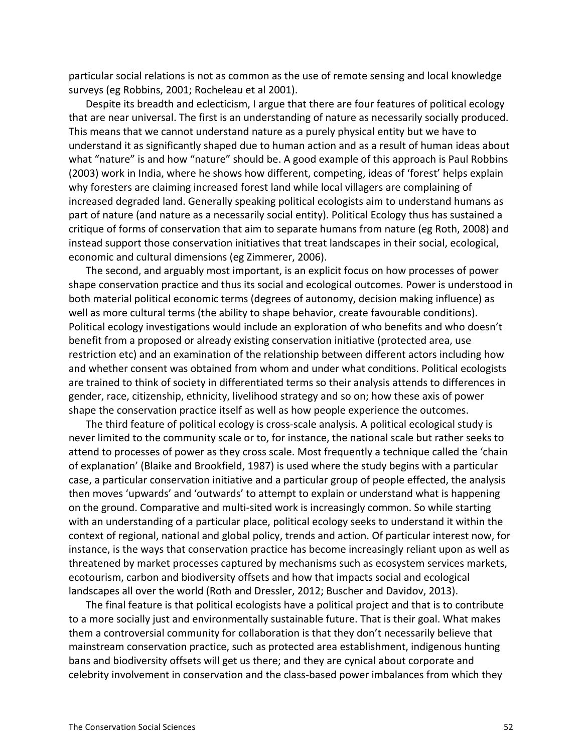particular social relations is not as common as the use of remote sensing and local knowledge surveys (eg Robbins, 2001; Rocheleau et al 2001).

Despite its breadth and eclecticism, I argue that there are four features of political ecology that are near universal. The first is an understanding of nature as necessarily socially produced. This means that we cannot understand nature as a purely physical entity but we have to understand it as significantly shaped due to human action and as a result of human ideas about what "nature" is and how "nature" should be. A good example of this approach is Paul Robbins (2003) work in India, where he shows how different, competing, ideas of 'forest' helps explain why foresters are claiming increased forest land while local villagers are complaining of increased degraded land. Generally speaking political ecologists aim to understand humans as part of nature (and nature as a necessarily social entity). Political Ecology thus has sustained a critique of forms of conservation that aim to separate humans from nature (eg Roth, 2008) and instead support those conservation initiatives that treat landscapes in their social, ecological, economic and cultural dimensions (eg Zimmerer, 2006).

The second, and arguably most important, is an explicit focus on how processes of power shape conservation practice and thus its social and ecological outcomes. Power is understood in both material political economic terms (degrees of autonomy, decision making influence) as well as more cultural terms (the ability to shape behavior, create favourable conditions). Political ecology investigations would include an exploration of who benefits and who doesn't benefit from a proposed or already existing conservation initiative (protected area, use restriction etc) and an examination of the relationship between different actors including how and whether consent was obtained from whom and under what conditions. Political ecologists are trained to think of society in differentiated terms so their analysis attends to differences in gender, race, citizenship, ethnicity, livelihood strategy and so on; how these axis of power shape the conservation practice itself as well as how people experience the outcomes.

The third feature of political ecology is cross-scale analysis. A political ecological study is never limited to the community scale or to, for instance, the national scale but rather seeks to attend to processes of power as they cross scale. Most frequently a technique called the 'chain of explanation' (Blaike and Brookfield, 1987) is used where the study begins with a particular case, a particular conservation initiative and a particular group of people effected, the analysis then moves 'upwards' and 'outwards' to attempt to explain or understand what is happening on the ground. Comparative and multi-sited work is increasingly common. So while starting with an understanding of a particular place, political ecology seeks to understand it within the context of regional, national and global policy, trends and action. Of particular interest now, for instance, is the ways that conservation practice has become increasingly reliant upon as well as threatened by market processes captured by mechanisms such as ecosystem services markets, ecotourism, carbon and biodiversity offsets and how that impacts social and ecological landscapes all over the world (Roth and Dressler, 2012; Buscher and Davidov, 2013).

The final feature is that political ecologists have a political project and that is to contribute to a more socially just and environmentally sustainable future. That is their goal. What makes them a controversial community for collaboration is that they don't necessarily believe that mainstream conservation practice, such as protected area establishment, indigenous hunting bans and biodiversity offsets will get us there; and they are cynical about corporate and celebrity involvement in conservation and the class-based power imbalances from which they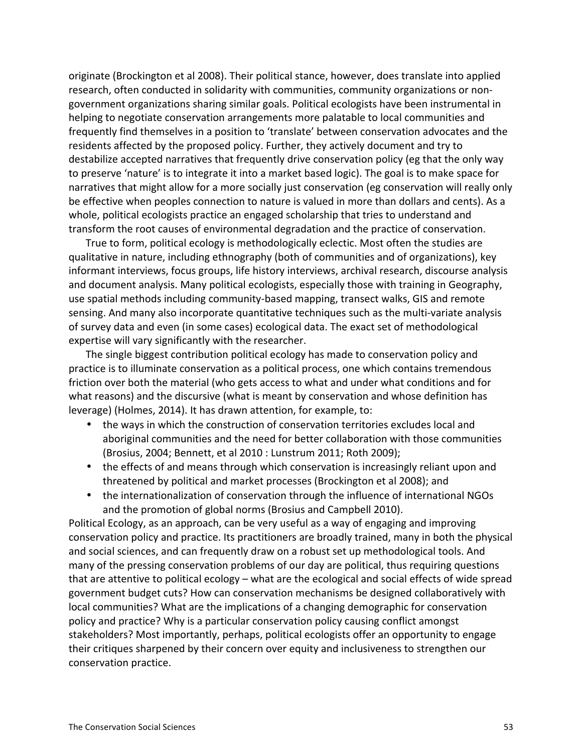originate (Brockington et al 2008). Their political stance, however, does translate into applied research, often conducted in solidarity with communities, community organizations or nongovernment organizations sharing similar goals. Political ecologists have been instrumental in helping to negotiate conservation arrangements more palatable to local communities and frequently find themselves in a position to 'translate' between conservation advocates and the residents affected by the proposed policy. Further, they actively document and try to destabilize accepted narratives that frequently drive conservation policy (eg that the only way to preserve 'nature' is to integrate it into a market based logic). The goal is to make space for narratives that might allow for a more socially just conservation (eg conservation will really only be effective when peoples connection to nature is valued in more than dollars and cents). As a whole, political ecologists practice an engaged scholarship that tries to understand and transform the root causes of environmental degradation and the practice of conservation.

True to form, political ecology is methodologically eclectic. Most often the studies are qualitative in nature, including ethnography (both of communities and of organizations), key informant interviews, focus groups, life history interviews, archival research, discourse analysis and document analysis. Many political ecologists, especially those with training in Geography, use spatial methods including community-based mapping, transect walks, GIS and remote sensing. And many also incorporate quantitative techniques such as the multi-variate analysis of survey data and even (in some cases) ecological data. The exact set of methodological expertise will vary significantly with the researcher.

The single biggest contribution political ecology has made to conservation policy and practice is to illuminate conservation as a political process, one which contains tremendous friction over both the material (who gets access to what and under what conditions and for what reasons) and the discursive (what is meant by conservation and whose definition has leverage) (Holmes, 2014). It has drawn attention, for example, to:

- the ways in which the construction of conservation territories excludes local and aboriginal communities and the need for better collaboration with those communities (Brosius, 2004; Bennett, et al 2010 : Lunstrum 2011; Roth 2009);
- the effects of and means through which conservation is increasingly reliant upon and threatened by political and market processes (Brockington et al 2008); and
- the internationalization of conservation through the influence of international NGOs and the promotion of global norms (Brosius and Campbell 2010).

Political Ecology, as an approach, can be very useful as a way of engaging and improving conservation policy and practice. Its practitioners are broadly trained, many in both the physical and social sciences, and can frequently draw on a robust set up methodological tools. And many of the pressing conservation problems of our day are political, thus requiring questions that are attentive to political ecology – what are the ecological and social effects of wide spread government budget cuts? How can conservation mechanisms be designed collaboratively with local communities? What are the implications of a changing demographic for conservation policy and practice? Why is a particular conservation policy causing conflict amongst stakeholders? Most importantly, perhaps, political ecologists offer an opportunity to engage their critiques sharpened by their concern over equity and inclusiveness to strengthen our conservation practice.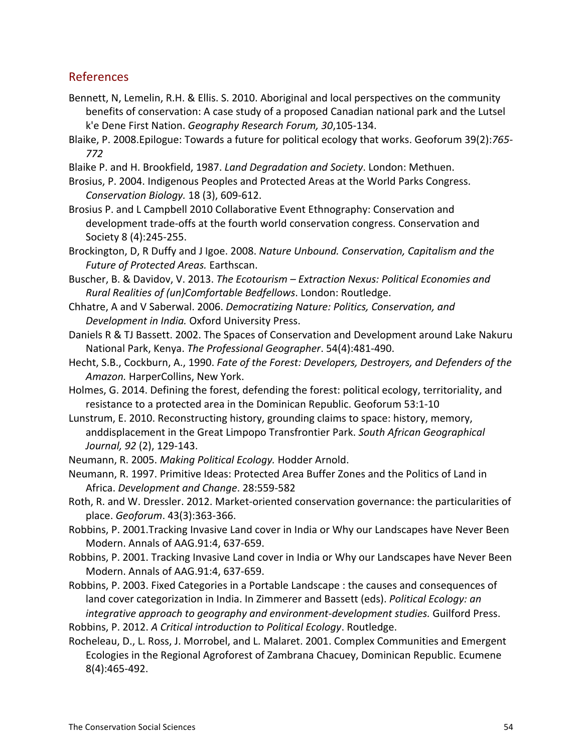### References

- Bennett, N, Lemelin, R.H. & Ellis. S. 2010. Aboriginal and local perspectives on the community benefits of conservation: A case study of a proposed Canadian national park and the Lutsel k'e Dene First Nation. *Geography Research Forum, 30,105-134*.
- Blaike, P. 2008. Epilogue: Towards a future for political ecology that works. Geoforum 39(2): 765-*772*
- Blaike P. and H. Brookfield, 1987. Land Degradation and Society. London: Methuen.
- Brosius, P. 2004. Indigenous Peoples and Protected Areas at the World Parks Congress. *Conservation Biology.* 18 (3), 609-612.
- Brosius P. and L Campbell 2010 Collaborative Event Ethnography: Conservation and development trade-offs at the fourth world conservation congress. Conservation and Society 8 (4):245-255.
- Brockington, D, R Duffy and J Igoe. 2008. Nature Unbound. Conservation, Capitalism and the *Future%of%Protected%Areas.* Earthscan.
- Buscher, B. & Davidov, V. 2013. *The Ecotourism Extraction Nexus: Political Economies and Rural%Realities%of%(un)Comfortable%Bedfellows*.!London:!Routledge.
- Chhatre,!A!and!V!Saberwal.!2006.!*Democratizing%Nature:%Politics,%Conservation,%and%* **Development in India. Oxford University Press.**
- Daniels R & TJ Bassett. 2002. The Spaces of Conservation and Development around Lake Nakuru National Park, Kenya. *The Professional Geographer*. 54(4):481-490.
- Hecht, S.B., Cockburn, A., 1990. *Fate of the Forest: Developers, Destroyers, and Defenders of the* Amazon. HarperCollins, New York.
- Holmes, G. 2014. Defining the forest, defending the forest: political ecology, territoriality, and resistance to a protected area in the Dominican Republic. Geoforum 53:1-10
- Lunstrum, E. 2010. Reconstructing history, grounding claims to space: history, memory, anddisplacement in the Great Limpopo Transfrontier Park. South African Geographical *Journal, 92 (2), 129-143.*
- Neumann, R. 2005. Making Political Ecology. Hodder Arnold.
- Neumann, R. 1997. Primitive Ideas: Protected Area Buffer Zones and the Politics of Land in Africa. *Development and Change*. 28:559-582
- Roth, R. and W. Dressler. 2012. Market-oriented conservation governance: the particularities of place. *Geoforum*. 43(3):363-366.
- Robbins, P. 2001.Tracking Invasive Land cover in India or Why our Landscapes have Never Been Modern. Annals of AAG.91:4, 637-659.
- Robbins, P. 2001. Tracking Invasive Land cover in India or Why our Landscapes have Never Been Modern. Annals of AAG.91:4, 637-659.
- Robbins, P. 2003. Fixed Categories in a Portable Landscape : the causes and consequences of land cover categorization in India. In Zimmerer and Bassett (eds). *Political Ecology: an integrative approach to geography and environment-development studies.* Guilford Press.

Robbins, P. 2012. *A Critical introduction to Political Ecology*. Routledge.

Rocheleau, D., L. Ross, J. Morrobel, and L. Malaret. 2001. Complex Communities and Emergent Ecologies in the Regional Agroforest of Zambrana Chacuey, Dominican Republic. Ecumene 8(4):465-492.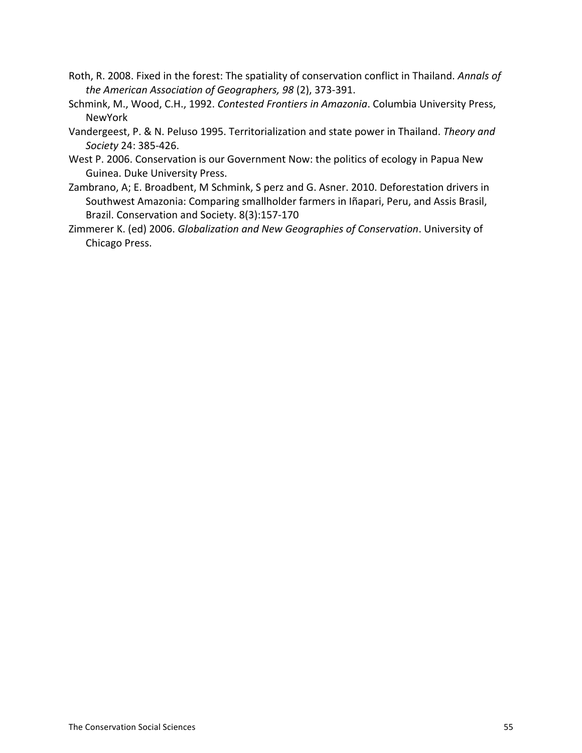- Roth, R. 2008. Fixed in the forest: The spatiality of conservation conflict in Thailand. Annals of *the American Association of Geographers, 98 (2), 373-391.*
- Schmink, M., Wood, C.H., 1992. *Contested Frontiers in Amazonia*. Columbia University Press, NewYork
- Vandergeest, P. & N. Peluso 1995. Territorialization and state power in Thailand. Theory and *Society* 24: 385-426.
- West P. 2006. Conservation is our Government Now: the politics of ecology in Papua New Guinea. Duke University Press.
- Zambrano, A; E. Broadbent, M Schmink, S perz and G. Asner. 2010. Deforestation drivers in Southwest Amazonia: Comparing smallholder farmers in Iñapari, Peru, and Assis Brasil, Brazil. Conservation and Society. 8(3):157-170
- Zimmerer K. (ed) 2006. *Globalization and New Geographies of Conservation*. University of Chicago Press.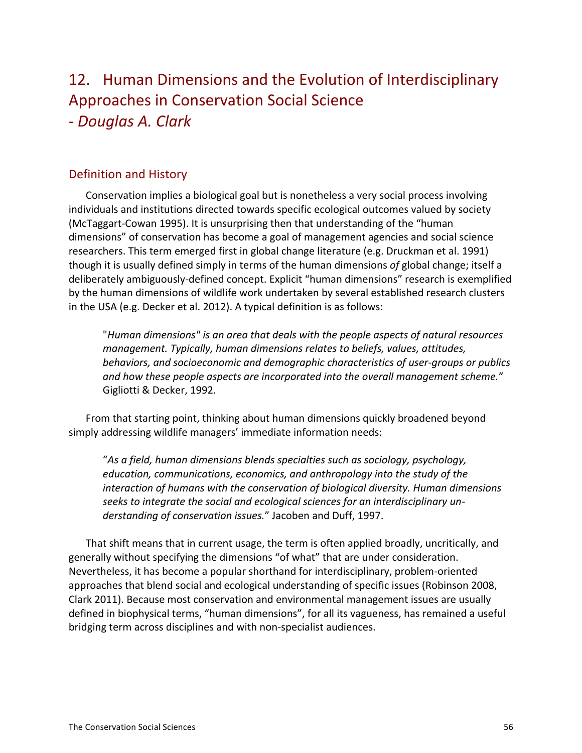## 12. Human Dimensions and the Evolution of Interdisciplinary Approaches in Conservation Social Science *a Douglas%A.%Clark*

### Definition and History

Conservation implies a biological goal but is nonetheless a very social process involving individuals and institutions directed towards specific ecological outcomes valued by society (McTaggart-Cowan 1995). It is unsurprising then that understanding of the "human" dimensions" of conservation has become a goal of management agencies and social science researchers. This term emerged first in global change literature (e.g. Druckman et al. 1991) though it is usually defined simply in terms of the human dimensions of global change; itself a deliberately ambiguously-defined concept. Explicit "human dimensions" research is exemplified by the human dimensions of wildlife work undertaken by several established research clusters in the USA (e.g. Decker et al. 2012). A typical definition is as follows:

"*Human%dimensions"%is%an%area%that%deals%with%the%people%aspects%of%natural%resources% management.%Typically,%human%dimensions%relates%to%beliefs,%values,%attitudes,% behaviors,%and%socioeconomic%and%demographic%characteristics%of%useragroups%or%publics%* and how these people aspects are incorporated into the overall management scheme." Gigliotti & Decker, 1992.

From that starting point, thinking about human dimensions quickly broadened beyond simply addressing wildlife managers' immediate information needs:

"As a field, human dimensions blends specialties such as sociology, psychology, *education,%communications,%economics,%and%anthropology%into%the%study%of%the%* interaction of humans with the conservation of biological diversity. Human dimensions seeks to integrate the social and ecological sciences for an interdisciplinary understanding of conservation issues." Jacoben and Duff, 1997.

That shift means that in current usage, the term is often applied broadly, uncritically, and generally without specifying the dimensions "of what" that are under consideration. Nevertheless, it has become a popular shorthand for interdisciplinary, problem-oriented approaches that blend social and ecological understanding of specific issues (Robinson 2008, Clark 2011). Because most conservation and environmental management issues are usually defined in biophysical terms, "human dimensions", for all its vagueness, has remained a useful bridging term across disciplines and with non-specialist audiences.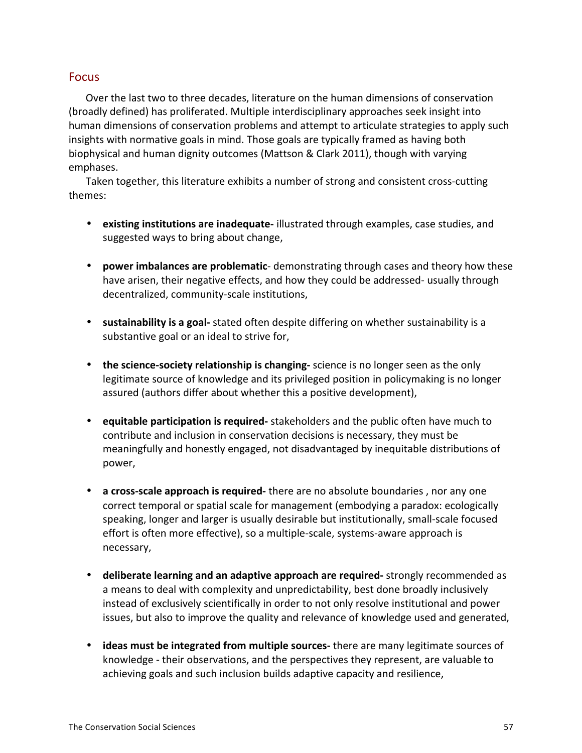### Focus

Over the last two to three decades, literature on the human dimensions of conservation (broadly defined) has proliferated. Multiple interdisciplinary approaches seek insight into human dimensions of conservation problems and attempt to articulate strategies to apply such insights with normative goals in mind. Those goals are typically framed as having both biophysical and human dignity outcomes (Mattson & Clark 2011), though with varying emphases.

Taken together, this literature exhibits a number of strong and consistent cross-cutting themes:

- existing institutions are inadequate- illustrated through examples, case studies, and suggested ways to bring about change,
- **power imbalances are problematic**-demonstrating through cases and theory how these have arisen, their negative effects, and how they could be addressed- usually through decentralized, community-scale institutions,
- sustainability is a goal- stated often despite differing on whether sustainability is a substantive goal or an ideal to strive for,
- **the science-society relationship is changing-** science is no longer seen as the only legitimate source of knowledge and its privileged position in policymaking is no longer assured (authors differ about whether this a positive development),
- equitable participation is required- stakeholders and the public often have much to contribute and inclusion in conservation decisions is necessary, they must be meaningfully and honestly engaged, not disadvantaged by inequitable distributions of power,
- **a cross-scale approach is required** there are no absolute boundaries, nor any one correct temporal or spatial scale for management (embodying a paradox: ecologically speaking, longer and larger is usually desirable but institutionally, small-scale focused effort is often more effective), so a multiple-scale, systems-aware approach is necessary,
- deliberate learning and an adaptive approach are required- strongly recommended as a means to deal with complexity and unpredictability, best done broadly inclusively instead of exclusively scientifically in order to not only resolve institutional and power issues, but also to improve the quality and relevance of knowledge used and generated,
- **ideas must be integrated from multiple sources** there are many legitimate sources of knowledge - their observations, and the perspectives they represent, are valuable to achieving goals and such inclusion builds adaptive capacity and resilience,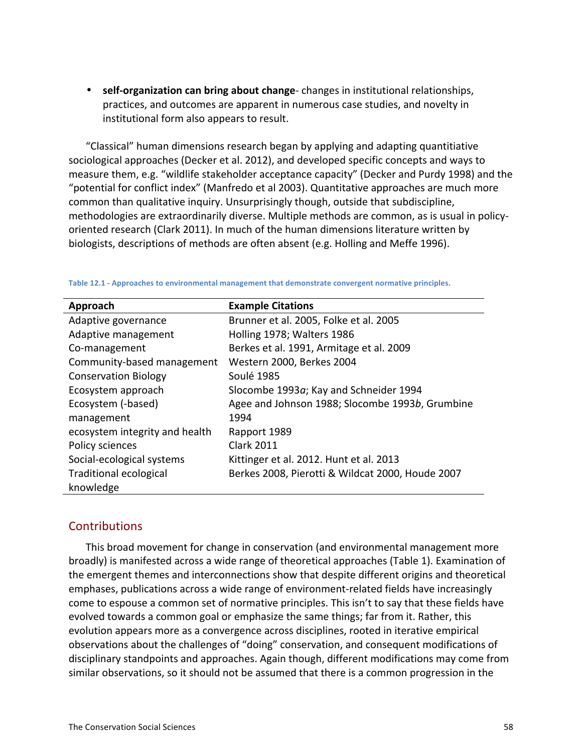• self-organization can bring about change-changes in institutional relationships, practices, and outcomes are apparent in numerous case studies, and novelty in institutional form also appears to result.

"Classical" human dimensions research began by applying and adapting quantitiative sociological approaches (Decker et al. 2012), and developed specific concepts and ways to measure them, e.g. "wildlife stakeholder acceptance capacity" (Decker and Purdy 1998) and the "potential for conflict index" (Manfredo et al 2003). Quantitative approaches are much more common than qualitative inquiry. Unsurprisingly though, outside that subdiscipline, methodologies are extraordinarily diverse. Multiple methods are common, as is usual in policyoriented research (Clark 2011). In much of the human dimensions literature written by biologists, descriptions of methods are often absent (e.g. Holling and Meffe 1996).

| Approach                       | <b>Example Citations</b>                         |
|--------------------------------|--------------------------------------------------|
| Adaptive governance            | Brunner et al. 2005, Folke et al. 2005           |
| Adaptive management            | Holling 1978; Walters 1986                       |
| Co-management                  | Berkes et al. 1991, Armitage et al. 2009         |
| Community-based management     | Western 2000, Berkes 2004                        |
| <b>Conservation Biology</b>    | Soulé 1985                                       |
| Ecosystem approach             | Slocombe 1993a; Kay and Schneider 1994           |
| Ecosystem (-based)             | Agee and Johnson 1988; Slocombe 1993b, Grumbine  |
| management                     | 1994                                             |
| ecosystem integrity and health | Rapport 1989                                     |
| Policy sciences                | <b>Clark 2011</b>                                |
| Social-ecological systems      | Kittinger et al. 2012. Hunt et al. 2013          |
| <b>Traditional ecological</b>  | Berkes 2008, Pierotti & Wildcat 2000, Houde 2007 |
| knowledge                      |                                                  |

Table 12.1 - Approaches to environmental management that demonstrate convergent normative principles.

#### **Contributions**

This broad movement for change in conservation (and environmental management more broadly) is manifested across a wide range of theoretical approaches (Table 1). Examination of the emergent themes and interconnections show that despite different origins and theoretical emphases, publications across a wide range of environment-related fields have increasingly come to espouse a common set of normative principles. This isn't to say that these fields have evolved towards a common goal or emphasize the same things; far from it. Rather, this evolution appears more as a convergence across disciplines, rooted in iterative empirical observations about the challenges of "doing" conservation, and consequent modifications of disciplinary standpoints and approaches. Again though, different modifications may come from similar observations, so it should not be assumed that there is a common progression in the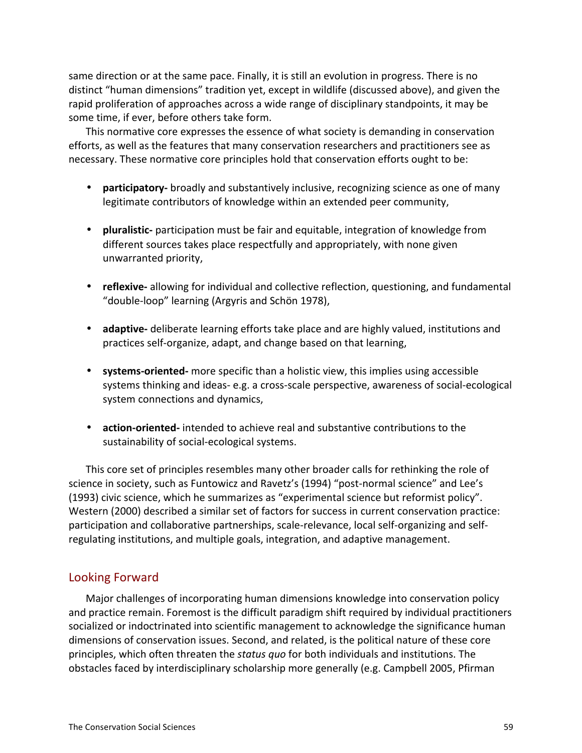same direction or at the same pace. Finally, it is still an evolution in progress. There is no distinct "human dimensions" tradition yet, except in wildlife (discussed above), and given the rapid proliferation of approaches across a wide range of disciplinary standpoints, it may be some time, if ever, before others take form.

This normative core expresses the essence of what society is demanding in conservation efforts, as well as the features that many conservation researchers and practitioners see as necessary. These normative core principles hold that conservation efforts ought to be:

- **participatory** broadly and substantively inclusive, recognizing science as one of many legitimate contributors of knowledge within an extended peer community,
- **pluralistic** participation must be fair and equitable, integration of knowledge from different sources takes place respectfully and appropriately, with none given unwarranted priority,
- **reflexive** allowing for individual and collective reflection, questioning, and fundamental "double-loop" learning (Argyris and Schön 1978),
- **adaptive-** deliberate learning efforts take place and are highly valued, institutions and practices self-organize, adapt, and change based on that learning,
- **systems-oriented-** more specific than a holistic view, this implies using accessible systems thinking and ideas-e.g. a cross-scale perspective, awareness of social-ecological system connections and dynamics,
- **action-oriented-** intended to achieve real and substantive contributions to the sustainability of social-ecological systems.

This core set of principles resembles many other broader calls for rethinking the role of science in society, such as Funtowicz and Ravetz's (1994) "post-normal science" and Lee's (1993) civic science, which he summarizes as "experimental science but reformist policy". Western (2000) described a similar set of factors for success in current conservation practice: participation and collaborative partnerships, scale-relevance, local self-organizing and selfregulating institutions, and multiple goals, integration, and adaptive management.

### Looking Forward

Major challenges of incorporating human dimensions knowledge into conservation policy and practice remain. Foremost is the difficult paradigm shift required by individual practitioners socialized or indoctrinated into scientific management to acknowledge the significance human dimensions of conservation issues. Second, and related, is the political nature of these core principles, which often threaten the *status quo* for both individuals and institutions. The obstacles faced by interdisciplinary scholarship more generally (e.g. Campbell 2005, Pfirman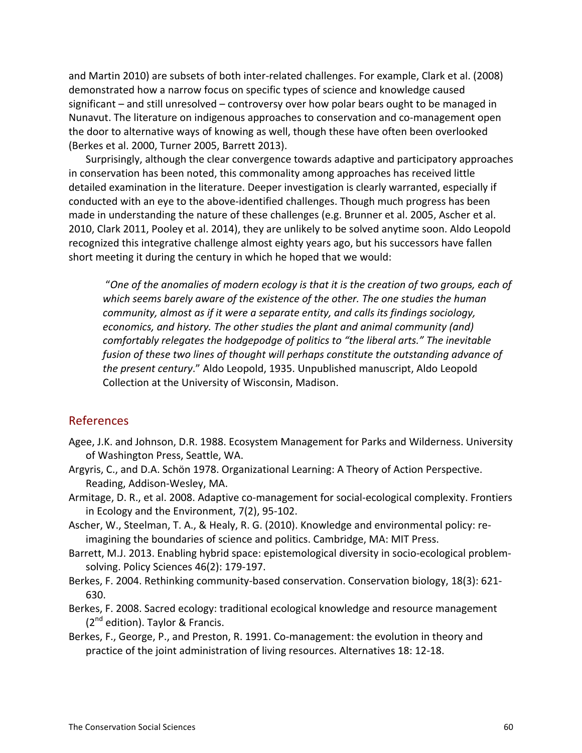and Martin 2010) are subsets of both inter-related challenges. For example, Clark et al. (2008) demonstrated how a narrow focus on specific types of science and knowledge caused significant – and still unresolved – controversy over how polar bears ought to be managed in Nunavut. The literature on indigenous approaches to conservation and co-management open the door to alternative ways of knowing as well, though these have often been overlooked (Berkes et al. 2000, Turner 2005, Barrett 2013).

Surprisingly, although the clear convergence towards adaptive and participatory approaches in conservation has been noted, this commonality among approaches has received little detailed examination in the literature. Deeper investigation is clearly warranted, especially if conducted with an eye to the above-identified challenges. Though much progress has been made in understanding the nature of these challenges (e.g. Brunner et al. 2005, Ascher et al. 2010, Clark 2011, Pooley et al. 2014), they are unlikely to be solved anytime soon. Aldo Leopold recognized this integrative challenge almost eighty years ago, but his successors have fallen short meeting it during the century in which he hoped that we would:

"*One%of%the%anomalies%of%modern%ecology%is%that%it%is%the%creation%of%two%groups,%each%of%* which seems barely aware of the existence of the other. The one studies the human *community, almost as if it were a separate entity, and calls its findings sociology,* economics, and history. The other studies the plant and animal community (and) comfortably relegates the hodgepodge of politics to "the liberal arts." The inevitable fusion of these two lines of thought will perhaps constitute the outstanding advance of *the present century."* Aldo Leopold, 1935. Unpublished manuscript, Aldo Leopold Collection at the University of Wisconsin, Madison.

#### References

- Agee, J.K. and Johnson, D.R. 1988. Ecosystem Management for Parks and Wilderness. University of Washington Press, Seattle, WA.
- Argyris, C., and D.A. Schön 1978. Organizational Learning: A Theory of Action Perspective. Reading, Addison-Wesley, MA.
- Armitage, D. R., et al. 2008. Adaptive co-management for social-ecological complexity. Frontiers in Ecology and the Environment, 7(2), 95-102.
- Ascher, W., Steelman, T. A., & Healy, R. G. (2010). Knowledge and environmental policy: reimagining the boundaries of science and politics. Cambridge, MA: MIT Press.
- Barrett, M.J. 2013. Enabling hybrid space: epistemological diversity in socio-ecological problemsolving. Policy Sciences 46(2): 179-197.
- Berkes, F. 2004. Rethinking community-based conservation. Conservation biology, 18(3): 621-630.
- Berkes, F. 2008. Sacred ecology: traditional ecological knowledge and resource management  $(2^{nd}$  edition). Taylor & Francis.
- Berkes, F., George, P., and Preston, R. 1991. Co-management: the evolution in theory and practice of the joint administration of living resources. Alternatives 18: 12-18.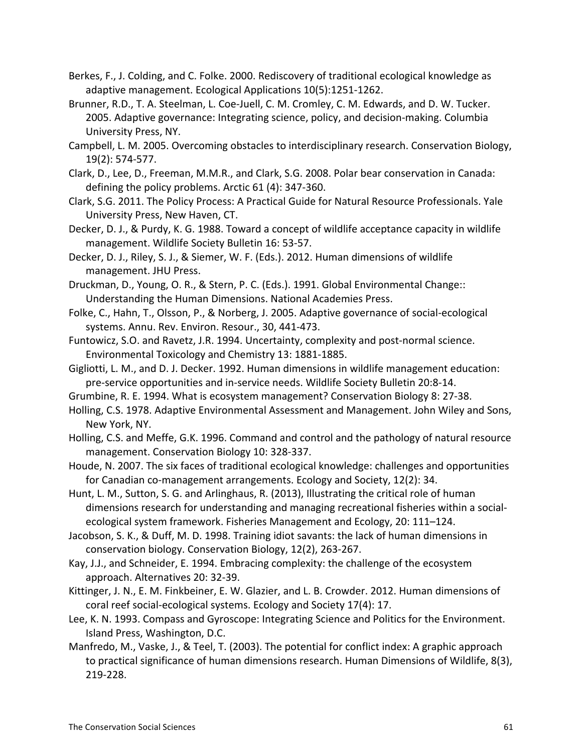- Berkes, F., J. Colding, and C. Folke. 2000. Rediscovery of traditional ecological knowledge as adaptive management. Ecological Applications 10(5):1251-1262.
- Brunner, R.D., T. A. Steelman, L. Coe-Juell, C. M. Cromley, C. M. Edwards, and D. W. Tucker. 2005. Adaptive governance: Integrating science, policy, and decision-making. Columbia University Press, NY.
- Campbell, L. M. 2005. Overcoming obstacles to interdisciplinary research. Conservation Biology, 19(2): 574-577.
- Clark, D., Lee, D., Freeman, M.M.R., and Clark, S.G. 2008. Polar bear conservation in Canada: defining the policy problems. Arctic  $61$  (4): 347-360.
- Clark, S.G. 2011. The Policy Process: A Practical Guide for Natural Resource Professionals. Yale University Press, New Haven, CT.
- Decker, D. J., & Purdy, K. G. 1988. Toward a concept of wildlife acceptance capacity in wildlife management. Wildlife Society Bulletin 16: 53-57.
- Decker, D. J., Riley, S. J., & Siemer, W. F. (Eds.). 2012. Human dimensions of wildlife management. JHU Press.
- Druckman, D., Young, O. R., & Stern, P. C. (Eds.). 1991. Global Environmental Change:: Understanding the Human Dimensions. National Academies Press.
- Folke, C., Hahn, T., Olsson, P., & Norberg, J. 2005. Adaptive governance of social-ecological systems. Annu. Rev. Environ. Resour., 30, 441-473.
- Funtowicz, S.O. and Ravetz, J.R. 1994. Uncertainty, complexity and post-normal science. Environmental Toxicology and Chemistry 13: 1881-1885.
- Gigliotti, L. M., and D. J. Decker. 1992. Human dimensions in wildlife management education: pre-service opportunities and in-service needs. Wildlife Society Bulletin 20:8-14.
- Grumbine, R. E. 1994. What is ecosystem management? Conservation Biology 8: 27-38.
- Holling, C.S. 1978. Adaptive Environmental Assessment and Management. John Wiley and Sons, New York, NY.
- Holling, C.S. and Meffe, G.K. 1996. Command and control and the pathology of natural resource management. Conservation Biology 10: 328-337.
- Houde, N. 2007. The six faces of traditional ecological knowledge: challenges and opportunities for Canadian co-management arrangements. Ecology and Society, 12(2): 34.
- Hunt, L. M., Sutton, S. G. and Arlinghaus, R. (2013), Illustrating the critical role of human dimensions research for understanding and managing recreational fisheries within a socialecological system framework. Fisheries Management and Ecology, 20: 111–124.
- Jacobson, S. K., & Duff, M. D. 1998. Training idiot savants: the lack of human dimensions in conservation biology. Conservation Biology, 12(2), 263-267.
- Kay, J.J., and Schneider, E. 1994. Embracing complexity: the challenge of the ecosystem approach. Alternatives 20: 32-39.
- Kittinger, J. N., E. M. Finkbeiner, E. W. Glazier, and L. B. Crowder. 2012. Human dimensions of coral reef social-ecological systems. Ecology and Society 17(4): 17.
- Lee, K. N. 1993. Compass and Gyroscope: Integrating Science and Politics for the Environment. Island Press, Washington, D.C.
- Manfredo, M., Vaske, J., & Teel, T. (2003). The potential for conflict index: A graphic approach to practical significance of human dimensions research. Human Dimensions of Wildlife, 8(3), 219-228.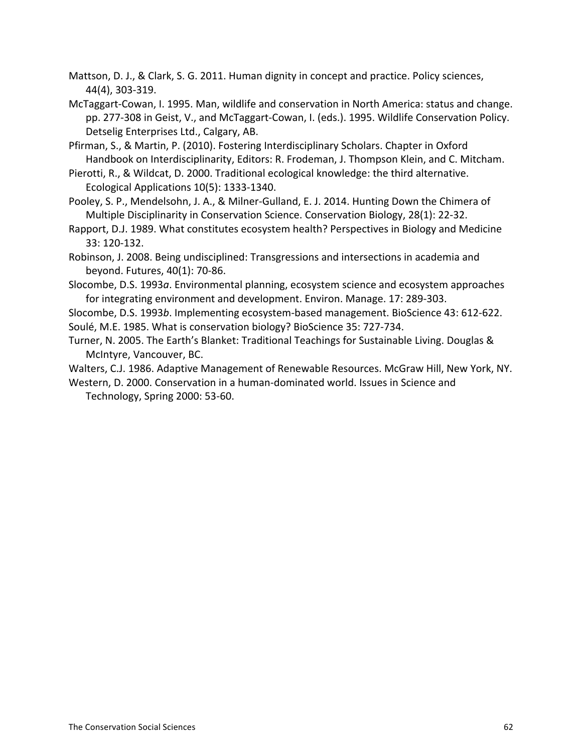Mattson, D. J., & Clark, S. G. 2011. Human dignity in concept and practice. Policy sciences, 44(4), 303-319.

McTaggart-Cowan, I. 1995. Man, wildlife and conservation in North America: status and change. pp. 277-308 in Geist, V., and McTaggart-Cowan, I. (eds.). 1995. Wildlife Conservation Policy. Detselig Enterprises Ltd., Calgary, AB.

Pfirman, S., & Martin, P. (2010). Fostering Interdisciplinary Scholars. Chapter in Oxford Handbook on Interdisciplinarity, Editors: R. Frodeman, J. Thompson Klein, and C. Mitcham.

Pierotti, R., & Wildcat, D. 2000. Traditional ecological knowledge: the third alternative. Ecological Applications 10(5): 1333-1340.

Pooley, S. P., Mendelsohn, J. A., & Milner-Gulland, E. J. 2014. Hunting Down the Chimera of Multiple Disciplinarity in Conservation Science. Conservation Biology, 28(1): 22-32.

- Rapport, D.J. 1989. What constitutes ecosystem health? Perspectives in Biology and Medicine 33: 120-132.
- Robinson, J. 2008. Being undisciplined: Transgressions and intersections in academia and beyond. Futures, 40(1): 70-86.
- Slocombe, D.S. 1993*a*. Environmental planning, ecosystem science and ecosystem approaches for integrating environment and development. Environ. Manage. 17: 289-303.

Slocombe, D.S. 1993*b*. Implementing ecosystem-based management. BioScience 43: 612-622. Soulé, M.E. 1985. What is conservation biology? BioScience 35: 727-734.

Turner, N. 2005. The Earth's Blanket: Traditional Teachings for Sustainable Living. Douglas & McIntyre, Vancouver, BC.

Walters, C.J. 1986. Adaptive Management of Renewable Resources. McGraw Hill, New York, NY.

Western, D. 2000. Conservation in a human-dominated world. Issues in Science and Technology, Spring 2000: 53-60.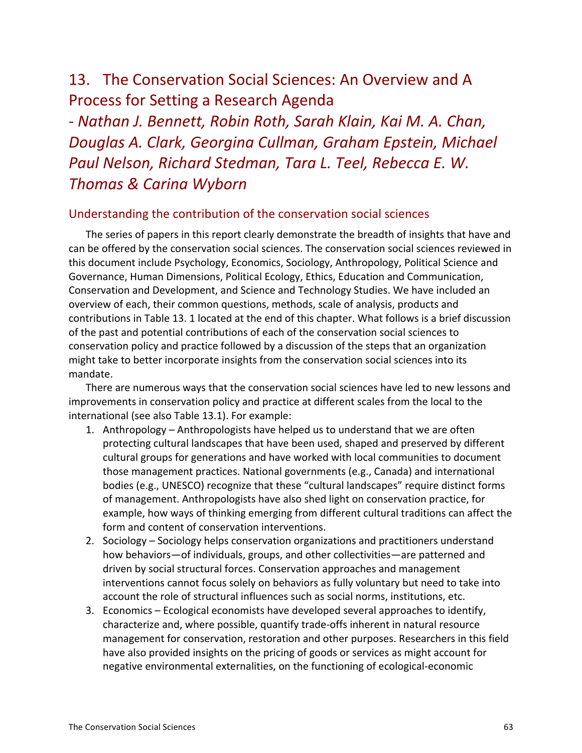### 13. The Conservation Social Sciences: An Overview and A Process for Setting a Research Agenda

S *Nathan%J.%Bennett,%Robin%Roth,%Sarah%Klain,%Kai%M.%A.%Chan,% Douglas%A.%Clark,%Georgina%Cullman,%Graham%Epstein,%Michael% Paul Nelson, Richard Stedman, Tara L. Teel, Rebecca E. W. Thomas &%Carina Wyborn*

#### Understanding the contribution of the conservation social sciences

The series of papers in this report clearly demonstrate the breadth of insights that have and can be offered by the conservation social sciences. The conservation social sciences reviewed in this document include Psychology, Economics, Sociology, Anthropology, Political Science and Governance, Human Dimensions, Political Ecology, Ethics, Education and Communication, Conservation and Development, and Science and Technology Studies. We have included an overview of each, their common questions, methods, scale of analysis, products and contributions in Table 13. 1 located at the end of this chapter. What follows is a brief discussion of the past and potential contributions of each of the conservation social sciences to conservation policy and practice followed by a discussion of the steps that an organization might take to better incorporate insights from the conservation social sciences into its mandate.

There are numerous ways that the conservation social sciences have led to new lessons and improvements in conservation policy and practice at different scales from the local to the international (see also Table 13.1). For example:

- 1. Anthropology Anthropologists have helped us to understand that we are often protecting cultural landscapes that have been used, shaped and preserved by different cultural groups for generations and have worked with local communities to document those management practices. National governments (e.g., Canada) and international bodies (e.g., UNESCO) recognize that these "cultural landscapes" require distinct forms of management. Anthropologists have also shed light on conservation practice, for example, how ways of thinking emerging from different cultural traditions can affect the form and content of conservation interventions.
- 2. Sociology Sociology helps conservation organizations and practitioners understand how behaviors—of individuals, groups, and other collectivities—are patterned and driven by social structural forces. Conservation approaches and management interventions cannot focus solely on behaviors as fully voluntary but need to take into account the role of structural influences such as social norms, institutions, etc.
- 3. Economics Ecological economists have developed several approaches to identify, characterize and, where possible, quantify trade-offs inherent in natural resource management for conservation, restoration and other purposes. Researchers in this field have also provided insights on the pricing of goods or services as might account for negative environmental externalities, on the functioning of ecological-economic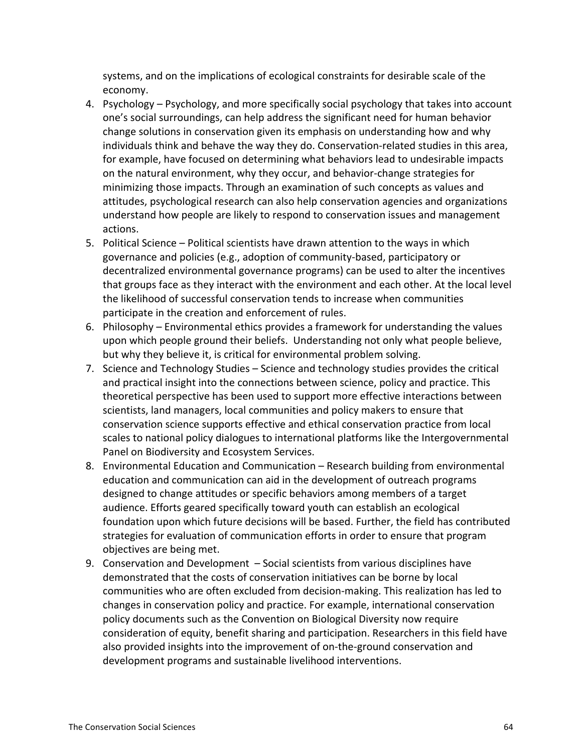systems, and on the implications of ecological constraints for desirable scale of the economy.

- 4. Psychology Psychology, and more specifically social psychology that takes into account one's social surroundings, can help address the significant need for human behavior change solutions in conservation given its emphasis on understanding how and why individuals think and behave the way they do. Conservation-related studies in this area, for example, have focused on determining what behaviors lead to undesirable impacts on the natural environment, why they occur, and behavior-change strategies for minimizing those impacts. Through an examination of such concepts as values and attitudes, psychological research can also help conservation agencies and organizations understand how people are likely to respond to conservation issues and management actions.
- 5. Political Science Political scientists have drawn attention to the ways in which governance and policies (e.g., adoption of community-based, participatory or decentralized environmental governance programs) can be used to alter the incentives that groups face as they interact with the environment and each other. At the local level the likelihood of successful conservation tends to increase when communities participate in the creation and enforcement of rules.
- 6. Philosophy Environmental ethics provides a framework for understanding the values upon which people ground their beliefs. Understanding not only what people believe, but why they believe it, is critical for environmental problem solving.
- 7. Science and Technology Studies Science and technology studies provides the critical and practical insight into the connections between science, policy and practice. This theoretical perspective has been used to support more effective interactions between scientists, land managers, local communities and policy makers to ensure that conservation science supports effective and ethical conservation practice from local scales to national policy dialogues to international platforms like the Intergovernmental Panel on Biodiversity and Ecosystem Services.
- 8. Environmental Education and Communication Research building from environmental education and communication can aid in the development of outreach programs designed to change attitudes or specific behaviors among members of a target audience. Efforts geared specifically toward youth can establish an ecological foundation upon which future decisions will be based. Further, the field has contributed strategies for evaluation of communication efforts in order to ensure that program objectives are being met.
- 9. Conservation and Development  $-$  Social scientists from various disciplines have demonstrated that the costs of conservation initiatives can be borne by local communities who are often excluded from decision-making. This realization has led to changes in conservation policy and practice. For example, international conservation policy documents such as the Convention on Biological Diversity now require consideration of equity, benefit sharing and participation. Researchers in this field have also provided insights into the improvement of on-the-ground conservation and development programs and sustainable livelihood interventions.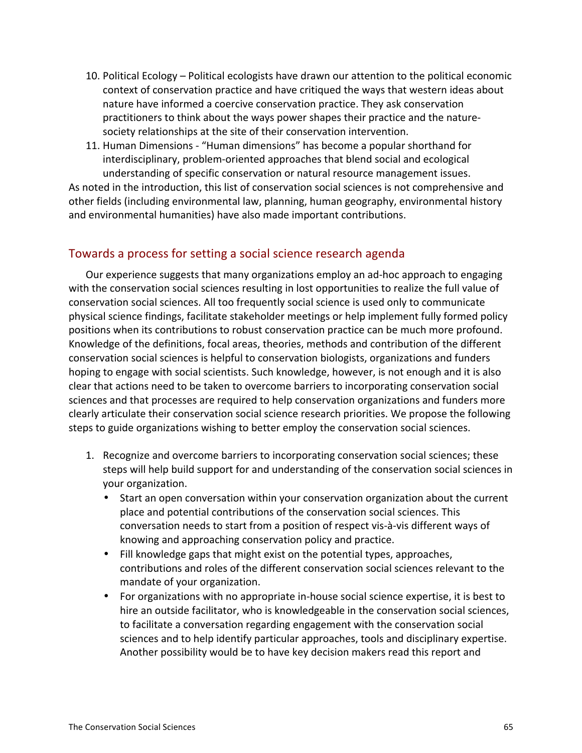- 10. Political Ecology Political ecologists have drawn our attention to the political economic context of conservation practice and have critiqued the ways that western ideas about nature have informed a coercive conservation practice. They ask conservation practitioners to think about the ways power shapes their practice and the naturesociety relationships at the site of their conservation intervention.
- 11. Human Dimensions "Human dimensions" has become a popular shorthand for interdisciplinary, problem-oriented approaches that blend social and ecological understanding of specific conservation or natural resource management issues.

As noted in the introduction, this list of conservation social sciences is not comprehensive and other fields (including environmental law, planning, human geography, environmental history and environmental humanities) have also made important contributions.

## Towards a process for setting a social science research agenda

Our experience suggests that many organizations employ an ad-hoc approach to engaging with the conservation social sciences resulting in lost opportunities to realize the full value of conservation social sciences. All too frequently social science is used only to communicate physical science findings, facilitate stakeholder meetings or help implement fully formed policy positions when its contributions to robust conservation practice can be much more profound. Knowledge of the definitions, focal areas, theories, methods and contribution of the different conservation social sciences is helpful to conservation biologists, organizations and funders hoping to engage with social scientists. Such knowledge, however, is not enough and it is also clear that actions need to be taken to overcome barriers to incorporating conservation social sciences and that processes are required to help conservation organizations and funders more clearly articulate their conservation social science research priorities. We propose the following steps to guide organizations wishing to better employ the conservation social sciences.

- 1. Recognize and overcome barriers to incorporating conservation social sciences; these steps will help build support for and understanding of the conservation social sciences in your organization.
	- Start an open conversation within your conservation organization about the current place and potential contributions of the conservation social sciences. This conversation needs to start from a position of respect vis-à-vis different ways of knowing and approaching conservation policy and practice.
	- Fill knowledge gaps that might exist on the potential types, approaches, contributions and roles of the different conservation social sciences relevant to the mandate of your organization.
	- For organizations with no appropriate in-house social science expertise, it is best to hire an outside facilitator, who is knowledgeable in the conservation social sciences, to facilitate a conversation regarding engagement with the conservation social sciences and to help identify particular approaches, tools and disciplinary expertise. Another possibility would be to have key decision makers read this report and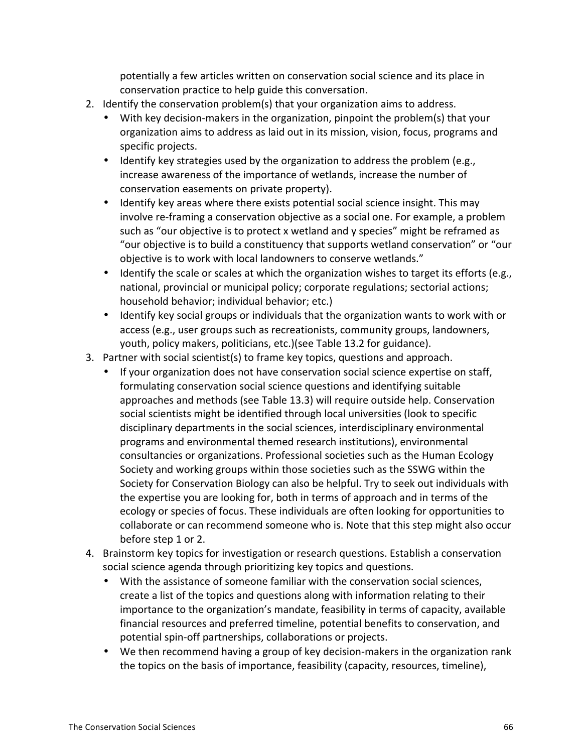potentially a few articles written on conservation social science and its place in conservation practice to help guide this conversation.

- 2. Identify the conservation problem(s) that your organization aims to address.
	- With key decision-makers in the organization, pinpoint the problem(s) that your organization aims to address as laid out in its mission, vision, focus, programs and specific projects.
	- Identify key strategies used by the organization to address the problem (e.g., increase awareness of the importance of wetlands, increase the number of conservation easements on private property).
	- Identify key areas where there exists potential social science insight. This may involve re-framing a conservation objective as a social one. For example, a problem such as "our objective is to protect x wetland and y species" might be reframed as "our objective is to build a constituency that supports wetland conservation" or "our objective is to work with local landowners to conserve wetlands."
	- Identify the scale or scales at which the organization wishes to target its efforts (e.g., national, provincial or municipal policy; corporate regulations; sectorial actions; household behavior; individual behavior; etc.)
	- Identify key social groups or individuals that the organization wants to work with or access (e.g., user groups such as recreationists, community groups, landowners, youth, policy makers, politicians, etc.)(see Table 13.2 for guidance).
- 3. Partner with social scientist(s) to frame key topics, questions and approach.
	- If your organization does not have conservation social science expertise on staff, formulating conservation social science questions and identifying suitable approaches and methods (see Table 13.3) will require outside help. Conservation social scientists might be identified through local universities (look to specific disciplinary departments in the social sciences, interdisciplinary environmental programs and environmental themed research institutions), environmental consultancies or organizations. Professional societies such as the Human Ecology Society and working groups within those societies such as the SSWG within the Society for Conservation Biology can also be helpful. Try to seek out individuals with the expertise you are looking for, both in terms of approach and in terms of the ecology or species of focus. These individuals are often looking for opportunities to collaborate or can recommend someone who is. Note that this step might also occur before step 1 or 2.
- 4. Brainstorm key topics for investigation or research questions. Establish a conservation social science agenda through prioritizing key topics and questions.
	- With the assistance of someone familiar with the conservation social sciences, create a list of the topics and questions along with information relating to their importance to the organization's mandate, feasibility in terms of capacity, available financial resources and preferred timeline, potential benefits to conservation, and potential spin-off partnerships, collaborations or projects.
	- We then recommend having a group of key decision-makers in the organization rank the topics on the basis of importance, feasibility (capacity, resources, timeline),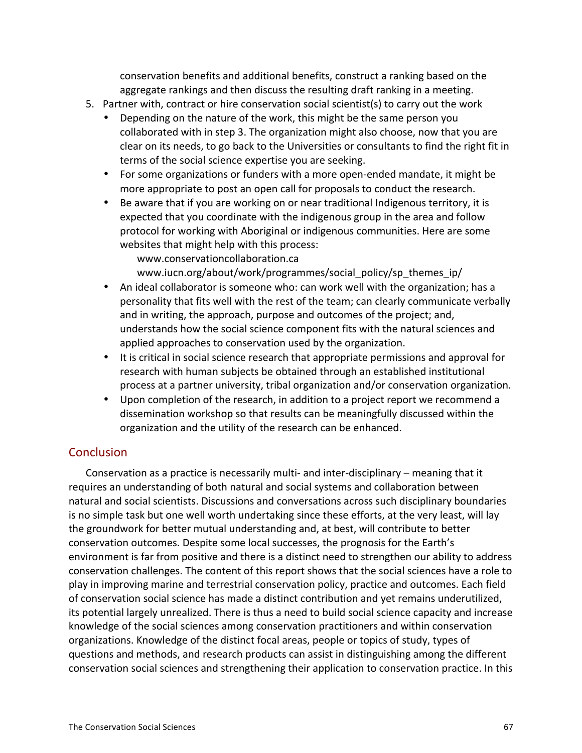conservation benefits and additional benefits, construct a ranking based on the aggregate rankings and then discuss the resulting draft ranking in a meeting.

- 5. Partner with, contract or hire conservation social scientist(s) to carry out the work
	- Depending on the nature of the work, this might be the same person you collaborated with in step 3. The organization might also choose, now that you are clear on its needs, to go back to the Universities or consultants to find the right fit in terms of the social science expertise you are seeking.
	- For some organizations or funders with a more open-ended mandate, it might be more appropriate to post an open call for proposals to conduct the research.
	- Be aware that if you are working on or near traditional Indigenous territory, it is expected that you coordinate with the indigenous group in the area and follow protocol for working with Aboriginal or indigenous communities. Here are some websites that might help with this process:

www.conservationcollaboration.ca

www.iucn.org/about/work/programmes/social\_policy/sp\_themes\_ip/

- An ideal collaborator is someone who: can work well with the organization; has a personality that fits well with the rest of the team; can clearly communicate verbally and in writing, the approach, purpose and outcomes of the project; and, understands how the social science component fits with the natural sciences and applied approaches to conservation used by the organization.
- It is critical in social science research that appropriate permissions and approval for research with human subjects be obtained through an established institutional process at a partner university, tribal organization and/or conservation organization.
- Upon completion of the research, in addition to a project report we recommend a dissemination workshop so that results can be meaningfully discussed within the organization and the utility of the research can be enhanced.

## **Conclusion**

Conservation as a practice is necessarily multi- and inter-disciplinary – meaning that it requires an understanding of both natural and social systems and collaboration between natural and social scientists. Discussions and conversations across such disciplinary boundaries is no simple task but one well worth undertaking since these efforts, at the very least, will lay the groundwork for better mutual understanding and, at best, will contribute to better conservation outcomes. Despite some local successes, the prognosis for the Earth's environment is far from positive and there is a distinct need to strengthen our ability to address conservation challenges. The content of this report shows that the social sciences have a role to play in improving marine and terrestrial conservation policy, practice and outcomes. Each field of conservation social science has made a distinct contribution and yet remains underutilized, its potential largely unrealized. There is thus a need to build social science capacity and increase knowledge of the social sciences among conservation practitioners and within conservation organizations. Knowledge of the distinct focal areas, people or topics of study, types of questions and methods, and research products can assist in distinguishing among the different conservation social sciences and strengthening their application to conservation practice. In this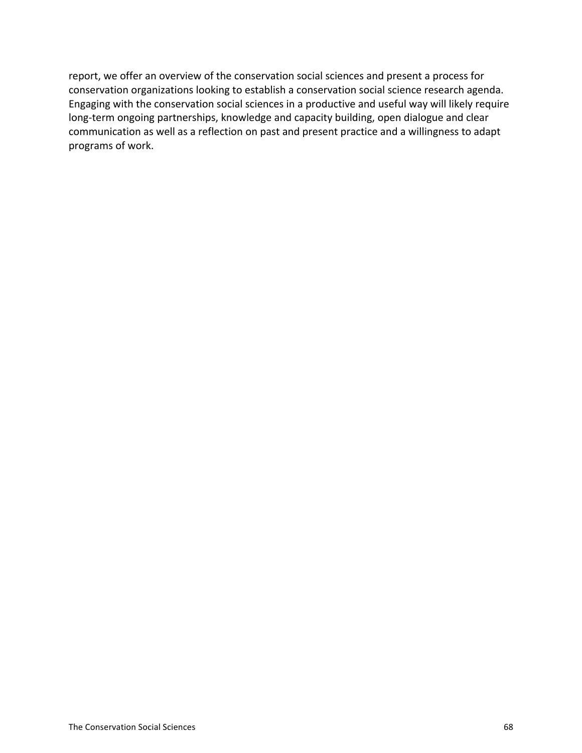report, we offer an overview of the conservation social sciences and present a process for conservation organizations looking to establish a conservation social science research agenda. Engaging with the conservation social sciences in a productive and useful way will likely require long-term ongoing partnerships, knowledge and capacity building, open dialogue and clear communication as well as a reflection on past and present practice and a willingness to adapt programs of work.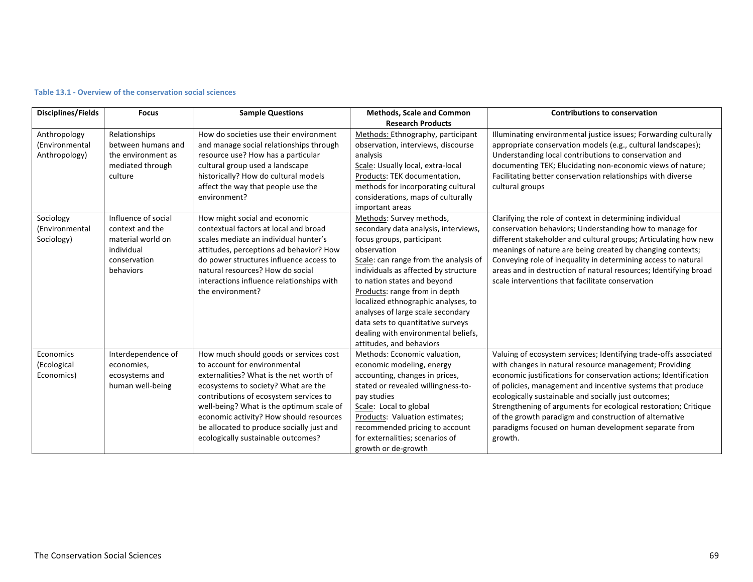| <b>Disciplines/Fields</b>                       | <b>Focus</b>                                                                                           | <b>Sample Questions</b>                                                                                                                                                                                                                                                                                                                                                      | <b>Methods, Scale and Common</b>                                                                                                                                                                                                                                                                                                                                                                                                                  | <b>Contributions to conservation</b>                                                                                                                                                                                                                                                                                                                                                                                                                                                                                 |
|-------------------------------------------------|--------------------------------------------------------------------------------------------------------|------------------------------------------------------------------------------------------------------------------------------------------------------------------------------------------------------------------------------------------------------------------------------------------------------------------------------------------------------------------------------|---------------------------------------------------------------------------------------------------------------------------------------------------------------------------------------------------------------------------------------------------------------------------------------------------------------------------------------------------------------------------------------------------------------------------------------------------|----------------------------------------------------------------------------------------------------------------------------------------------------------------------------------------------------------------------------------------------------------------------------------------------------------------------------------------------------------------------------------------------------------------------------------------------------------------------------------------------------------------------|
|                                                 |                                                                                                        |                                                                                                                                                                                                                                                                                                                                                                              | <b>Research Products</b>                                                                                                                                                                                                                                                                                                                                                                                                                          |                                                                                                                                                                                                                                                                                                                                                                                                                                                                                                                      |
| Anthropology<br>(Environmental<br>Anthropology) | Relationships<br>between humans and<br>the environment as<br>mediated through<br>culture               | How do societies use their environment<br>and manage social relationships through<br>resource use? How has a particular<br>cultural group used a landscape<br>historically? How do cultural models<br>affect the way that people use the<br>environment?                                                                                                                     | Methods: Ethnography, participant<br>observation, interviews, discourse<br>analysis<br>Scale: Usually local, extra-local<br>Products: TEK documentation,<br>methods for incorporating cultural<br>considerations, maps of culturally<br>important areas                                                                                                                                                                                           | Illuminating environmental justice issues; Forwarding culturally<br>appropriate conservation models (e.g., cultural landscapes);<br>Understanding local contributions to conservation and<br>documenting TEK; Elucidating non-economic views of nature;<br>Facilitating better conservation relationships with diverse<br>cultural groups                                                                                                                                                                            |
| Sociology<br>(Environmental<br>Sociology)       | Influence of social<br>context and the<br>material world on<br>individual<br>conservation<br>behaviors | How might social and economic<br>contextual factors at local and broad<br>scales mediate an individual hunter's<br>attitudes, perceptions ad behavior? How<br>do power structures influence access to<br>natural resources? How do social<br>interactions influence relationships with<br>the environment?                                                                   | Methods: Survey methods,<br>secondary data analysis, interviews,<br>focus groups, participant<br>observation<br>Scale: can range from the analysis of<br>individuals as affected by structure<br>to nation states and beyond<br>Products: range from in depth<br>localized ethnographic analyses, to<br>analyses of large scale secondary<br>data sets to quantitative surveys<br>dealing with environmental beliefs,<br>attitudes, and behaviors | Clarifying the role of context in determining individual<br>conservation behaviors; Understanding how to manage for<br>different stakeholder and cultural groups; Articulating how new<br>meanings of nature are being created by changing contexts;<br>Conveying role of inequality in determining access to natural<br>areas and in destruction of natural resources; Identifying broad<br>scale interventions that facilitate conservation                                                                        |
| Economics<br>(Ecological<br>Economics)          | Interdependence of<br>economies,<br>ecosystems and<br>human well-being                                 | How much should goods or services cost<br>to account for environmental<br>externalities? What is the net worth of<br>ecosystems to society? What are the<br>contributions of ecosystem services to<br>well-being? What is the optimum scale of<br>economic activity? How should resources<br>be allocated to produce socially just and<br>ecologically sustainable outcomes? | Methods: Economic valuation,<br>economic modeling, energy<br>accounting, changes in prices,<br>stated or revealed willingness-to-<br>pay studies<br>Scale: Local to global<br>Products: Valuation estimates;<br>recommended pricing to account<br>for externalities; scenarios of<br>growth or de-growth                                                                                                                                          | Valuing of ecosystem services; Identifying trade-offs associated<br>with changes in natural resource management; Providing<br>economic justifications for conservation actions; Identification<br>of policies, management and incentive systems that produce<br>ecologically sustainable and socially just outcomes;<br>Strengthening of arguments for ecological restoration; Critique<br>of the growth paradigm and construction of alternative<br>paradigms focused on human development separate from<br>growth. |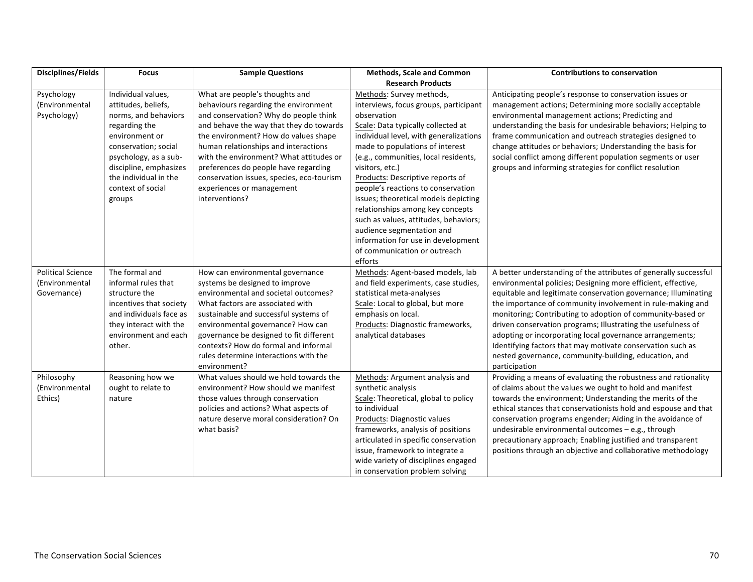| Disciplines/Fields       | <b>Focus</b>                                      | <b>Sample Questions</b>                                                         | <b>Methods, Scale and Common</b>                                       | <b>Contributions to conservation</b>                                   |
|--------------------------|---------------------------------------------------|---------------------------------------------------------------------------------|------------------------------------------------------------------------|------------------------------------------------------------------------|
|                          |                                                   |                                                                                 | <b>Research Products</b>                                               |                                                                        |
| Psychology               | Individual values,                                | What are people's thoughts and                                                  | Methods: Survey methods,                                               | Anticipating people's response to conservation issues or               |
| (Environmental           | attitudes, beliefs,                               | behaviours regarding the environment                                            | interviews, focus groups, participant                                  | management actions; Determining more socially acceptable               |
| Psychology)              | norms, and behaviors                              | and conservation? Why do people think                                           | observation                                                            | environmental management actions; Predicting and                       |
|                          | regarding the                                     | and behave the way that they do towards                                         | Scale: Data typically collected at                                     | understanding the basis for undesirable behaviors; Helping to          |
|                          | environment or                                    | the environment? How do values shape                                            | individual level, with generalizations                                 | frame communication and outreach strategies designed to                |
|                          | conservation; social                              | human relationships and interactions                                            | made to populations of interest                                        | change attitudes or behaviors; Understanding the basis for             |
|                          | psychology, as a sub-                             | with the environment? What attitudes or                                         | (e.g., communities, local residents,                                   | social conflict among different population segments or user            |
|                          | discipline, emphasizes                            | preferences do people have regarding                                            | visitors, etc.)                                                        | groups and informing strategies for conflict resolution                |
|                          | the individual in the                             | conservation issues, species, eco-tourism                                       | Products: Descriptive reports of                                       |                                                                        |
|                          | context of social                                 | experiences or management                                                       | people's reactions to conservation                                     |                                                                        |
|                          | groups                                            | interventions?                                                                  | issues; theoretical models depicting                                   |                                                                        |
|                          |                                                   |                                                                                 | relationships among key concepts                                       |                                                                        |
|                          |                                                   |                                                                                 | such as values, attitudes, behaviors;                                  |                                                                        |
|                          |                                                   |                                                                                 | audience segmentation and                                              |                                                                        |
|                          |                                                   |                                                                                 | information for use in development                                     |                                                                        |
|                          |                                                   |                                                                                 | of communication or outreach                                           |                                                                        |
|                          |                                                   |                                                                                 | efforts                                                                |                                                                        |
| <b>Political Science</b> | The formal and                                    | How can environmental governance                                                | Methods: Agent-based models, lab                                       | A better understanding of the attributes of generally successful       |
| (Environmental           | informal rules that                               | systems be designed to improve                                                  | and field experiments, case studies,                                   | environmental policies; Designing more efficient, effective,           |
| Governance)              | structure the                                     | environmental and societal outcomes?                                            | statistical meta-analyses                                              | equitable and legitimate conservation governance; Illuminating         |
|                          | incentives that society                           | What factors are associated with                                                | Scale: Local to global, but more                                       | the importance of community involvement in rule-making and             |
|                          | and individuals face as<br>they interact with the | sustainable and successful systems of                                           | emphasis on local.<br>Products: Diagnostic frameworks,                 | monitoring; Contributing to adoption of community-based or             |
|                          | environment and each                              | environmental governance? How can                                               |                                                                        | driven conservation programs; Illustrating the usefulness of           |
|                          | other.                                            | governance be designed to fit different<br>contexts? How do formal and informal | analytical databases                                                   | adopting or incorporating local governance arrangements;               |
|                          |                                                   | rules determine interactions with the                                           |                                                                        | Identifying factors that may motivate conservation such as             |
|                          |                                                   | environment?                                                                    |                                                                        | nested governance, community-building, education, and<br>participation |
| Philosophy               | Reasoning how we                                  | What values should we hold towards the                                          | Methods: Argument analysis and                                         | Providing a means of evaluating the robustness and rationality         |
| (Environmental           | ought to relate to                                | environment? How should we manifest                                             | synthetic analysis                                                     | of claims about the values we ought to hold and manifest               |
| Ethics)                  | nature                                            | those values through conservation                                               | Scale: Theoretical, global to policy                                   | towards the environment; Understanding the merits of the               |
|                          |                                                   | policies and actions? What aspects of                                           | to individual                                                          | ethical stances that conservationists hold and espouse and that        |
|                          |                                                   | nature deserve moral consideration? On                                          | Products: Diagnostic values                                            | conservation programs engender; Aiding in the avoidance of             |
|                          |                                                   | what basis?                                                                     | frameworks, analysis of positions                                      | undesirable environmental outcomes - e.g., through                     |
|                          |                                                   |                                                                                 | articulated in specific conservation                                   | precautionary approach; Enabling justified and transparent             |
|                          |                                                   |                                                                                 |                                                                        |                                                                        |
|                          |                                                   |                                                                                 |                                                                        |                                                                        |
|                          |                                                   |                                                                                 | issue, framework to integrate a<br>wide variety of disciplines engaged | positions through an objective and collaborative methodology           |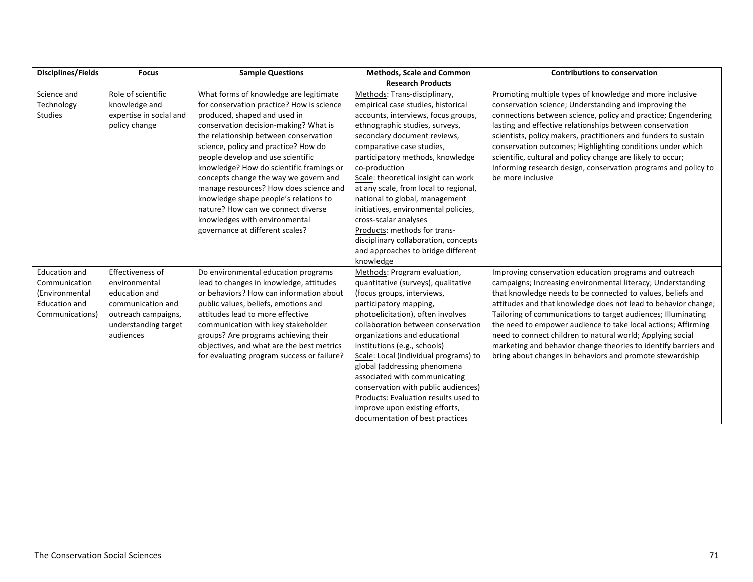| <b>Disciplines/Fields</b>                                                                          | <b>Focus</b>                                                                                                                        | <b>Sample Questions</b>                                                                                                                                                                                                                                                                                                                                                                                                                                                                                                                                              | <b>Methods, Scale and Common</b>                                                                                                                                                                                                                                                                                                                                                                                                                                                                                                                                           | <b>Contributions to conservation</b>                                                                                                                                                                                                                                                                                                                                                                                                                                                                                                                                                  |
|----------------------------------------------------------------------------------------------------|-------------------------------------------------------------------------------------------------------------------------------------|----------------------------------------------------------------------------------------------------------------------------------------------------------------------------------------------------------------------------------------------------------------------------------------------------------------------------------------------------------------------------------------------------------------------------------------------------------------------------------------------------------------------------------------------------------------------|----------------------------------------------------------------------------------------------------------------------------------------------------------------------------------------------------------------------------------------------------------------------------------------------------------------------------------------------------------------------------------------------------------------------------------------------------------------------------------------------------------------------------------------------------------------------------|---------------------------------------------------------------------------------------------------------------------------------------------------------------------------------------------------------------------------------------------------------------------------------------------------------------------------------------------------------------------------------------------------------------------------------------------------------------------------------------------------------------------------------------------------------------------------------------|
|                                                                                                    |                                                                                                                                     |                                                                                                                                                                                                                                                                                                                                                                                                                                                                                                                                                                      | <b>Research Products</b>                                                                                                                                                                                                                                                                                                                                                                                                                                                                                                                                                   |                                                                                                                                                                                                                                                                                                                                                                                                                                                                                                                                                                                       |
| Science and<br>Technology<br><b>Studies</b>                                                        | Role of scientific<br>knowledge and<br>expertise in social and<br>policy change                                                     | What forms of knowledge are legitimate<br>for conservation practice? How is science<br>produced, shaped and used in<br>conservation decision-making? What is<br>the relationship between conservation<br>science, policy and practice? How do<br>people develop and use scientific<br>knowledge? How do scientific framings or<br>concepts change the way we govern and<br>manage resources? How does science and<br>knowledge shape people's relations to<br>nature? How can we connect diverse<br>knowledges with environmental<br>governance at different scales? | Methods: Trans-disciplinary,<br>empirical case studies, historical<br>accounts, interviews, focus groups,<br>ethnographic studies, surveys,<br>secondary document reviews,<br>comparative case studies,<br>participatory methods, knowledge<br>co-production<br>Scale: theoretical insight can work<br>at any scale, from local to regional,<br>national to global, management<br>initiatives, environmental policies,<br>cross-scalar analyses<br>Products: methods for trans-<br>disciplinary collaboration, concepts<br>and approaches to bridge different<br>knowledge | Promoting multiple types of knowledge and more inclusive<br>conservation science; Understanding and improving the<br>connections between science, policy and practice; Engendering<br>lasting and effective relationships between conservation<br>scientists, policy makers, practitioners and funders to sustain<br>conservation outcomes; Highlighting conditions under which<br>scientific, cultural and policy change are likely to occur;<br>Informing research design, conservation programs and policy to<br>be more inclusive                                                 |
| <b>Education and</b><br>Communication<br>(Environmental<br><b>Education and</b><br>Communications) | Effectiveness of<br>environmental<br>education and<br>communication and<br>outreach campaigns,<br>understanding target<br>audiences | Do environmental education programs<br>lead to changes in knowledge, attitudes<br>or behaviors? How can information about<br>public values, beliefs, emotions and<br>attitudes lead to more effective<br>communication with key stakeholder<br>groups? Are programs achieving their<br>objectives, and what are the best metrics<br>for evaluating program success or failure?                                                                                                                                                                                       | Methods: Program evaluation,<br>quantitative (surveys), qualitative<br>(focus groups, interviews,<br>participatory mapping,<br>photoelicitation), often involves<br>collaboration between conservation<br>organizations and educational<br>institutions (e.g., schools)<br>Scale: Local (individual programs) to<br>global (addressing phenomena<br>associated with communicating<br>conservation with public audiences)<br>Products: Evaluation results used to<br>improve upon existing efforts,<br>documentation of best practices                                      | Improving conservation education programs and outreach<br>campaigns; Increasing environmental literacy; Understanding<br>that knowledge needs to be connected to values, beliefs and<br>attitudes and that knowledge does not lead to behavior change;<br>Tailoring of communications to target audiences; Illuminating<br>the need to empower audience to take local actions; Affirming<br>need to connect children to natural world; Applying social<br>marketing and behavior change theories to identify barriers and<br>bring about changes in behaviors and promote stewardship |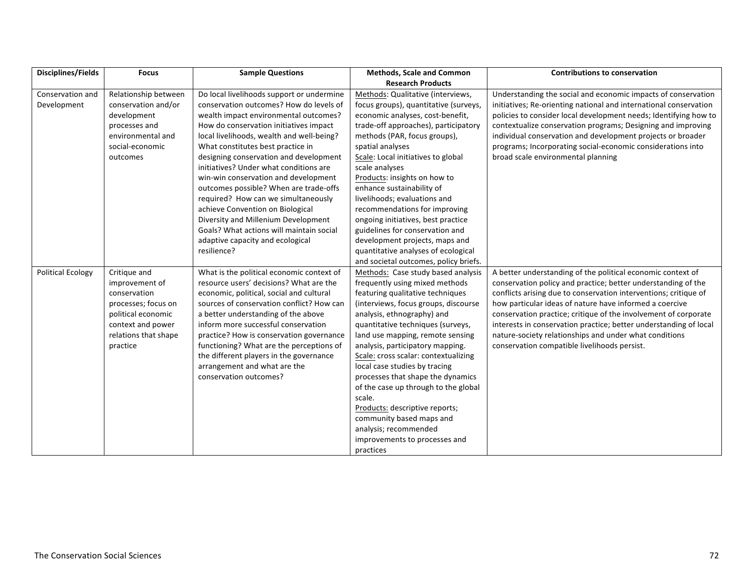| <b>Disciplines/Fields</b> | <b>Focus</b>         | <b>Sample Questions</b>                   | <b>Methods, Scale and Common</b>      | <b>Contributions to conservation</b>                              |
|---------------------------|----------------------|-------------------------------------------|---------------------------------------|-------------------------------------------------------------------|
|                           |                      |                                           | <b>Research Products</b>              |                                                                   |
| Conservation and          | Relationship between | Do local livelihoods support or undermine | Methods: Qualitative (interviews,     | Understanding the social and economic impacts of conservation     |
| Development               | conservation and/or  | conservation outcomes? How do levels of   | focus groups), quantitative (surveys, | initiatives; Re-orienting national and international conservation |
|                           | development          | wealth impact environmental outcomes?     | economic analyses, cost-benefit,      | policies to consider local development needs; Identifying how to  |
|                           | processes and        | How do conservation initiatives impact    | trade-off approaches), participatory  | contextualize conservation programs; Designing and improving      |
|                           | environmental and    | local livelihoods, wealth and well-being? | methods (PAR, focus groups),          | individual conservation and development projects or broader       |
|                           | social-economic      | What constitutes best practice in         | spatial analyses                      | programs; Incorporating social-economic considerations into       |
|                           | outcomes             | designing conservation and development    | Scale: Local initiatives to global    | broad scale environmental planning                                |
|                           |                      | initiatives? Under what conditions are    | scale analyses                        |                                                                   |
|                           |                      | win-win conservation and development      | Products: insights on how to          |                                                                   |
|                           |                      | outcomes possible? When are trade-offs    | enhance sustainability of             |                                                                   |
|                           |                      | required? How can we simultaneously       | livelihoods; evaluations and          |                                                                   |
|                           |                      | achieve Convention on Biological          | recommendations for improving         |                                                                   |
|                           |                      | Diversity and Millenium Development       | ongoing initiatives, best practice    |                                                                   |
|                           |                      | Goals? What actions will maintain social  | guidelines for conservation and       |                                                                   |
|                           |                      | adaptive capacity and ecological          | development projects, maps and        |                                                                   |
|                           |                      | resilience?                               | quantitative analyses of ecological   |                                                                   |
|                           |                      |                                           | and societal outcomes, policy briefs. |                                                                   |
| <b>Political Ecology</b>  | Critique and         | What is the political economic context of | Methods: Case study based analysis    | A better understanding of the political economic context of       |
|                           | improvement of       | resource users' decisions? What are the   | frequently using mixed methods        | conservation policy and practice; better understanding of the     |
|                           | conservation         | economic, political, social and cultural  | featuring qualitative techniques      | conflicts arising due to conservation interventions; critique of  |
|                           | processes; focus on  | sources of conservation conflict? How can | (interviews, focus groups, discourse  | how particular ideas of nature have informed a coercive           |
|                           | political economic   | a better understanding of the above       | analysis, ethnography) and            | conservation practice; critique of the involvement of corporate   |
|                           | context and power    | inform more successful conservation       | quantitative techniques (surveys,     | interests in conservation practice; better understanding of local |
|                           | relations that shape | practice? How is conservation governance  | land use mapping, remote sensing      | nature-society relationships and under what conditions            |
|                           | practice             | functioning? What are the perceptions of  | analysis, participatory mapping.      | conservation compatible livelihoods persist.                      |
|                           |                      | the different players in the governance   | Scale: cross scalar: contextualizing  |                                                                   |
|                           |                      | arrangement and what are the              | local case studies by tracing         |                                                                   |
|                           |                      | conservation outcomes?                    | processes that shape the dynamics     |                                                                   |
|                           |                      |                                           | of the case up through to the global  |                                                                   |
|                           |                      |                                           | scale.                                |                                                                   |
|                           |                      |                                           | Products: descriptive reports;        |                                                                   |
|                           |                      |                                           | community based maps and              |                                                                   |
|                           |                      |                                           | analysis; recommended                 |                                                                   |
|                           |                      |                                           | improvements to processes and         |                                                                   |
|                           |                      |                                           | practices                             |                                                                   |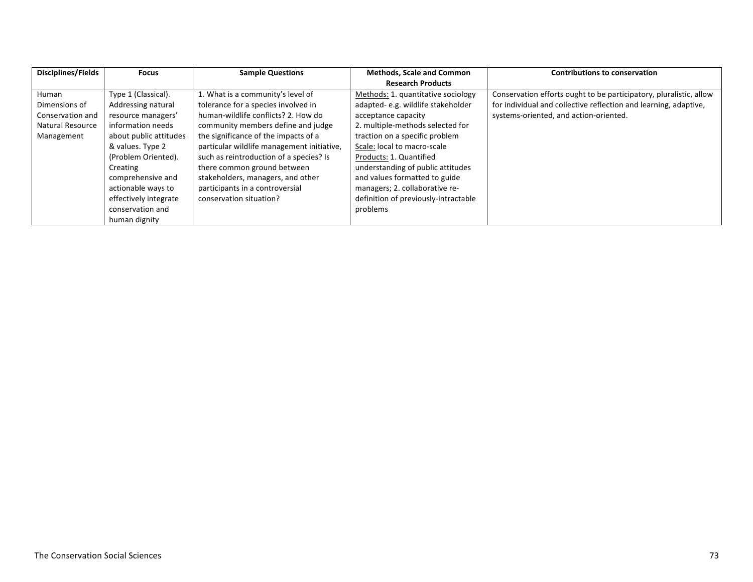| Disciplines/Fields      | <b>Focus</b>           | <b>Sample Questions</b>                    | <b>Methods, Scale and Common</b>     | <b>Contributions to conservation</b>                               |
|-------------------------|------------------------|--------------------------------------------|--------------------------------------|--------------------------------------------------------------------|
|                         |                        |                                            | <b>Research Products</b>             |                                                                    |
| Human                   | Type 1 (Classical).    | 1. What is a community's level of          | Methods: 1. quantitative sociology   | Conservation efforts ought to be participatory, pluralistic, allow |
| Dimensions of           | Addressing natural     | tolerance for a species involved in        | adapted-e.g. wildlife stakeholder    | for individual and collective reflection and learning, adaptive,   |
| Conservation and        | resource managers'     | human-wildlife conflicts? 2. How do        | acceptance capacity                  | systems-oriented, and action-oriented.                             |
| <b>Natural Resource</b> | information needs      | community members define and judge         | 2. multiple-methods selected for     |                                                                    |
| Management              | about public attitudes | the significance of the impacts of a       | traction on a specific problem       |                                                                    |
|                         | & values. Type 2       | particular wildlife management initiative, | Scale: local to macro-scale          |                                                                    |
|                         | (Problem Oriented).    | such as reintroduction of a species? Is    | Products: 1. Quantified              |                                                                    |
|                         | Creating               | there common ground between                | understanding of public attitudes    |                                                                    |
|                         | comprehensive and      | stakeholders, managers, and other          | and values formatted to guide        |                                                                    |
|                         | actionable ways to     | participants in a controversial            | managers; 2. collaborative re-       |                                                                    |
|                         | effectively integrate  | conservation situation?                    | definition of previously-intractable |                                                                    |
|                         | conservation and       |                                            | problems                             |                                                                    |
|                         | human dignity          |                                            |                                      |                                                                    |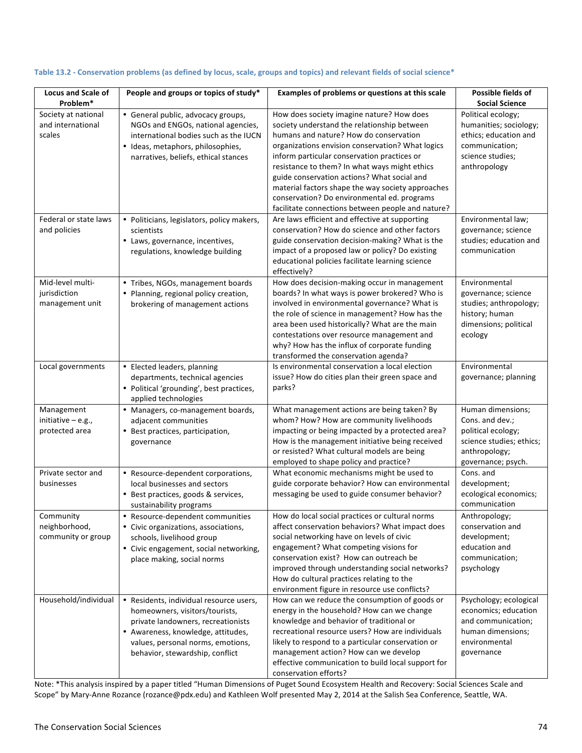| <b>Locus and Scale of</b><br>Problem*                | People and groups or topics of study*                                                                                                                                                                                         | Examples of problems or questions at this scale                                                                                                                                                                                                                                                                                                                                                                                                                                                | Possible fields of<br><b>Social Science</b>                                                                                   |
|------------------------------------------------------|-------------------------------------------------------------------------------------------------------------------------------------------------------------------------------------------------------------------------------|------------------------------------------------------------------------------------------------------------------------------------------------------------------------------------------------------------------------------------------------------------------------------------------------------------------------------------------------------------------------------------------------------------------------------------------------------------------------------------------------|-------------------------------------------------------------------------------------------------------------------------------|
| Society at national<br>and international<br>scales   | • General public, advocacy groups,<br>NGOs and ENGOs, national agencies,<br>international bodies such as the IUCN<br>· Ideas, metaphors, philosophies,<br>narratives, beliefs, ethical stances                                | How does society imagine nature? How does<br>society understand the relationship between<br>humans and nature? How do conservation<br>organizations envision conservation? What logics<br>inform particular conservation practices or<br>resistance to them? In what ways might ethics<br>guide conservation actions? What social and<br>material factors shape the way society approaches<br>conservation? Do environmental ed. programs<br>facilitate connections between people and nature? | Political ecology;<br>humanities; sociology;<br>ethics; education and<br>communication;<br>science studies;<br>anthropology   |
| Federal or state laws<br>and policies                | • Politicians, legislators, policy makers,<br>scientists<br>• Laws, governance, incentives,<br>regulations, knowledge building                                                                                                | Are laws efficient and effective at supporting<br>conservation? How do science and other factors<br>guide conservation decision-making? What is the<br>impact of a proposed law or policy? Do existing<br>educational policies facilitate learning science<br>effectively?                                                                                                                                                                                                                     | Environmental law;<br>governance; science<br>studies; education and<br>communication                                          |
| Mid-level multi-<br>jurisdiction<br>management unit  | • Tribes, NGOs, management boards<br>• Planning, regional policy creation,<br>brokering of management actions                                                                                                                 | How does decision-making occur in management<br>boards? In what ways is power brokered? Who is<br>involved in environmental governance? What is<br>the role of science in management? How has the<br>area been used historically? What are the main<br>contestations over resource management and<br>why? How has the influx of corporate funding<br>transformed the conservation agenda?                                                                                                      | Environmental<br>governance; science<br>studies; anthropology;<br>history; human<br>dimensions; political<br>ecology          |
| Local governments                                    | • Elected leaders, planning<br>departments, technical agencies<br>• Political 'grounding', best practices,<br>applied technologies                                                                                            | Is environmental conservation a local election<br>issue? How do cities plan their green space and<br>parks?                                                                                                                                                                                                                                                                                                                                                                                    | Environmental<br>governance; planning                                                                                         |
| Management<br>initiative $-$ e.g.,<br>protected area | • Managers, co-management boards,<br>adjacent communities<br>• Best practices, participation,<br>governance                                                                                                                   | What management actions are being taken? By<br>whom? How? How are community livelihoods<br>impacting or being impacted by a protected area?<br>How is the management initiative being received<br>or resisted? What cultural models are being<br>employed to shape policy and practice?                                                                                                                                                                                                        | Human dimensions;<br>Cons. and dev.;<br>political ecology;<br>science studies; ethics;<br>anthropology;<br>governance; psych. |
| Private sector and<br>businesses                     | • Resource-dependent corporations,<br>local businesses and sectors<br>• Best practices, goods & services,<br>sustainability programs                                                                                          | What economic mechanisms might be used to<br>guide corporate behavior? How can environmental<br>messaging be used to guide consumer behavior?                                                                                                                                                                                                                                                                                                                                                  | Cons. and<br>development;<br>ecological economics;<br>communication                                                           |
| Community<br>neighborhood,<br>community or group     | • Resource-dependent communities<br>• Civic organizations, associations,<br>schools, livelihood group<br>• Civic engagement, social networking,<br>place making, social norms                                                 | How do local social practices or cultural norms<br>affect conservation behaviors? What impact does<br>social networking have on levels of civic<br>engagement? What competing visions for<br>conservation exist? How can outreach be<br>improved through understanding social networks?<br>How do cultural practices relating to the<br>environment figure in resource use conflicts?                                                                                                          | Anthropology;<br>conservation and<br>development;<br>education and<br>communication;<br>psychology                            |
| Household/individual                                 | • Residents, individual resource users,<br>homeowners, visitors/tourists,<br>private landowners, recreationists<br>• Awareness, knowledge, attitudes,<br>values, personal norms, emotions,<br>behavior, stewardship, conflict | How can we reduce the consumption of goods or<br>energy in the household? How can we change<br>knowledge and behavior of traditional or<br>recreational resource users? How are individuals<br>likely to respond to a particular conservation or<br>management action? How can we develop<br>effective communication to build local support for<br>conservation efforts?                                                                                                                       | Psychology; ecological<br>economics; education<br>and communication;<br>human dimensions;<br>environmental<br>governance      |

## Table 13.2 - Conservation problems (as defined by locus, scale, groups and topics) and relevant fields of social science\*

Note: \*This analysis inspired by a paper titled "Human Dimensions of Puget Sound Ecosystem Health and Recovery: Social Sciences Scale and Scope" by Mary-Anne Rozance (rozance@pdx.edu) and Kathleen Wolf presented May 2, 2014 at the Salish Sea Conference, Seattle, WA.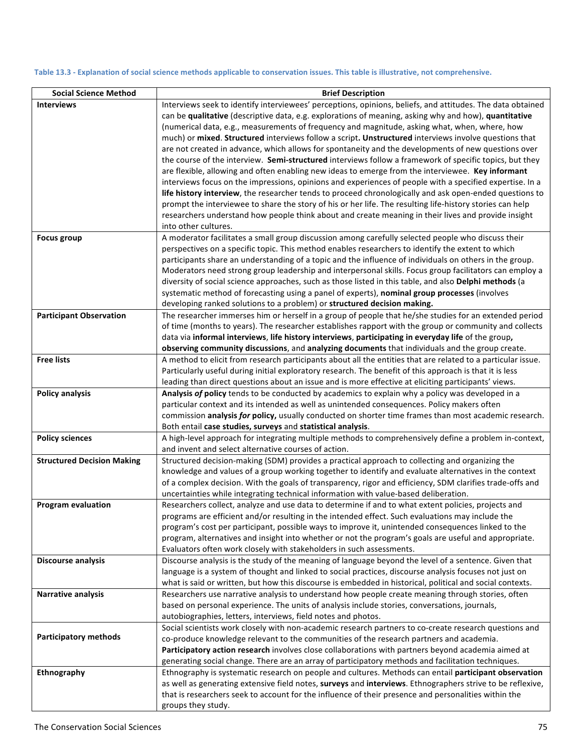## Table 13.3 - Explanation of social science methods applicable to conservation issues. This table is illustrative, not comprehensive.

| <b>Social Science Method</b>      | <b>Brief Description</b>                                                                                     |
|-----------------------------------|--------------------------------------------------------------------------------------------------------------|
| <b>Interviews</b>                 | Interviews seek to identify interviewees' perceptions, opinions, beliefs, and attitudes. The data obtained   |
|                                   | can be qualitative (descriptive data, e.g. explorations of meaning, asking why and how), quantitative        |
|                                   | (numerical data, e.g., measurements of frequency and magnitude, asking what, when, where, how                |
|                                   | much) or mixed. Structured interviews follow a script. Unstructured interviews involve questions that        |
|                                   | are not created in advance, which allows for spontaneity and the developments of new questions over          |
|                                   | the course of the interview. Semi-structured interviews follow a framework of specific topics, but they      |
|                                   | are flexible, allowing and often enabling new ideas to emerge from the interviewee. Key informant            |
|                                   | interviews focus on the impressions, opinions and experiences of people with a specified expertise. In a     |
|                                   | life history interview, the researcher tends to proceed chronologically and ask open-ended questions to      |
|                                   | prompt the interviewee to share the story of his or her life. The resulting life-history stories can help    |
|                                   | researchers understand how people think about and create meaning in their lives and provide insight          |
|                                   | into other cultures.                                                                                         |
| <b>Focus group</b>                | A moderator facilitates a small group discussion among carefully selected people who discuss their           |
|                                   | perspectives on a specific topic. This method enables researchers to identify the extent to which            |
|                                   | participants share an understanding of a topic and the influence of individuals on others in the group.      |
|                                   | Moderators need strong group leadership and interpersonal skills. Focus group facilitators can employ a      |
|                                   | diversity of social science approaches, such as those listed in this table, and also Delphi methods (a       |
|                                   | systematic method of forecasting using a panel of experts), nominal group processes (involves                |
|                                   | developing ranked solutions to a problem) or structured decision making.                                     |
| <b>Participant Observation</b>    | The researcher immerses him or herself in a group of people that he/she studies for an extended period       |
|                                   | of time (months to years). The researcher establishes rapport with the group or community and collects       |
|                                   | data via informal interviews, life history interviews, participating in everyday life of the group,          |
|                                   | observing community discussions, and analyzing documents that individuals and the group create.              |
| <b>Free lists</b>                 | A method to elicit from research participants about all the entities that are related to a particular issue. |
|                                   | Particularly useful during initial exploratory research. The benefit of this approach is that it is less     |
|                                   | leading than direct questions about an issue and is more effective at eliciting participants' views.         |
| <b>Policy analysis</b>            | Analysis of policy tends to be conducted by academics to explain why a policy was developed in a             |
|                                   | particular context and its intended as well as unintended consequences. Policy makers often                  |
|                                   | commission analysis for policy, usually conducted on shorter time frames than most academic research.        |
|                                   | Both entail case studies, surveys and statistical analysis.                                                  |
| <b>Policy sciences</b>            | A high-level approach for integrating multiple methods to comprehensively define a problem in-context,       |
|                                   | and invent and select alternative courses of action.                                                         |
| <b>Structured Decision Making</b> | Structured decision-making (SDM) provides a practical approach to collecting and organizing the              |
|                                   | knowledge and values of a group working together to identify and evaluate alternatives in the context        |
|                                   | of a complex decision. With the goals of transparency, rigor and efficiency, SDM clarifies trade-offs and    |
|                                   | uncertainties while integrating technical information with value-based deliberation.                         |
| <b>Program evaluation</b>         | Researchers collect, analyze and use data to determine if and to what extent policies, projects and          |
|                                   | programs are efficient and/or resulting in the intended effect. Such evaluations may include the             |
|                                   | program's cost per participant, possible ways to improve it, unintended consequences linked to the           |
|                                   | program, alternatives and insight into whether or not the program's goals are useful and appropriate.        |
|                                   | Evaluators often work closely with stakeholders in such assessments.                                         |
| <b>Discourse analysis</b>         | Discourse analysis is the study of the meaning of language beyond the level of a sentence. Given that        |
|                                   | language is a system of thought and linked to social practices, discourse analysis focuses not just on       |
|                                   | what is said or written, but how this discourse is embedded in historical, political and social contexts.    |
| Narrative analysis                | Researchers use narrative analysis to understand how people create meaning through stories, often            |
|                                   | based on personal experience. The units of analysis include stories, conversations, journals,                |
|                                   | autobiographies, letters, interviews, field notes and photos.                                                |
|                                   | Social scientists work closely with non-academic research partners to co-create research questions and       |
| <b>Participatory methods</b>      | co-produce knowledge relevant to the communities of the research partners and academia.                      |
|                                   | Participatory action research involves close collaborations with partners beyond academia aimed at           |
|                                   | generating social change. There are an array of participatory methods and facilitation techniques.           |
| Ethnography                       | Ethnography is systematic research on people and cultures. Methods can entail participant observation        |
|                                   | as well as generating extensive field notes, surveys and interviews. Ethnographers strive to be reflexive,   |
|                                   | that is researchers seek to account for the influence of their presence and personalities within the         |
|                                   | groups they study.                                                                                           |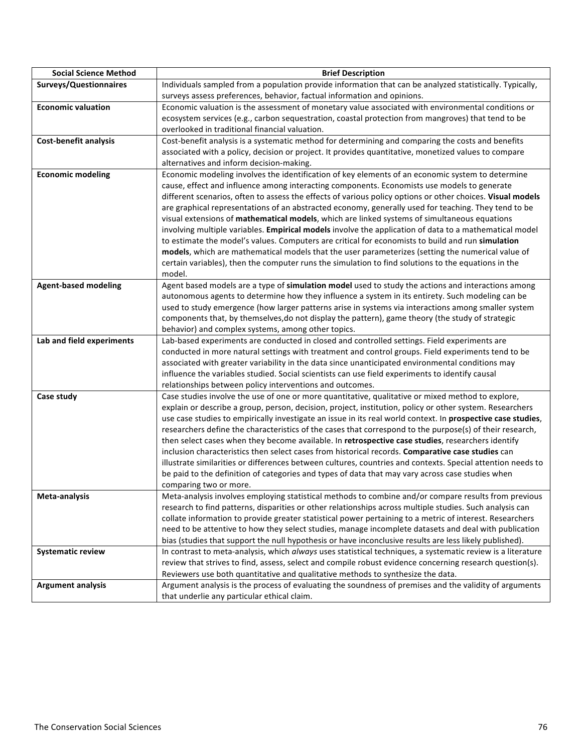| <b>Social Science Method</b>  | <b>Brief Description</b>                                                                                                                                                                               |
|-------------------------------|--------------------------------------------------------------------------------------------------------------------------------------------------------------------------------------------------------|
| <b>Surveys/Questionnaires</b> | Individuals sampled from a population provide information that can be analyzed statistically. Typically,                                                                                               |
|                               | surveys assess preferences, behavior, factual information and opinions.                                                                                                                                |
| <b>Economic valuation</b>     | Economic valuation is the assessment of monetary value associated with environmental conditions or                                                                                                     |
|                               | ecosystem services (e.g., carbon sequestration, coastal protection from mangroves) that tend to be                                                                                                     |
|                               | overlooked in traditional financial valuation.                                                                                                                                                         |
| Cost-benefit analysis         | Cost-benefit analysis is a systematic method for determining and comparing the costs and benefits                                                                                                      |
|                               | associated with a policy, decision or project. It provides quantitative, monetized values to compare                                                                                                   |
|                               | alternatives and inform decision-making.                                                                                                                                                               |
| <b>Economic modeling</b>      | Economic modeling involves the identification of key elements of an economic system to determine                                                                                                       |
|                               | cause, effect and influence among interacting components. Economists use models to generate                                                                                                            |
|                               | different scenarios, often to assess the effects of various policy options or other choices. Visual models                                                                                             |
|                               | are graphical representations of an abstracted economy, generally used for teaching. They tend to be                                                                                                   |
|                               | visual extensions of mathematical models, which are linked systems of simultaneous equations                                                                                                           |
|                               | involving multiple variables. Empirical models involve the application of data to a mathematical model                                                                                                 |
|                               | to estimate the model's values. Computers are critical for economists to build and run simulation<br>models, which are mathematical models that the user parameterizes (setting the numerical value of |
|                               | certain variables), then the computer runs the simulation to find solutions to the equations in the                                                                                                    |
|                               | model.                                                                                                                                                                                                 |
| <b>Agent-based modeling</b>   | Agent based models are a type of simulation model used to study the actions and interactions among                                                                                                     |
|                               | autonomous agents to determine how they influence a system in its entirety. Such modeling can be                                                                                                       |
|                               | used to study emergence (how larger patterns arise in systems via interactions among smaller system                                                                                                    |
|                               | components that, by themselves, do not display the pattern), game theory (the study of strategic                                                                                                       |
|                               | behavior) and complex systems, among other topics.                                                                                                                                                     |
| Lab and field experiments     | Lab-based experiments are conducted in closed and controlled settings. Field experiments are                                                                                                           |
|                               | conducted in more natural settings with treatment and control groups. Field experiments tend to be                                                                                                     |
|                               | associated with greater variability in the data since unanticipated environmental conditions may                                                                                                       |
|                               | influence the variables studied. Social scientists can use field experiments to identify causal                                                                                                        |
|                               | relationships between policy interventions and outcomes.                                                                                                                                               |
| Case study                    | Case studies involve the use of one or more quantitative, qualitative or mixed method to explore,                                                                                                      |
|                               | explain or describe a group, person, decision, project, institution, policy or other system. Researchers                                                                                               |
|                               | use case studies to empirically investigate an issue in its real world context. In prospective case studies,                                                                                           |
|                               | researchers define the characteristics of the cases that correspond to the purpose(s) of their research,                                                                                               |
|                               | then select cases when they become available. In retrospective case studies, researchers identify<br>inclusion characteristics then select cases from historical records. Comparative case studies can |
|                               | illustrate similarities or differences between cultures, countries and contexts. Special attention needs to                                                                                            |
|                               | be paid to the definition of categories and types of data that may vary across case studies when                                                                                                       |
|                               | comparing two or more.                                                                                                                                                                                 |
| Meta-analysis                 | Meta-analysis involves employing statistical methods to combine and/or compare results from previous                                                                                                   |
|                               | research to find patterns, disparities or other relationships across multiple studies. Such analysis can                                                                                               |
|                               | collate information to provide greater statistical power pertaining to a metric of interest. Researchers                                                                                               |
|                               | need to be attentive to how they select studies, manage incomplete datasets and deal with publication                                                                                                  |
|                               | bias (studies that support the null hypothesis or have inconclusive results are less likely published).                                                                                                |
| <b>Systematic review</b>      | In contrast to meta-analysis, which always uses statistical techniques, a systematic review is a literature                                                                                            |
|                               | review that strives to find, assess, select and compile robust evidence concerning research question(s).                                                                                               |
|                               | Reviewers use both quantitative and qualitative methods to synthesize the data.                                                                                                                        |
| <b>Argument analysis</b>      | Argument analysis is the process of evaluating the soundness of premises and the validity of arguments                                                                                                 |
|                               | that underlie any particular ethical claim.                                                                                                                                                            |